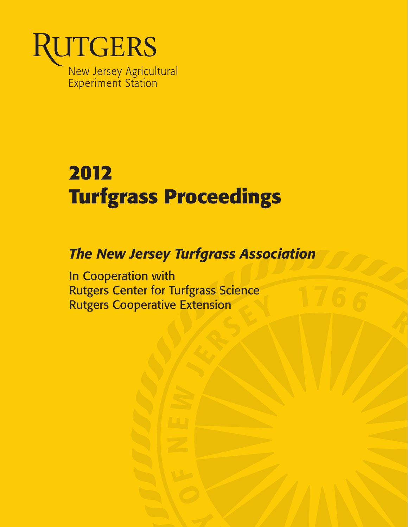

# **2012 Turfgrass Proceedings**

# *The New Jersey Turfgrass Association*

In Cooperation with Rutgers Center for Turfgrass Science Rutgers Cooperative Extension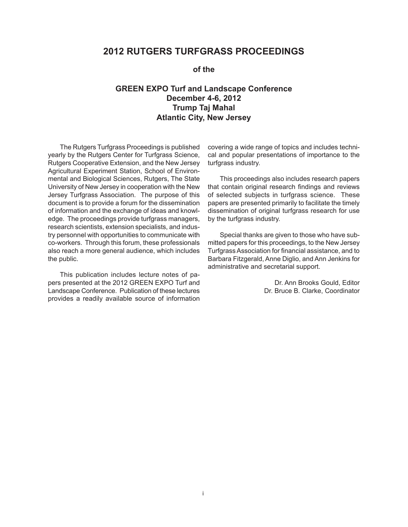# **2012 RUTGERS TURFGRASS PROCEEDINGS**

#### **of the**

## **GREEN EXPO Turf and Landscape Conference December 4-6, 2012 Trump Taj Mahal Atlantic City, New Jersey**

 University of New Jersey in cooperation with the New co-workers. Through this forum, these professionals The Rutgers Turfgrass Proceedings is published yearly by the Rutgers Center for Turfgrass Science, Rutgers Cooperative Extension, and the New Jersey Agricultural Experiment Station, School of Environmental and Biological Sciences, Rutgers, The State Jersey Turfgrass Association. The purpose of this document is to provide a forum for the dissemination of information and the exchange of ideas and knowledge. The proceedings provide turfgrass managers, research scientists, extension specialists, and industry personnel with opportunities to communicate with also reach a more general audience, which includes the public.

 Landscape Conference. Publication of these lectures provides a readily available source of information This publication includes lecture notes of papers presented at the 2012 GREEN EXPO Turf and

covering a wide range of topics and includes technical and popular presentations of importance to the turfgrass industry.

 of selected subjects in turfgrass science. These This proceedings also includes research papers that contain original research findings and reviews papers are presented primarily to facilitate the timely dissemination of original turfgrass research for use by the turfgrass industry.

 mitted papers for this proceedings, to the New Jersey Turfgrass Association for financial assistance, and to Special thanks are given to those who have sub-Barbara Fitzgerald, Anne Diglio, and Ann Jenkins for administrative and secretarial support.

> Dr. Ann Brooks Gould, Editor Dr. Bruce B. Clarke, Coordinator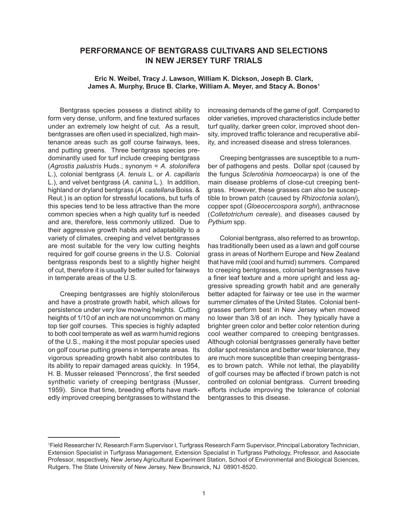### **PERFORMANCE OF BENTGRASS CULTIVARS AND SELECTIONS IN NEW JERSEY TURF TRIALS**

#### **Eric N. Weibel, Tracy J. Lawson, William K. Dickson, Joseph B. Clark, James A. Murphy, Bruce B. Clarke, William A. Meyer, and Stacy A. Bonos1**

 bentgrasses are often used in specialized, high main- L.), and velvet bentgrass (*A*. *canina* L.). In addition, highland or dryland bentgrass (*A*. *castellana* Boiss. & are most suitable for the very low cutting heights Bentgrass species possess a distinct ability to form very dense, uniform, and fine textured surfaces under an extremely low height of cut. As a result, tenance areas such as golf course fairways, tees, and putting greens. Three bentgrass species predominantly used for turf include creeping bentgrass (*Agrostis palustris* Huds.; synonym = *A*. *stolonifera*  L.), colonial bentgrass (*A*. *tenuis* L. or *A*. *capillaris*  Reut.) is an option for stressful locations, but turfs of this species tend to be less attractive than the more common species when a high quality turf is needed and are, therefore, less commonly utilized. Due to their aggressive growth habits and adaptability to a variety of climates, creeping and velvet bentgrasses required for golf course greens in the U.S. Colonial bentgrass responds best to a slightly higher height of cut, therefore it is usually better suited for fairways in temperate areas of the U.S.

 Creeping bentgrasses are highly stoloniferous heights of 1/10 of an inch are not uncommon on many to both cool temperate as well as warm humid regions synthetic variety of creeping bentgrass (Musser, edly improved creeping bentgrasses to withstand the and have a prostrate growth habit, which allows for persistence under very low mowing heights. Cutting top tier golf courses. This species is highly adapted of the U.S., making it the most popular species used on golf course putting greens in temperate areas. Its vigorous spreading growth habit also contributes to its ability to repair damaged areas quickly. In 1954, H. B. Musser released 'Penncross', the first seeded 1959). Since that time, breeding efforts have mark increasing demands of the game of golf. Compared to older varieties, improved characteristics include better turf quality, darker green color, improved shoot density, improved traffic tolerance and recuperative ability, and increased disease and stress tolerances.

 (*Colletotrichum cereale*), and diseases caused by Creeping bentgrasses are susceptible to a number of pathogens and pests. Dollar spot (caused by the fungus *Sclerotinia homoeocarpa*) is one of the main disease problems of close-cut creeping bentgrass. However, these grasses can also be susceptible to brown patch (caused by *Rhizoctonia solani*), copper spot (*Gloeocercospora sorghi*), anthracnose *Pythium* spp.

 Colonial bentgrass, also referred to as browntop, has traditionally been used as a lawn and golf course that have mild (cool and humid) summers. Compared cool weather compared to creeping bentgrasses. dollar spot resistance and better wear tolerance, they efforts include improving the tolerance of colonial grass in areas of Northern Europe and New Zealand to creeping bentgrasses, colonial bentgrasses have a finer leaf texture and a more upright and less aggressive spreading growth habit and are generally better adapted for fairway or tee use in the warmer summer climates of the United States. Colonial bentgrasses perform best in New Jersey when mowed no lower than 3/8 of an inch. They typically have a brighter green color and better color retention during Although colonial bentgrasses generally have better are much more susceptible than creeping bentgrasses to brown patch. While not lethal, the playability of golf courses may be affected if brown patch is not controlled on colonial bentgrass. Current breeding bentgrasses to this disease.

 1 Field Researcher IV, Research Farm Supervisor I, Turfgrass Research Farm Supervisor, Principal Laboratory Technician, Extension Specialist in Turfgrass Management, Extension Specialist in Turfgrass Pathology, Professor, and Associate Professor, respectively, New Jersey Agricultural Experiment Station, School of Environmental and Biological Sciences, Rutgers, The State University of New Jersey, New Brunswick, NJ 08901-8520.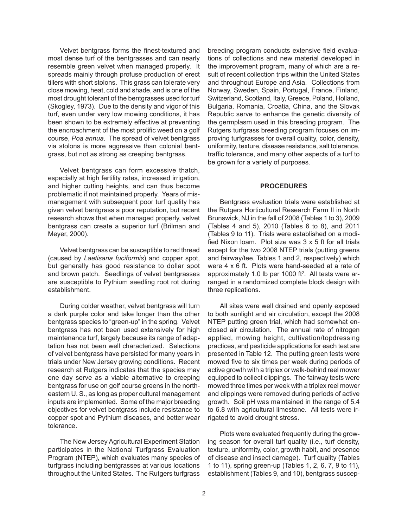close mowing, heat, cold and shade, and is one of the most drought tolerant of the bentgrasses used for turf Velvet bentgrass forms the finest-textured and most dense turf of the bentgrasses and can nearly resemble green velvet when managed properly. It spreads mainly through profuse production of erect tillers with short stolons. This grass can tolerate very (Skogley, 1973). Due to the density and vigor of this turf, even under very low mowing conditions, it has been shown to be extremely effective at preventing the encroachment of the most prolific weed on a golf course, *Poa annua*. The spread of velvet bentgrass via stolons is more aggressive than colonial bentgrass, but not as strong as creeping bentgrass.

 and higher cutting heights, and can thus become bentgrass can create a superior turf (Brilman and Velvet bentgrass can form excessive thatch, especially at high fertility rates, increased irrigation, problematic if not maintained properly. Years of mismanagement with subsequent poor turf quality has given velvet bentgrass a poor reputation, but recent research shows that when managed properly, velvet Meyer, 2000).

 but generally has good resistance to dollar spot and brown patch. Seedlings of velvet bentgrasses Velvet bentgrass can be susceptible to red thread (caused by *Laetisaria fuciformis*) and copper spot, are susceptible to Pythium seedling root rot during establishment.

 bentgrass species to "green-up" in the spring. Velvet bentgrass has not been used extensively for high one day serve as a viable alternative to creeping eastern U. S., as long as proper cultural management inputs are implemented. Some of the major breeding During colder weather, velvet bentgrass will turn a dark purple color and take longer than the other maintenance turf, largely because its range of adaptation has not been well characterized. Selections of velvet bentgrass have persisted for many years in trials under New Jersey growing conditions. Recent research at Rutgers indicates that the species may bentgrass for use on golf course greens in the northobjectives for velvet bentgrass include resistance to copper spot and Pythium diseases, and better wear tolerance.

 participates in the National Turfgrass Evaluation The New Jersey Agricultural Experiment Station Program (NTEP), which evaluates many species of turfgrass including bentgrasses at various locations throughout the United States. The Rutgers turfgrass

 Switzerland, Scotland, Italy, Greece, Poland, Holland, uniformity, texture, disease resistance, salt tolerance, breeding program conducts extensive field evaluations of collections and new material developed in the improvement program, many of which are a result of recent collection trips within the United States and throughout Europe and Asia. Collections from Norway, Sweden, Spain, Portugal, France, Finland, Bulgaria, Romania, Croatia, China, and the Slovak Republic serve to enhance the genetic diversity of the germplasm used in this breeding program. The Rutgers turfgrass breeding program focuses on improving turfgrasses for overall quality, color, density, traffic tolerance, and many other aspects of a turf to be grown for a variety of purposes.

#### **PROCEDURES**

 Brunswick, NJ in the fall of 2008 (Tables 1 to 3), 2009 (Tables 4 and 5), 2010 (Tables 6 to 8), and 2011 Bentgrass evaluation trials were established at the Rutgers Horticultural Research Farm II in North (Tables 9 to 11). Trials were established on a modified Nixon loam. Plot size was 3 x 5 ft for all trials except for the two 2008 NTEP trials (putting greens and fairway/tee, Tables 1 and 2, respectively) which were 4 x 6 ft. Plots were hand-seeded at a rate of approximately 1.0 lb per 1000 ft<sup>2</sup>. All tests were arranged in a randomized complete block design with three replications.

 applied, mowing height, cultivation/topdressing practices, and pesticide applications for each test are active growth with a triplex or walk-behind reel mower mowed three times per week with a triplex reel mower All sites were well drained and openly exposed to both sunlight and air circulation, except the 2008 NTEP putting green trial, which had somewhat enclosed air circulation. The annual rate of nitrogen presented in Table 12. The putting green tests were mowed five to six times per week during periods of equipped to collect clippings. The fairway tests were and clippings were removed during periods of active growth. Soil pH was maintained in the range of 5.4 to 6.8 with agricultural limestone. All tests were irrigated to avoid drought stress.

Plots were evaluated frequently during the growing season for overall turf quality (i.e., turf density, texture, uniformity, color, growth habit, and presence of disease and insect damage). Turf quality (Tables 1 to 11), spring green-up (Tables 1, 2, 6, 7, 9 to 11), establishment (Tables 9, and 10), bentgrass suscep-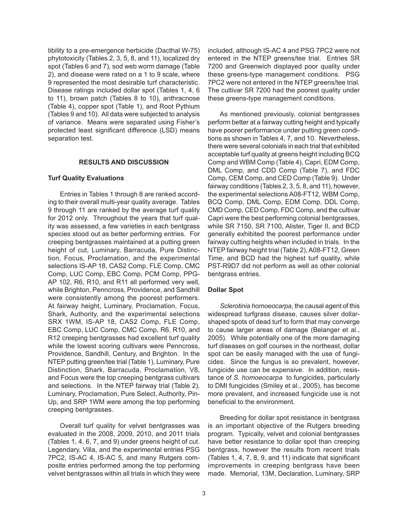(Tables 9 and 10). All data were subjected to analysis tibility to a pre-emergence herbicide (Dacthal W-75) phytotoxicity (Tables 2, 3, 5, 8, and 11), localized dry spot (Tables 6 and 7), sod web worm damage (Table 2), and disease were rated on a 1 to 9 scale, where 9 represented the most desirable turf characteristic. Disease ratings included dollar spot (Tables 1, 4, 6 to 11), brown patch (Tables 8 to 10), anthracnose (Table 4), copper spot (Table 1), and Root Pythium of variance. Means were separated using Fisher's protected least significant difference (LSD) means separation test.

#### **RESULTS AND DISCUSSION**

#### **Turf Quality Evaluations**

 for 2012 only. Throughout the years that turf qual- tion, Focus, Proclamation, and the experimental while Brighton, Penncross, Providence, and Sandhill were consistently among the poorest performers. At fairway height, Luminary, Proclamation, Focus, Shark, Authority, and the experimental selections SRX 1WM, IS-AP 18, CAS2 Comp, FLE Comp, NTEP putting green/tee trial (Table 1), Luminary, Pure Distinction, Shark, Barracuda, Proclamation, V8, Entries in Tables 1 through 8 are ranked according to their overall multi-year quality average. Tables 9 through 11 are ranked by the average turf quality ity was assessed, a few varieties in each bentgrass species stood out as better performing entries. For creeping bentgrasses maintained at a putting green height of cut, Luminary, Barracuda, Pure Distincselections IS-AP 18, CAS2 Comp, FLE Comp, CMC Comp, LUC Comp, EBC Comp, PCM Comp, PPG-AP 102, R6, R10, and R11 all performed very well, EBC Comp, LUC Comp, CMC Comp, R6, R10, and R12 creeping bentgrasses had excellent turf quality while the lowest scoring cultivars were Penncross, Providence, Sandhill, Century, and Brighton. In the and Focus were the top creeping bentgrass cultivars and selections. In the NTEP fairway trial (Table 2), Luminary, Proclamation, Pure Select, Authority, Pin-Up, and SRP 1WM were among the top performing creeping bentgrasses.

Overall turf quality for velvet bentgrasses was evaluated in the 2008, 2009, 2010, and 2011 trials (Tables 1, 4, 6, 7, and 9) under greens height of cut. Legendary, Villa, and the experimental entries PSG 7PC2, IS-AC 4, IS-AC 5, and many Rutgers composite entries performed among the top performing velvet bentgrasses within all trials in which they were

 entered in the NTEP greens/tee trial. Entries SR these greens-type management conditions. PSG included, although IS-AC 4 and PSG 7PC2 were not 7200 and Greenwich displayed poor quality under 7PC2 were not entered in the NTEP greens/tee trial. The cultivar SR 7200 had the poorest quality under these greens-type management conditions.

 perform better at a fairway cutting height and typically there were several colonials in each trial that exhibited acceptable turf quality at greens height including BCQ Comp and WBM Comp (Table 4), Capri, EDM Comp, DML Comp, and CDD Comp (Table 7), and FDC Comp, CEM Comp, and CED Comp (Table 9). Under fairway conditions (Tables 2, 3, 5, 8, and 11), however, CMD Comp, CED Comp, FDC Comp, and the cultivar Capri were the best performing colonial bentgrasses, NTEP fairway height trial (Table 2), A08-FT12, Green Time, and BCD had the highest turf quality, while As mentioned previously, colonial bentgrasses have poorer performance under putting green conditions as shown in Tables 4, 7, and 10. Nevertheless, the experimental selections A08-FT12, WBM Comp, BCQ Comp, DML Comp, EDM Comp, DDL Comp, while SR 7150, SR 7100, Alister, Tiger II, and BCD generally exhibited the poorest performance under fairway cutting heights when included in trials. In the PST-R9D7 did not perform as well as other colonial bentgrass entries.

#### **Dollar Spot**

 *Sclerotinia homoeocarpa*, the causal agent of this widespread turfgrass disease, causes silver dollarshaped spots of dead turf to form that may converge to cause larger areas of damage (Belanger et al., 2005). While potentially one of the more damaging turf diseases on golf courses in the northeast, dollar spot can be easily managed with the use of fungicides. Since the fungus is so prevalent, however, fungicide use can be expensive. In addition, resistance of *S. homoeocarpa* to fungicides, particularly to DMI fungicides (Smiley et al., 2005), has become more prevalent, and increased fungicide use is not beneficial to the environment.

 is an important objective of the Rutgers breeding bentgrass, however the results from recent trials improvements in creeping bentgrass have been Breeding for dollar spot resistance in bentgrass program. Typically, velvet and colonial bentgrasses have better resistance to dollar spot than creeping (Tables 1, 4, 7, 8, 9, and 11) indicate that significant made. Memorial, 13M, Declaration, Luminary, SRP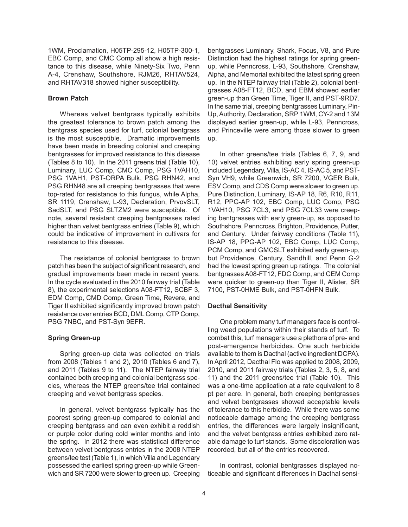tance to this disease, while Ninety-Six Two, Penn A-4, Crenshaw, Southshore, RJM26, RHTAV524, 1WM, Proclamation, H05TP-295-12, H05TP-300-1, EBC Comp, and CMC Comp all show a high resisand RHTAV318 showed higher susceptibility.

#### **Brown Patch**

 Whereas velvet bentgrass typically exhibits the greatest tolerance to brown patch among the is the most susceptible. Dramatic improvements PSG 1VAH1, PST-ORPA Bulk, PSG RHN42, and SR 1119, Crenshaw, L-93, Declaration, PrvovSLT, SadSLT, and PSG SLTZM2 were susceptible. Of bentgrass species used for turf, colonial bentgrass have been made in breeding colonial and creeping bentgrasses for improved resistance to this disease (Tables 8 to 10). In the 2011 greens trial (Table 10), Luminary, LUC Comp, CMC Comp, PSG 1VAH10, PSG RHN48 are all creeping bentgrasses that were top-rated for resistance to this fungus, while Alpha, note, several resistant creeping bentgrasses rated higher than velvet bentgrass entries (Table 9), which could be indicative of improvement in cultivars for resistance to this disease.

 patch has been the subject of significant research, and resistance over entries BCD, DML Comp, CTP Comp, The resistance of colonial bentgrass to brown gradual improvements been made in recent years. In the cycle evaluated in the 2010 fairway trial (Table 8), the experimental selections A08-FT12, SCBF 3, EDM Comp, CMD Comp, Green Time, Revere, and Tiger II exhibited significantly improved brown patch PSG 7NBC, and PST-Syn 9EFR.

#### **Spring Green-up**

 and 2011 (Tables 9 to 11). The NTEP fairway trial Spring green-up data was collected on trials from 2008 (Tables 1 and 2), 2010 (Tables 6 and 7), contained both creeping and colonial bentgrass species, whereas the NTEP greens/tee trial contained creeping and velvet bentgrass species.

 greens/tee test (Table 1), in which Villa and Legendary wich and SR 7200 were slower to green up. Creeping In general, velvet bentgrass typically has the poorest spring green-up compared to colonial and creeping bentgrass and can even exhibit a reddish or purple color during cold winter months and into the spring. In 2012 there was statistical difference between velvet bentgrass entries in the 2008 NTEP possessed the earliest spring green-up while Green-

 Alpha, and Memorial exhibited the latest spring green Up, Authority, Declaration, SRP 1WM, CY-2 and 13M bentgrasses Luminary, Shark, Focus, V8, and Pure Distinction had the highest ratings for spring greenup, while Penncross, L-93, Southshore, Crenshaw, up. In the NTEP fairway trial (Table 2), colonial bentgrasses A08-FT12, BCD, and EBM showed earlier green-up than Green Time, Tiger II, and PST-9RD7. In the same trial, creeping bentgrasses Luminary, Pindisplayed earlier green-up, while L-93, Penncross, and Princeville were among those slower to green up.

 10) velvet entries exhibiting early spring green-up ESV Comp, and CDS Comp were slower to green up. Southshore, Penncross, Brighton, Providence, Putter, IS-AP 18, PPG-AP 102, EBC Comp, LUC Comp, but Providence, Century, Sandhill, and Penn G-2 bentgrasses A08-FT12, FDC Comp, and CEM Comp In other greens/tee trials (Tables 6, 7, 9, and included Legendary, Villa, IS-AC 4, IS-AC 5, and PST-Syn VH9, while Greenwich, SR 7200, VGER Bulk, Pure Distinction, Luminary, IS-AP 18, R6, R10, R11, R12, PPG-AP 102, EBC Comp, LUC Comp, PSG 1VAH10, PSG 7CL3, and PSG 7CL33 were creeping bentgrasses with early green-up, as opposed to and Century. Under fairway conditions (Table 11), PCM Comp, and GMCSLT exhibited early green-up, had the lowest spring green up ratings. The colonial were quicker to green-up than Tiger II, Alister, SR 7100, PST-0HME Bulk, and PST-0HFN Bulk.

#### **Dacthal Sensitivity**

 combat this, turf managers use a plethora of pre- and post-emergence herbicides. One such herbicide available to them is Dacthal (active ingredient DCPA). and velvet bentgrasses showed acceptable levels entries, the differences were largely insignificant, One problem many turf managers face is controlling weed populations within their stands of turf. To In April 2012, Dacthal Flo was applied to 2008, 2009, 2010, and 2011 fairway trials (Tables 2, 3, 5, 8, and 11) and the 2011 greens/tee trial (Table 10). This was a one-time application at a rate equivalent to 8 pt per acre. In general, both creeping bentgrasses of tolerance to this herbicide. While there was some noticeable damage among the creeping bentgrass and the velvet bentgrass entries exhibited zero ratable damage to turf stands. Some discoloration was recorded, but all of the entries recovered.

In contrast, colonial bentgrasses displayed noticeable and significant differences in Dacthal sensi-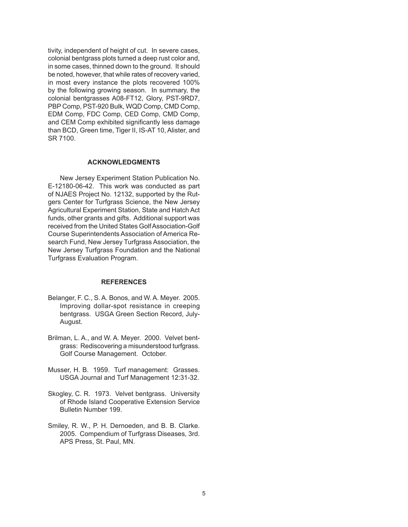colonial bentgrass plots turned a deep rust color and, in some cases, thinned down to the ground. It should be noted, however, that while rates of recovery varied, in most every instance the plots recovered 100% PBP Comp, PST-920 Bulk, WQD Comp, CMD Comp, tivity, independent of height of cut. In severe cases, by the following growing season. In summary, the colonial bentgrasses A08-FT12, Glory, PST-9RD7, EDM Comp, FDC Comp, CED Comp, CMD Comp, and CEM Comp exhibited significantly less damage than BCD, Green time, Tiger II, IS-AT 10, Alister, and SR 7100.

#### **ACKNOWLEDGMENTS**

 received from the United States Golf Association-Golf New Jersey Experiment Station Publication No. E-12180-06-42. This work was conducted as part of NJAES Project No. 12132, supported by the Rutgers Center for Turfgrass Science, the New Jersey Agricultural Experiment Station, State and Hatch Act funds, other grants and gifts. Additional support was Course Superintendents Association of America Research Fund, New Jersey Turfgrass Association, the New Jersey Turfgrass Foundation and the National Turfgrass Evaluation Program.

#### **REFERENCES**

- Improving dollar-spot resistance in creeping bentgrass. USGA Green Section Record, July-Belanger, F. C., S. A. Bonos, and W. A. Meyer. 2005. August.
- Brilman, L. A., and W. A. Meyer. 2000. Velvet bent- grass: Rediscovering a misunderstood turfgrass. Golf Course Management. October.
- Musser, H. B. 1959. Turf management: Grasses. USGA Journal and Turf Management 12:31-32.
- Skogley, C. R. 1973. Velvet bentgrass. University of Rhode Island Cooperative Extension Service Bulletin Number 199.
- Smiley, R. W., P. H. Dernoeden, and B. B. Clarke. 2005. Compendium of Turfgrass Diseases, 3rd. APS Press, St. Paul, MN.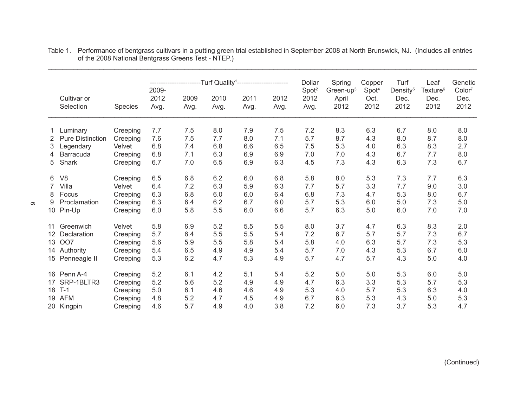|                 |                         |                      | ------------------Turf                                 Quality <sup>1</sup> ----------------------<br>2009- |      |         | Dollar | Spring<br>Green-up $3$ | Copper                    | Turf  | Leaf                      | Genetic<br>Color <sup>7</sup> |                              |      |
|-----------------|-------------------------|----------------------|-------------------------------------------------------------------------------------------------------------|------|---------|--------|------------------------|---------------------------|-------|---------------------------|-------------------------------|------------------------------|------|
|                 | Cultivar or             |                      | 2012                                                                                                        | 2009 | 2010    | 2011   | 2012                   | Spot <sup>2</sup><br>2012 | April | Spot <sup>4</sup><br>Oct. | Density <sup>5</sup><br>Dec.  | Texture <sup>6</sup><br>Dec. | Dec. |
|                 | Selection               | Species              | Avg.                                                                                                        | Avg. | Avg.    | Avg.   | Avg.                   | Avg.                      | 2012  | 2012                      | 2012                          | 2012                         | 2012 |
|                 | Luminary                | Creeping             | 7.7                                                                                                         | 7.5  | 8.0     | 7.9    | 7.5                    | 7.2                       | 8.3   | 6.3                       | 6.7                           | 8.0                          | 8.0  |
| 2               | <b>Pure Distinction</b> | Creeping             | 7.6                                                                                                         | 7.5  | 7.7     | 8.0    | 7.1                    | 5.7                       | 8.7   | 4.3                       | 8.0                           | 8.7                          | 8.0  |
| 3               | Legendary               | Velvet               | 6.8                                                                                                         | 7.4  | 6.8     | 6.6    | 6.5                    | 7.5                       | 5.3   | 4.0                       | 6.3                           | 8.3                          | 2.7  |
| 4               | Barracuda               | Creeping             | 6.8                                                                                                         | 7.1  | 6.3     | 6.9    | 6.9                    | 7.0                       | 7.0   | 4.3                       | 6.7                           | 7.7                          | 8.0  |
| 5               | Shark                   | Creeping             | 6.7                                                                                                         | 7.0  | 6.5     | 6.9    | 6.3                    | 4.5                       | 7.3   | 4.3                       | 6.3                           | 7.3                          | 6.7  |
| 6               | V <sub>8</sub>          | Creeping             | 6.5                                                                                                         | 6.8  | 6.2     | 6.0    | 6.8                    | 5.8                       | 8.0   | 5.3                       | 7.3                           | 7.7                          | 6.3  |
| $7^{\circ}$     | Villa                   | Velvet               | 6.4                                                                                                         | 7.2  | 6.3     | 5.9    | 6.3                    | 7.7                       | 5.7   | 3.3                       | 7.7                           | 9.0                          | 3.0  |
| 8               | Focus                   | Creeping             | 6.3                                                                                                         | 6.8  | 6.0     | 6.0    | 6.4                    | 6.8                       | 7.3   | 4.7                       | 5.3                           | 8.0                          | 6.7  |
| 9               | Proclamation            | Creeping             | 6.3                                                                                                         | 6.4  | 6.2     | 6.7    | $6.0\,$                | 5.7                       | 5.3   | 6.0                       | 5.0                           | 7.3                          | 5.0  |
|                 | 10 Pin-Up               | Creeping             | 6.0                                                                                                         | 5.8  | $5.5\,$ | 6.0    | 6.6                    | 5.7                       | 6.3   | 5.0                       | 6.0                           | 7.0                          | 7.0  |
| 11              | Greenwich               | Velvet               | 5.8                                                                                                         | 6.9  | 5.2     | 5.5    | 5.5                    | 8.0                       | 3.7   | 4.7                       | 6.3                           | 8.3                          | 2.0  |
| 12 <sup>°</sup> | Declaration             | Creeping             | 5.7                                                                                                         | 6.4  | 5.5     | 5.5    | 5.4                    | 7.2                       | 6.7   | 5.7                       | 5.7                           | 7.3                          | 6.7  |
| 13              | <b>OO7</b>              | Creeping             | 5.6                                                                                                         | 5.9  | 5.5     | 5.8    | 5.4                    | 5.8                       | 4.0   | 6.3                       | 5.7                           | 7.3                          | 5.3  |
|                 | 14 Authority            | Creeping             | 5.4                                                                                                         | 6.5  | 4.9     | 4.9    | 5.4                    | 5.7                       | 7.0   | 4.3                       | 5.3                           | 6.7                          | 6.0  |
|                 | 15 Penneagle II         | Creeping             | 5.3                                                                                                         | 6.2  | 4.7     | 5.3    | 4.9                    | 5.7                       | 4.7   | 5.7                       | 4.3                           | 5.0                          | 4.0  |
|                 | 16 Penn A-4             |                      | 5.2                                                                                                         | 6.1  | 4.2     | 5.1    | 5.4                    | 5.2                       | 5.0   | 5.0                       | 5.3                           | 6.0                          | 5.0  |
|                 | 17 SRP-1BLTR3           | Creeping             | 5.2                                                                                                         | 5.6  | 5.2     | 4.9    | 4.9                    | 4.7                       | 6.3   | 3.3                       | 5.3                           | 5.7                          | 5.3  |
| 18              | $T-1$                   | Creeping<br>Creeping | 5.0                                                                                                         | 6.1  | 4.6     | 4.6    | 4.9                    | 5.3                       | 4.0   | 5.7                       | 5.3                           | 6.3                          | 4.0  |
|                 | 19 AFM                  | Creeping             | 4.8                                                                                                         | 5.2  | 4.7     | 4.5    | 4.9                    | 6.7                       | 6.3   | 5.3                       | 4.3                           | 5.0                          | 5.3  |
|                 | 20 Kingpin              | Creeping             | 4.6                                                                                                         | 5.7  | 4.9     | 4.0    | 3.8                    | 7.2                       | 6.0   | 7.3                       | 3.7                           | 5.3                          | 4.7  |

 $\infty$ 

Table 1. Performance of bentgrass cultivars in a putting green trial established in September 2008 at North Brunswick, NJ. (Includes all entries of the 2008 National Bentgrass Greens Test - NTEP.)

\_\_\_\_\_\_\_\_\_\_\_\_\_\_\_\_\_\_\_\_\_\_\_\_\_\_\_\_\_\_\_\_\_\_\_\_\_\_\_\_\_\_\_\_\_\_\_\_\_\_\_\_\_\_\_\_\_\_\_\_\_\_\_\_\_\_\_\_\_\_\_\_\_\_\_\_\_\_\_\_\_\_\_\_\_\_\_\_\_\_\_\_\_\_\_\_\_\_\_\_\_\_\_\_\_\_\_\_\_\_\_\_\_\_\_\_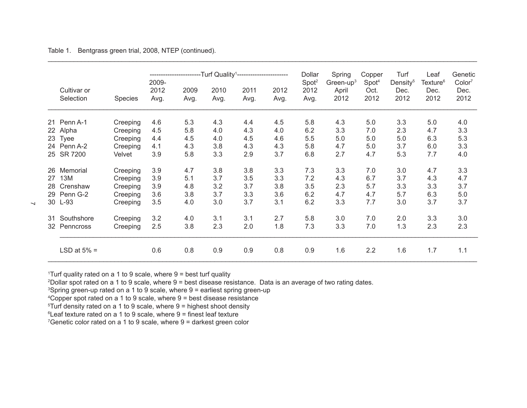Table 1. Bentgrass green trial, 2008, NTEP (continued).

|    |                          |                | -Turf Quality <sup>1</sup> -----------------------<br>2009- |              |              |              |              | Dollar<br>Spot <sup>2</sup> | Spring<br>Green-up $3$ | Copper<br>Spot <sup>4</sup> | Turf<br>Density <sup>5</sup> | Leaf<br>Texture <sup>6</sup> | Genetic<br>Color <sup>7</sup> |
|----|--------------------------|----------------|-------------------------------------------------------------|--------------|--------------|--------------|--------------|-----------------------------|------------------------|-----------------------------|------------------------------|------------------------------|-------------------------------|
|    | Cultivar or<br>Selection | <b>Species</b> | 2012<br>Avg.                                                | 2009<br>Avg. | 2010<br>Avg. | 2011<br>Avg. | 2012<br>Avg. | 2012<br>Avg.                | April<br>2012          | Oct.<br>2012                | Dec.<br>2012                 | Dec.<br>2012                 | Dec.<br>2012                  |
| 21 | Penn A-1                 | Creeping       | 4.6                                                         | 5.3          | 4.3          | 4.4          | 4.5          | 5.8                         | 4.3                    | 5.0                         | 3.3                          | 5.0                          | 4.0                           |
| 22 | Alpha                    | Creeping       | 4.5                                                         | 5.8          | 4.0          | 4.3          | 4.0          | 6.2                         | 3.3                    | 7.0                         | 2.3                          | 4.7                          | 3.3                           |
| 23 | <b>Tyee</b>              | Creeping       | 4.4                                                         | 4.5          | 4.0          | 4.5          | 4.6          | 5.5                         | 5.0                    | 5.0                         | 5.0                          | 6.3                          | 5.3                           |
|    | 24 Penn A-2              | Creeping       | 4.1                                                         | 4.3          | 3.8          | 4.3          | 4.3          | 5.8                         | 4.7                    | 5.0                         | 3.7                          | 6.0                          | 3.3                           |
|    | 25 SR 7200               | Velvet         | 3.9                                                         | 5.8          | 3.3          | 2.9          | 3.7          | 6.8                         | 2.7                    | 4.7                         | 5.3                          | 7.7                          | 4.0                           |
| 26 | Memorial                 | Creeping       | 3.9                                                         | 4.7          | 3.8          | 3.8          | 3.3          | 7.3                         | 3.3                    | 7.0                         | 3.0                          | 4.7                          | 3.3                           |
| 27 | 13M                      | Creeping       | 3.9                                                         | 5.1          | 3.7          | 3.5          | 3.3          | 7.2                         | 4.3                    | 6.7                         | 3.7                          | 4.3                          | 4.7                           |
| 28 | Crenshaw                 | Creeping       | 3.9                                                         | 4.8          | 3.2          | 3.7          | 3.8          | 3.5                         | 2.3                    | 5.7                         | 3.3                          | 3.3                          | 3.7                           |
|    | 29 Penn G-2              | Creeping       | 3.6                                                         | 3.8          | 3.7          | 3.3          | 3.6          | 6.2                         | 4.7                    | 4.7                         | 5.7                          | 6.3                          | 5.0                           |
|    | 30 L-93                  | Creeping       | 3.5                                                         | 4.0          | 3.0          | 3.7          | 3.1          | 6.2                         | 3.3                    | 7.7                         | 3.0                          | 3.7                          | 3.7                           |
| 31 | Southshore               | Creeping       | 3.2                                                         | 4.0          | 3.1          | 3.1          | 2.7          | 5.8                         | 3.0                    | 7.0                         | 2.0                          | 3.3                          | 3.0                           |
|    | 32 Penncross             | Creeping       | 2.5                                                         | 3.8          | 2.3          | 2.0          | 1.8          | 7.3                         | 3.3                    | 7.0                         | 1.3                          | 2.3                          | 2.3                           |
|    | LSD at $5% =$            |                | 0.6                                                         | 0.8          | 0.9          | 0.9          | 0.8          | 0.9                         | 1.6                    | 2.2                         | 1.6                          | 1.7                          | 1.1                           |

\_\_\_\_\_\_\_\_\_\_\_\_\_\_\_\_\_\_\_\_\_\_\_\_\_\_\_\_\_\_\_\_\_\_\_\_\_\_\_\_\_\_\_\_\_\_\_\_\_\_\_\_\_\_\_\_\_\_\_\_\_\_\_\_\_\_\_\_\_\_\_\_\_\_\_\_\_\_\_\_\_\_\_\_\_\_\_\_\_\_\_\_\_\_\_\_\_\_\_\_\_\_\_\_\_\_\_\_\_\_\_\_\_\_\_\_

1 Turf quality rated on a 1 to 9 scale, where 9 = best turf quality

2 Dollar spot rated on a 1 to 9 scale, where 9 = best disease resistance. Data is an average of two rating dates.

3 Spring green-up rated on a 1 to 9 scale, where 9 = earliest spring green-up

4 Copper spot rated on a 1 to 9 scale, where 9 = best disease resistance

5 Turf density rated on a 1 to 9 scale, where 9 = highest shoot density

6 Leaf texture rated on a 1 to 9 scale, where 9 = finest leaf texture

7 Genetic color rated on a 1 to 9 scale, where 9 = darkest green color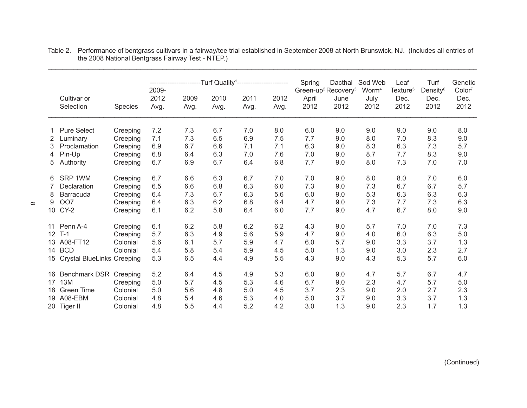|                 | Cultivar or<br>Selection      | Species  | 2009-<br>2012<br>Avg. | 2009<br>Avg. | -Turf Quality <sup>1</sup><br>2010<br>Avg. | 2011<br>Avg. | 2012<br>Avg. | Spring<br>Green-up <sup>2</sup> Recovery <sup>3</sup><br>April<br>2012 | Dacthal<br>June<br>2012 | Sod Web<br>Worm <sup>4</sup><br>July<br>2012 | Leaf<br>Texture <sup>5</sup><br>Dec.<br>2012 | Turf<br>Density <sup>6</sup><br>Dec.<br>2012 | Genetic<br>Color <sup>7</sup><br>Dec.<br>2012 |
|-----------------|-------------------------------|----------|-----------------------|--------------|--------------------------------------------|--------------|--------------|------------------------------------------------------------------------|-------------------------|----------------------------------------------|----------------------------------------------|----------------------------------------------|-----------------------------------------------|
|                 | <b>Pure Select</b>            | Creeping | 7.2                   | 7.3          | 6.7                                        | 7.0          | 8.0          | 6.0                                                                    | 9.0                     | 9.0                                          | 9.0                                          | 9.0                                          | 8.0                                           |
| 2               | Luminary                      | Creeping | 7.1                   | 7.3          | 6.5                                        | 6.9          | 7.5          | 7.7                                                                    | 9.0                     | 8.0                                          | 7.0                                          | 8.3                                          | 9.0                                           |
| 3.              | Proclamation                  | Creeping | 6.9                   | 6.7          | 6.6                                        | 7.1          | 7.1          | 6.3                                                                    | 9.0                     | 8.3                                          | 6.3                                          | 7.3                                          | 5.7                                           |
| 4               | Pin-Up                        | Creeping | 6.8                   | 6.4          | 6.3                                        | 7.0          | 7.6          | 7.0                                                                    | 9.0                     | 8.7                                          | 7.7                                          | 8.3                                          | 9.0                                           |
| 5               | Authority                     | Creeping | 6.7                   | 6.9          | 6.7                                        | 6.4          | 6.8          | 7.7                                                                    | 9.0                     | 8.0                                          | 7.3                                          | 7.0                                          | 7.0                                           |
|                 |                               |          |                       |              |                                            |              |              |                                                                        |                         |                                              |                                              |                                              |                                               |
| 6               | SRP 1WM                       | Creeping | 6.7                   | 6.6          | 6.3                                        | 6.7          | 7.0          | 7.0                                                                    | 9.0                     | 8.0                                          | 8.0                                          | 7.0                                          | 6.0                                           |
|                 | Declaration                   | Creeping | 6.5                   | 6.6          | 6.8                                        | 6.3          | 6.0          | 7.3                                                                    | 9.0                     | 7.3                                          | 6.7                                          | 6.7                                          | 5.7                                           |
| 8               | Barracuda                     | Creeping | 6.4                   | 7.3          | 6.7                                        | 6.3          | 5.6          | 6.0                                                                    | 9.0                     | 5.3                                          | 6.3                                          | 6.3                                          | 6.3                                           |
| 9               | <b>OO7</b>                    | Creeping | 6.4                   | 6.3          | 6.2                                        | 6.8          | 6.4          | 4.7                                                                    | 9.0                     | 7.3                                          | 7.7                                          | 7.3                                          | 6.3                                           |
|                 | 10 CY-2                       | Creeping | 6.1                   | 6.2          | 5.8                                        | 6.4          | 6.0          | 7.7                                                                    | 9.0                     | 4.7                                          | 6.7                                          | 8.0                                          | 9.0                                           |
|                 |                               |          |                       |              |                                            |              |              |                                                                        |                         |                                              |                                              |                                              |                                               |
|                 | 11 Penn A-4                   | Creeping | 6.1                   | 6.2          | 5.8                                        | 6.2          | 6.2          | 4.3                                                                    | 9.0                     | 5.7                                          | 7.0                                          | 7.0                                          | 7.3                                           |
| 12 <sup>2</sup> | $T-1$                         | Creeping | 5.7                   | 6.3          | 4.9                                        | 5.6          | 5.9          | 4.7                                                                    | 9.0                     | 4.0                                          | 6.0                                          | 6.3                                          | 5.0                                           |
|                 | 13 A08-FT12                   | Colonial | 5.6                   | 6.1          | 5.7                                        | 5.9          | 4.7          | 6.0                                                                    | 5.7                     | 9.0                                          | 3.3                                          | 3.7                                          | 1.3                                           |
|                 | 14 BCD                        | Colonial | 5.4                   | 5.8          | 5.4                                        | 5.9          | 4.5          | 5.0                                                                    | 1.3                     | 9.0                                          | 3.0                                          | 2.3                                          | 2.7                                           |
|                 | 15 Crystal BlueLinks Creeping |          | 5.3                   | 6.5          | 4.4                                        | 4.9          | 5.5          | 4.3                                                                    | 9.0                     | 4.3                                          | 5.3                                          | 5.7                                          | 6.0                                           |
|                 |                               |          |                       |              |                                            |              |              |                                                                        |                         |                                              |                                              |                                              |                                               |
| 16              | Benchmark DSR                 | Creeping | 5.2                   | 6.4          | 4.5                                        | 4.9          | 5.3          | 6.0                                                                    | 9.0                     | 4.7                                          | 5.7                                          | 6.7                                          | 4.7                                           |
| 17              | <b>13M</b>                    | Creeping | 5.0                   | 5.7          | 4.5                                        | 5.3          | 4.6          | 6.7                                                                    | 9.0                     | 2.3                                          | 4.7                                          | 5.7                                          | 5.0                                           |
| 18              | <b>Green Time</b>             | Colonial | 5.0                   | 5.6          | 4.8                                        | 5.0          | 4.5          | 3.7                                                                    | 2.3                     | 9.0                                          | 2.0                                          | 2.7                                          | 2.3                                           |
|                 | 19 A08-EBM                    | Colonial | 4.8                   | 5.4          | 4.6                                        | 5.3          | 4.0          | 5.0                                                                    | 3.7                     | 9.0                                          | 3.3                                          | 3.7                                          | 1.3                                           |
|                 | 20 Tiger II                   | Colonial | 4.8                   | 5.5          | 4.4                                        | 5.2          | 4.2          | 3.0                                                                    | 1.3                     | 9.0                                          | 2.3                                          | 1.7                                          | 1.3                                           |

Table 2. Performance of bentgrass cultivars in a fairway/tee trial established in September 2008 at North Brunswick, NJ. (Includes all entries of the 2008 National Bentgrass Fairway Test - NTEP.)

\_\_\_\_\_\_\_\_\_\_\_\_\_\_\_\_\_\_\_\_\_\_\_\_\_\_\_\_\_\_\_\_\_\_\_\_\_\_\_\_\_\_\_\_\_\_\_\_\_\_\_\_\_\_\_\_\_\_\_\_\_\_\_\_\_\_\_\_\_\_\_\_\_\_\_\_\_\_\_\_\_\_\_\_\_\_\_\_\_\_\_\_\_\_\_\_\_\_\_\_\_\_\_\_\_\_\_\_\_\_\_\_\_\_\_\_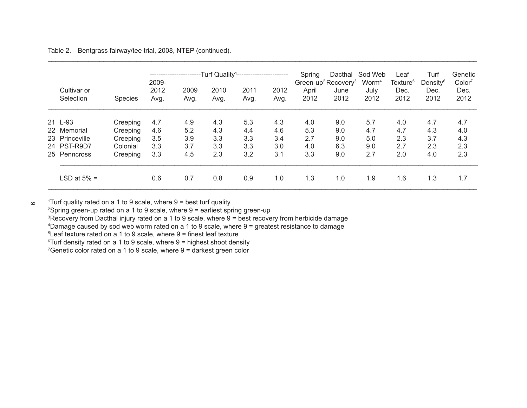Table 2. Bentgrass fairway/tee trial, 2008, NTEP (continued).

|                          |                | --Turf Quality <sup>1</sup> -----------------------<br>. <b>.</b><br>2009- |              |              |              |              | Spring        | Dacthal<br>Green-up <sup>2</sup> Recovery <sup>3</sup> | Sod Web<br>Worm <sup>4</sup> | Leaf<br>Texture <sup>5</sup> | Turf<br>Density <sup>6</sup> | Genetic<br>Color <sup>7</sup> |
|--------------------------|----------------|----------------------------------------------------------------------------|--------------|--------------|--------------|--------------|---------------|--------------------------------------------------------|------------------------------|------------------------------|------------------------------|-------------------------------|
| Cultivar or<br>Selection | <b>Species</b> | 2012<br>Avg.                                                               | 2009<br>Avg. | 2010<br>Avg. | 2011<br>Avg. | 2012<br>Avg. | April<br>2012 | June<br>2012                                           | July<br>2012                 | Dec.<br>2012                 | Dec.<br>2012                 | Dec.<br>2012                  |
| 21 L-93                  | Creeping       | 4.7                                                                        | 4.9          | 4.3          | 5.3          | 4.3          | 4.0           | 9.0                                                    | 5.7                          | 4.0                          | 4.7                          | 4.7                           |
| 22 Memorial              | Creeping       | 4.6                                                                        | 5.2          | 4.3          | 4.4          | 4.6          | 5.3           | 9.0                                                    | 4.7                          | 4.7                          | 4.3                          | 4.0                           |
| 23 Princeville           | Creeping       | 3.5                                                                        | 3.9          | 3.3          | 3.3          | 3.4          | 2.7           | 9.0                                                    | 5.0                          | 2.3                          | 3.7                          | 4.3                           |
| 24 PST-R9D7              | Colonial       | 3.3                                                                        | 3.7          | 3.3          | 3.3          | 3.0          | 4.0           | 6.3                                                    | 9.0                          | 2.7                          | 2.3                          | 2.3                           |
| 25 Penncross             | Creeping       | 3.3                                                                        | 4.5          | 2.3          | 3.2          | 3.1          | 3.3           | 9.0                                                    | 2.7                          | 2.0                          | 4.0                          | 2.3                           |
| LSD at 5% =              |                | 0.6                                                                        | 0.7          | 0.8          | 0.9          | 1.0          | 1.3           | 1.0                                                    | 1.9                          | 1.6                          | 1.3                          | 1.7                           |

\_\_\_\_\_\_\_\_\_\_\_\_\_\_\_\_\_\_\_\_\_\_\_\_\_\_\_\_\_\_\_\_\_\_\_\_\_\_\_\_\_\_\_\_\_\_\_\_\_\_\_\_\_\_\_\_\_\_\_\_\_\_\_\_\_\_\_\_\_\_\_\_\_\_\_\_\_\_\_\_\_\_\_\_\_\_\_\_\_\_\_\_\_\_\_\_\_\_\_\_\_\_\_\_\_\_\_\_\_\_\_\_\_\_\_\_

1 Turf quality rated on a 1 to 9 scale, where 9 = best turf quality

 $\, \circ \,$ 

2 Spring green-up rated on a 1 to 9 scale, where 9 = earliest spring green-up

3 Recovery from Dacthal injury rated on a 1 to 9 scale, where 9 = best recovery from herbicide damage

4 Damage caused by sod web worm rated on a 1 to 9 scale, where 9 = greatest resistance to damage

5 Leaf texture rated on a 1 to 9 scale, where 9 = finest leaf texture

6 Turf density rated on a 1 to 9 scale, where 9 = highest shoot density

7 Genetic color rated on a 1 to 9 scale, where 9 = darkest green color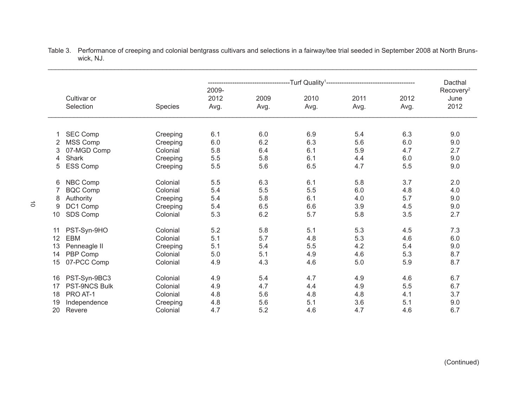|    |                          |                |                       |              | Dacthal      |                                                                        |              |                                       |
|----|--------------------------|----------------|-----------------------|--------------|--------------|------------------------------------------------------------------------|--------------|---------------------------------------|
|    | Cultivar or<br>Selection | <b>Species</b> | 2009-<br>2012<br>Avg. | 2009<br>Avg. | 2010<br>Avg. | -Turf Quality <sup>1</sup> ---------------------------<br>2011<br>Avg. | 2012<br>Avg. | Recovery <sup>2</sup><br>June<br>2012 |
| 1  | SEC Comp                 | Creeping       | 6.1                   | 6.0          | 6.9          | 5.4                                                                    | 6.3          | 9.0                                   |
|    | <b>MSS Comp</b>          | Creeping       | 6.0                   | 6.2          | 6.3          | 5.6                                                                    | 6.0          | 9.0                                   |
| 3  | 07-MGD Comp              | Colonial       | 5.8                   | 6.4          | 6.1          | 5.9                                                                    | 4.7          | 2.7                                   |
| 4  | Shark                    | Creeping       | 5.5                   | 5.8          | 6.1          | 4.4                                                                    | 6.0          | 9.0                                   |
| 5  | <b>ESS Comp</b>          | Creeping       | 5.5                   | 5.6          | 6.5          | 4.7                                                                    | 5.5          | 9.0                                   |
| 6  | NBC Comp                 | Colonial       | 5.5                   | 6.3          | 6.1          | 5.8                                                                    | 3.7          | 2.0                                   |
| 7  | <b>BQC Comp</b>          | Colonial       | 5.4                   | 5.5          | 5.5          | 6.0                                                                    | 4.8          | 4.0                                   |
| 8  | Authority                | Creeping       | 5.4                   | 5.8          | 6.1          | 4.0                                                                    | 5.7          | 9.0                                   |
| 9  | DC1 Comp                 | Creeping       | 5.4                   | 6.5          | 6.6          | 3.9                                                                    | 4.5          | 9.0                                   |
| 10 | SDS Comp                 | Colonial       | 5.3                   | 6.2          | 5.7          | 5.8                                                                    | 3.5          | 2.7                                   |
| 11 | PST-Syn-9HO              | Colonial       | 5.2                   | 5.8          | 5.1          | 5.3                                                                    | 4.5          | 7.3                                   |
| 12 | <b>EBM</b>               | Colonial       | 5.1                   | 5.7          | 4.8          | 5.3                                                                    | 4.6          | 6.0                                   |
| 13 | Penneagle II             | Creeping       | 5.1                   | 5.4          | 5.5          | 4.2                                                                    | 5.4          | 9.0                                   |
| 14 | PBP Comp                 | Colonial       | 5.0                   | 5.1          | 4.9          | 4.6                                                                    | 5.3          | 8.7                                   |
| 15 | 07-PCC Comp              | Colonial       | 4.9                   | 4.3          | 4.6          | 5.0                                                                    | 5.9          | 8.7                                   |
| 16 | PST-Syn-9BC3             | Colonial       | 4.9                   | 5.4          | 4.7          | 4.9                                                                    | 4.6          | 6.7                                   |
| 17 | <b>PST-9NCS Bulk</b>     | Colonial       | 4.9                   | 4.7          | 4.4          | 4.9                                                                    | 5.5          | 6.7                                   |
| 18 | PRO AT-1                 | Colonial       | 4.8                   | 5.6          | 4.8          | 4.8                                                                    | 4.1          | 3.7                                   |
| 19 | Independence             | Creeping       | 4.8                   | 5.6          | 5.1          | 3.6                                                                    | 5.1          | 9.0                                   |
| 20 | Revere                   | Colonial       | 4.7                   | 5.2          | 4.6          | 4.7                                                                    | 4.6          | 6.7                                   |

Table 3. Performance of creeping and colonial bentgrass cultivars and selections in a fairway/tee trial seeded in September 2008 at North Brunswick, NJ.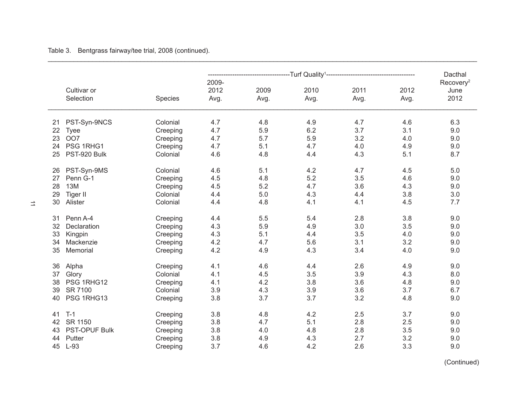Table 3. Bentgrass fairway/tee trial, 2008 (continued).

|                            |          |                       | ----------------------Turf                Quality <sup>1</sup> ------------------------------ | Dacthal      |              |              |                                       |
|----------------------------|----------|-----------------------|-----------------------------------------------------------------------------------------------|--------------|--------------|--------------|---------------------------------------|
| Cultivar or<br>Selection   | Species  | 2009-<br>2012<br>Avg. | 2009<br>Avg.                                                                                  | 2010<br>Avg. | 2011<br>Avg. | 2012<br>Avg. | Recovery <sup>2</sup><br>June<br>2012 |
| PST-Syn-9NCS<br>21         | Colonial | 4.7                   | 4.8                                                                                           | 4.9          | 4.7          | 4.6          | 6.3                                   |
| 22<br><b>Tyee</b>          | Creeping | 4.7                   | 5.9                                                                                           | 6.2          | 3.7          | 3.1          | 9.0                                   |
| OO7<br>23                  | Creeping | 4.7                   | 5.7                                                                                           | 5.9          | 3.2          | 4.0          | 9.0                                   |
| PSG 1RHG1<br>24            | Creeping | 4.7                   | 5.1                                                                                           | 4.7          | 4.0          | 4.9          | 9.0                                   |
| PST-920 Bulk<br>25         | Colonial | 4.6                   | 4.8                                                                                           | 4.4          | 4.3          | 5.1          | 8.7                                   |
| PST-Syn-9MS<br>26          | Colonial | 4.6                   | 5.1                                                                                           | 4.2          | 4.7          | 4.5          | 5.0                                   |
| Penn G-1<br>27             | Creeping | 4.5                   | 4.8                                                                                           | 5.2          | 3.5          | 4.6          | 9.0                                   |
| <b>13M</b><br>28           | Creeping | 4.5                   | 5.2                                                                                           | 4.7          | 3.6          | 4.3          | 9.0                                   |
| <b>Tiger II</b><br>29      | Colonial | 4.4                   | 5.0                                                                                           | 4.3          | 4.4          | 3.8          | 3.0                                   |
| Alister<br>30              | Colonial | 4.4                   | 4.8                                                                                           | 4.1          | 4.1          | 4.5          | 7.7                                   |
| Penn A-4<br>31             | Creeping | 4.4                   | 5.5                                                                                           | 5.4          | 2.8          | 3.8          | 9.0                                   |
| 32<br>Declaration          | Creeping | 4.3                   | 5.9                                                                                           | 4.9          | $3.0\,$      | 3.5          | 9.0                                   |
| 33<br>Kingpin              | Creeping | 4.3                   | 5.1                                                                                           | 4.4          | 3.5          | 4.0          | 9.0                                   |
| Mackenzie<br>34            | Creeping | 4.2                   | 4.7                                                                                           | 5.6          | 3.1          | 3.2          | 9.0                                   |
| 35<br>Memorial             | Creeping | 4.2                   | 4.9                                                                                           | 4.3          | 3.4          | 4.0          | 9.0                                   |
| Alpha<br>36                | Creeping | 4.1                   | 4.6                                                                                           | 4.4          | 2.6          | 4.9          | 9.0                                   |
| Glory<br>37                | Colonial | 4.1                   | 4.5                                                                                           | 3.5          | 3.9          | 4.3          | 8.0                                   |
| PSG 1RHG12<br>38           | Creeping | 4.1                   | 4.2                                                                                           | 3.8          | 3.6          | 4.8          | 9.0                                   |
| SR 7100<br>39              | Colonial | 3.9                   | 4.3                                                                                           | 3.9          | 3.6          | 3.7          | 6.7                                   |
| PSG 1RHG13<br>40           | Creeping | 3.8                   | 3.7                                                                                           | 3.7          | 3.2          | 4.8          | 9.0                                   |
| $T-1$<br>41                | Creeping | 3.8                   | 4.8                                                                                           | 4.2          | 2.5          | 3.7          | 9.0                                   |
| SR 1150<br>42              | Creeping | 3.8                   | 4.7                                                                                           | 5.1          | 2.8          | 2.5          | 9.0                                   |
| <b>PST-OPUF Bulk</b><br>43 | Creeping | 3.8                   | 4.0                                                                                           | 4.8          | 2.8          | 3.5          | 9.0                                   |
| Putter<br>44               | Creeping | 3.8                   | 4.9                                                                                           | 4.3          | 2.7          | 3.2          | 9.0                                   |
| $L-93$<br>45               | Creeping | 3.7                   | 4.6                                                                                           | 4.2          | 2.6          | 3.3          | 9.0                                   |

\_\_\_\_\_\_\_\_\_\_\_\_\_\_\_\_\_\_\_\_\_\_\_\_\_\_\_\_\_\_\_\_\_\_\_\_\_\_\_\_\_\_\_\_\_\_\_\_\_\_\_\_\_\_\_\_\_\_\_\_\_\_\_\_\_\_\_\_\_\_\_\_\_\_\_\_\_\_\_\_\_\_\_\_\_\_\_\_\_\_\_\_\_\_\_\_\_\_\_\_\_\_\_\_\_\_\_\_\_\_\_\_\_\_\_\_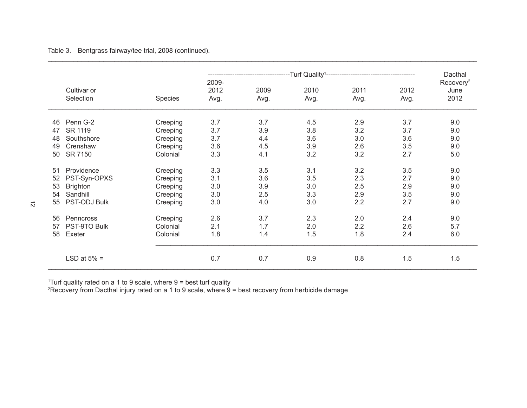Table 3. Bentgrass fairway/tee trial, 2008 (continued).

|    |                          |          |                       | -Turf Quality <sup>1</sup> --------------------------------- | Dacthal      |              |              |                                       |
|----|--------------------------|----------|-----------------------|--------------------------------------------------------------|--------------|--------------|--------------|---------------------------------------|
|    | Cultivar or<br>Selection | Species  | 2009-<br>2012<br>Avg. | 2009<br>Avg.                                                 | 2010<br>Avg. | 2011<br>Avg. | 2012<br>Avg. | Recovery <sup>2</sup><br>June<br>2012 |
| 46 | Penn G-2                 | Creeping | 3.7                   | 3.7                                                          | 4.5          | 2.9          | 3.7          | 9.0                                   |
| 47 | SR 1119                  | Creeping | 3.7                   | 3.9                                                          | 3.8          | 3.2          | 3.7          | 9.0                                   |
| 48 | Southshore               | Creeping | 3.7                   | 4.4                                                          | 3.6          | 3.0          | 3.6          | 9.0                                   |
| 49 | Crenshaw                 | Creeping | 3.6                   | 4.5                                                          | 3.9          | 2.6          | 3.5          | 9.0                                   |
| 50 | SR 7150                  | Colonial | 3.3                   | 4.1                                                          | 3.2          | 3.2          | 2.7          | 5.0                                   |
| 51 | Providence               | Creeping | 3.3                   | 3.5                                                          | 3.1          | 3.2          | 3.5          | 9.0                                   |
| 52 | PST-Syn-OPXS             | Creeping | 3.1                   | 3.6                                                          | 3.5          | 2.3          | 2.7          | 9.0                                   |
| 53 | <b>Brighton</b>          | Creeping | 3.0                   | 3.9                                                          | 3.0          | 2.5          | 2.9          | 9.0                                   |
| 54 | Sandhill                 | Creeping | 3.0                   | 2.5                                                          | 3.3          | 2.9          | 3.5          | 9.0                                   |
| 55 | PST-ODJ Bulk             | Creeping | 3.0                   | 4.0                                                          | 3.0          | 2.2          | 2.7          | 9.0                                   |
| 56 | Penncross                | Creeping | 2.6                   | 3.7                                                          | 2.3          | 2.0          | 2.4          | 9.0                                   |
| 57 | PST-9TO Bulk             | Colonial | 2.1                   | 1.7                                                          | 2.0          | 2.2          | 2.6          | 5.7                                   |
| 58 | Exeter                   | Colonial | 1.8                   | 1.4                                                          | 1.5          | 1.8          | 2.4          | 6.0                                   |
|    | LSD at $5\%$ =           |          | 0.7                   | 0.7                                                          | 0.9          | 0.8          | 1.5          | 1.5                                   |

\_\_\_\_\_\_\_\_\_\_\_\_\_\_\_\_\_\_\_\_\_\_\_\_\_\_\_\_\_\_\_\_\_\_\_\_\_\_\_\_\_\_\_\_\_\_\_\_\_\_\_\_\_\_\_\_\_\_\_\_\_\_\_\_\_\_\_\_\_\_\_\_\_\_\_\_\_\_\_\_\_\_\_\_\_\_\_\_\_\_\_\_\_\_\_\_\_\_\_\_\_\_\_\_\_\_\_\_\_\_\_\_\_\_\_\_

1 Turf quality rated on a 1 to 9 scale, where 9 = best turf quality 2 Recovery from Dacthal injury rated on a 1 to 9 scale, where 9 = best recovery from herbicide damage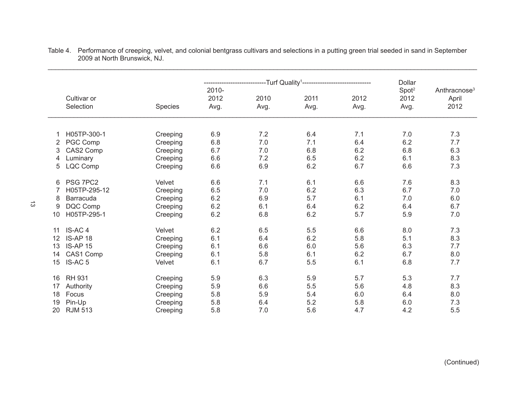|    |                          |          |                       | --Turf Quality <sup>1</sup> --- |              |              | Dollar                            |                                           |  |
|----|--------------------------|----------|-----------------------|---------------------------------|--------------|--------------|-----------------------------------|-------------------------------------------|--|
|    | Cultivar or<br>Selection | Species  | 2010-<br>2012<br>Avg. | 2010<br>Avg.                    | 2011<br>Avg. | 2012<br>Avg. | Spot <sup>2</sup><br>2012<br>Avg. | Anthracnose <sup>3</sup><br>April<br>2012 |  |
| 1  | H05TP-300-1              | Creeping | 6.9                   | 7.2                             | 6.4          | 7.1          | 7.0                               | 7.3                                       |  |
| 2  | PGC Comp                 | Creeping | 6.8                   | 7.0                             | 7.1          | 6.4          | 6.2                               | 7.7                                       |  |
| 3  | CAS2 Comp                | Creeping | 6.7                   | 7.0                             | 6.8          | 6.2          | 6.8                               | 6.3                                       |  |
| 4  | Luminary                 | Creeping | 6.6                   | 7.2                             | 6.5          | 6.2          | 6.1                               | 8.3                                       |  |
| 5  | LQC Comp                 | Creeping | 6.6                   | 6.9                             | 6.2          | 6.7          | 6.6                               | 7.3                                       |  |
| 6  | PSG 7PC2                 | Velvet   | 6.6                   | 7.1                             | 6.1          | 6.6          | 7.6                               | 8.3                                       |  |
| 7  | H05TP-295-12             | Creeping | 6.5                   | 7.0                             | 6.2          | 6.3          | 6.7                               | 7.0                                       |  |
| 8  | Barracuda                | Creeping | 6.2                   | 6.9                             | 5.7          | 6.1          | 7.0                               | 6.0                                       |  |
| 9  | DQC Comp                 | Creeping | 6.2                   | 6.1                             | 6.4          | 6.2          | 6.4                               | 6.7                                       |  |
| 10 | H05TP-295-1              | Creeping | 6.2                   | 6.8                             | 6.2          | 5.7          | 5.9                               | 7.0                                       |  |
| 11 | IS-AC <sub>4</sub>       | Velvet   | 6.2                   | 6.5                             | 5.5          | 6.6          | 8.0                               | 7.3                                       |  |
| 12 | IS-AP 18                 | Creeping | 6.1                   | 6.4                             | 6.2          | 5.8          | 5.1                               | 8.3                                       |  |
| 13 | <b>IS-AP 15</b>          | Creeping | 6.1                   | 6.6                             | 6.0          | 5.6          | 6.3                               | 7.7                                       |  |
| 14 | CAS1 Comp                | Creeping | 6.1                   | 5.8                             | 6.1          | 6.2          | 6.7                               | 8.0                                       |  |
| 15 | <b>IS-AC5</b>            | Velvet   | 6.1                   | 6.7                             | 5.5          | 6.1          | 6.8                               | 7.7                                       |  |
| 16 | <b>RH 931</b>            | Creeping | 5.9                   | 6.3                             | 5.9          | 5.7          | 5.3                               | 7.7                                       |  |
| 17 | Authority                | Creeping | 5.9                   | 6.6                             | 5.5          | 5.6          | 4.8                               | 8.3                                       |  |
| 18 | Focus                    | Creeping | 5.8                   | 5.9                             | 5.4          | 6.0          | 6.4                               | 8.0                                       |  |
| 19 | Pin-Up                   | Creeping | 5.8                   | 6.4                             | 5.2          | 5.8          | 6.0                               | 7.3                                       |  |
| 20 | <b>RJM 513</b>           | Creeping | 5.8                   | 7.0                             | 5.6          | 4.7          | 4.2                               | 5.5                                       |  |

Table 4. Performance of creeping, velvet, and colonial bentgrass cultivars and selections in a putting green trial seeded in sand in September 2009 at North Brunswick, NJ.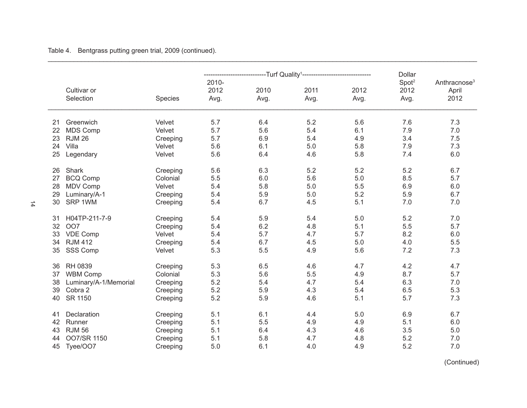|    |                          |          |                       | -----------------Turf                                 Quality <sup>1</sup> ------------------------- |              | Dollar       |                                   |                                           |
|----|--------------------------|----------|-----------------------|------------------------------------------------------------------------------------------------------|--------------|--------------|-----------------------------------|-------------------------------------------|
|    | Cultivar or<br>Selection | Species  | 2010-<br>2012<br>Avg. | 2010<br>Avg.                                                                                         | 2011<br>Avg. | 2012<br>Avg. | Spot <sup>2</sup><br>2012<br>Avg. | Anthracnose <sup>3</sup><br>April<br>2012 |
| 21 | Greenwich                | Velvet   | 5.7                   | 6.4                                                                                                  | 5.2          | 5.6          | 7.6                               | 7.3                                       |
| 22 | <b>MDS Comp</b>          | Velvet   | 5.7                   | 5.6                                                                                                  | 5.4          | 6.1          | 7.9                               | 7.0                                       |
| 23 | <b>RJM 26</b>            | Creeping | 5.7                   | 6.9                                                                                                  | 5.4          | 4.9          | 3.4                               | 7.5                                       |
| 24 | Villa                    | Velvet   | 5.6                   | 6.1                                                                                                  | 5.0          | 5.8          | 7.9                               | 7.3                                       |
| 25 | Legendary                | Velvet   | 5.6                   | 6.4                                                                                                  | 4.6          | 5.8          | 7.4                               | 6.0                                       |
| 26 | Shark                    | Creeping | 5.6                   | 6.3                                                                                                  | 5.2          | 5.2          | 5.2                               | 6.7                                       |
| 27 | <b>BCQ Comp</b>          | Colonial | 5.5                   | $6.0\,$                                                                                              | 5.6          | $5.0$        | 8.5                               | 5.7                                       |
| 28 | <b>MDV Comp</b>          | Velvet   | 5.4                   | 5.8                                                                                                  | 5.0          | 5.5          | 6.9                               | 6.0                                       |
| 29 | Luminary/A-1             | Creeping | 5.4                   | 5.9                                                                                                  | 5.0          | 5.2          | 5.9                               | 6.7                                       |
| 30 | SRP 1WM                  | Creeping | 5.4                   | 6.7                                                                                                  | 4.5          | 5.1          | 7.0                               | 7.0                                       |
| 31 | H04TP-211-7-9            | Creeping | 5.4                   | 5.9                                                                                                  | 5.4          | 5.0          | 5.2                               | 7.0                                       |
| 32 | OO7                      | Creeping | 5.4                   | 6.2                                                                                                  | 4.8          | 5.1          | 5.5                               | 5.7                                       |
| 33 | <b>VDE Comp</b>          | Velvet   | 5.4                   | 5.7                                                                                                  | 4.7          | 5.7          | 8.2                               | 6.0                                       |
| 34 | <b>RJM 412</b>           | Creeping | 5.4                   | 6.7                                                                                                  | 4.5          | 5.0          | 4.0                               | 5.5                                       |
| 35 | SSS Comp                 | Velvet   | 5.3                   | 5.5                                                                                                  | 4.9          | 5.6          | 7.2                               | 7.3                                       |
| 36 | RH 0839                  | Creeping | 5.3                   | 6.5                                                                                                  | 4.6          | 4.7          | 4.2                               | 4.7                                       |
| 37 | <b>WBM Comp</b>          | Colonial | 5.3                   | 5.6                                                                                                  | 5.5          | 4.9          | 8.7                               | 5.7                                       |
| 38 | Luminary/A-1/Memorial    | Creeping | 5.2                   | 5.4                                                                                                  | 4.7          | 5.4          | 6.3                               | 7.0                                       |
| 39 | Cobra 2                  | Creeping | 5.2                   | 5.9                                                                                                  | 4.3          | 5.4          | 6.5                               | 5.3                                       |
| 40 | SR 1150                  | Creeping | 5.2                   | 5.9                                                                                                  | 4.6          | 5.1          | 5.7                               | 7.3                                       |
| 41 | Declaration              | Creeping | 5.1                   | 6.1                                                                                                  | 4.4          | 5.0          | 6.9                               | 6.7                                       |
| 42 | Runner                   | Creeping | 5.1                   | 5.5                                                                                                  | 4.9          | 4.9          | 5.1                               | 6.0                                       |
| 43 | <b>RJM 56</b>            | Creeping | 5.1                   | 6.4                                                                                                  | 4.3          | 4.6          | 3.5                               | 5.0                                       |
| 44 | OO7/SR 1150              | Creeping | 5.1                   | 5.8                                                                                                  | 4.7          | 4.8          | 5.2                               | 7.0                                       |
| 45 | Tyee/OO7                 | Creeping | 5.0                   | 6.1                                                                                                  | 4.0          | 4.9          | 5.2                               | 7.0                                       |

\_\_\_\_\_\_\_\_\_\_\_\_\_\_\_\_\_\_\_\_\_\_\_\_\_\_\_\_\_\_\_\_\_\_\_\_\_\_\_\_\_\_\_\_\_\_\_\_\_\_\_\_\_\_\_\_\_\_\_\_\_\_\_\_\_\_\_\_\_\_\_\_\_\_\_\_\_\_\_\_\_\_\_\_\_\_\_\_\_\_\_\_\_\_\_\_\_\_\_\_\_\_\_\_\_\_\_\_\_\_\_\_\_\_\_\_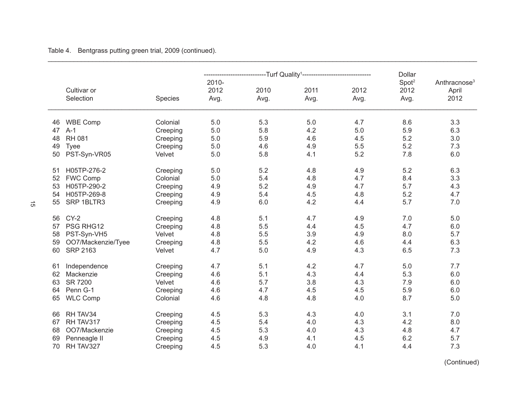|    |                          |                    |                       | ---------------------Turf Quality <sup>1</sup> -------------------------- |              | <b>Dollar</b> |                                   |                                           |
|----|--------------------------|--------------------|-----------------------|---------------------------------------------------------------------------|--------------|---------------|-----------------------------------|-------------------------------------------|
|    | Cultivar or<br>Selection | Species            | 2010-<br>2012<br>Avg. | 2010<br>Avg.                                                              | 2011<br>Avg. | 2012<br>Avg.  | Spot <sup>2</sup><br>2012<br>Avg. | Anthracnose <sup>3</sup><br>April<br>2012 |
| 46 | <b>WBE Comp</b>          | Colonial           | 5.0                   | 5.3                                                                       | 5.0          | 4.7           | 8.6                               | 3.3                                       |
| 47 | $A-1$                    | Creeping           | 5.0                   | 5.8                                                                       | 4.2          | 5.0           | 5.9                               | 6.3                                       |
| 48 | <b>RH 081</b>            | Creeping           | 5.0                   | 5.9                                                                       | 4.6          | 4.5           | 5.2                               | 3.0                                       |
| 49 | <b>Tyee</b>              |                    | 5.0                   | 4.6                                                                       | 4.9          | 5.5           | 5.2                               | 7.3                                       |
| 50 | PST-Syn-VR05             | Creeping<br>Velvet | 5.0                   | 5.8                                                                       | 4.1          | 5.2           | 7.8                               | 6.0                                       |
|    |                          |                    |                       |                                                                           |              |               |                                   |                                           |
| 51 | H05TP-276-2              | Creeping           | 5.0                   | 5.2                                                                       | 4.8          | 4.9           | 5.2                               | 6.3                                       |
| 52 | <b>FWC Comp</b>          | Colonial           | 5.0                   | 5.4                                                                       | 4.8          | 4.7           | 8.4                               | 3.3                                       |
| 53 | H05TP-290-2              | Creeping           | 4.9                   | 5.2                                                                       | 4.9          | 4.7           | 5.7                               | 4.3                                       |
| 54 | H05TP-269-8              | Creeping           | 4.9                   | 5.4                                                                       | 4.5          | 4.8           | 5.2                               | 4.7                                       |
| 55 | SRP 1BLTR3               | Creeping           | 4.9                   | 6.0                                                                       | 4.2          | 4.4           | 5.7                               | 7.0                                       |
|    |                          |                    |                       |                                                                           |              |               |                                   |                                           |
| 56 | $CY-2$                   | Creeping           | 4.8                   | 5.1                                                                       | 4.7          | 4.9           | 7.0                               | 5.0                                       |
| 57 | PSG RHG12                | Creeping           | 4.8                   | 5.5                                                                       | 4.4          | 4.5           | 4.7                               | 6.0                                       |
| 58 | PST-Syn-VH5              | Velvet             | 4.8                   | 5.5                                                                       | 3.9          | 4.9           | 8.0                               | 5.7                                       |
| 59 | OO7/Mackenzie/Tyee       | Creeping           | 4.8                   | 5.5                                                                       | 4.2          | 4.6           | 4.4                               | 6.3                                       |
| 60 | <b>SRP 2163</b>          | Velvet             | 4.7                   | 5.0                                                                       | 4.9          | 4.3           | 6.5                               | 7.3                                       |
|    |                          |                    |                       |                                                                           |              |               |                                   |                                           |
| 61 | Independence             | Creeping           | 4.7                   | 5.1                                                                       | 4.2          | 4.7           | 5.0                               | 7.7                                       |
| 62 | Mackenzie                | Creeping           | 4.6                   | 5.1                                                                       | 4.3          | 4.4           | 5.3                               | 6.0                                       |
| 63 | SR 7200                  | Velvet             | 4.6                   | 5.7                                                                       | 3.8          | 4.3           | 7.9                               | 6.0                                       |
| 64 | Penn G-1                 | Creeping           | 4.6                   | 4.7                                                                       | 4.5          | 4.5           | 5.9                               | 6.0                                       |
| 65 | <b>WLC Comp</b>          | Colonial           | 4.6                   | 4.8                                                                       | 4.8          | 4.0           | 8.7                               | 5.0                                       |
|    |                          |                    |                       |                                                                           |              |               |                                   |                                           |
| 66 | RH TAV34                 | Creeping           | 4.5                   | 5.3                                                                       | 4.3          | 4.0           | 3.1                               | 7.0                                       |
| 67 | RH TAV317                | Creeping           | 4.5                   | 5.4                                                                       | 4.0          | 4.3           | 4.2                               | 8.0                                       |
| 68 | OO7/Mackenzie            | Creeping           | 4.5                   | 5.3                                                                       | 4.0          | 4.3           | 4.8                               | 4.7                                       |
| 69 | Penneagle II             | Creeping           | 4.5                   | 4.9                                                                       | 4.1          | 4.5           | 6.2                               | 5.7                                       |
| 70 | RH TAV327                | Creeping           | 4.5                   | 5.3                                                                       | 4.0          | 4.1           | 4.4                               | 7.3                                       |

\_\_\_\_\_\_\_\_\_\_\_\_\_\_\_\_\_\_\_\_\_\_\_\_\_\_\_\_\_\_\_\_\_\_\_\_\_\_\_\_\_\_\_\_\_\_\_\_\_\_\_\_\_\_\_\_\_\_\_\_\_\_\_\_\_\_\_\_\_\_\_\_\_\_\_\_\_\_\_\_\_\_\_\_\_\_\_\_\_\_\_\_\_\_\_\_\_\_\_\_\_\_\_\_\_\_\_\_\_\_\_\_\_\_\_\_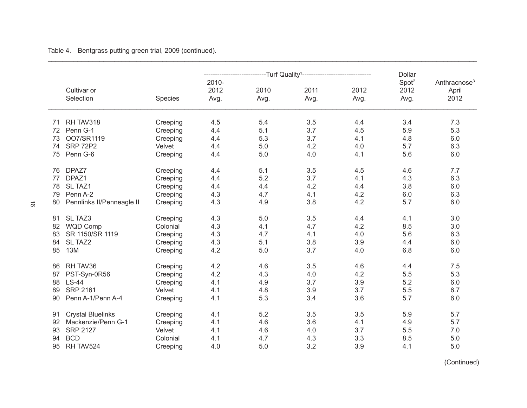|    |                           |          |                       | -----------------Turf Quality <sup>1</sup> ------------------- |              | <b>Dollar</b> |                                   |                                           |
|----|---------------------------|----------|-----------------------|----------------------------------------------------------------|--------------|---------------|-----------------------------------|-------------------------------------------|
|    | Cultivar or<br>Selection  | Species  | 2010-<br>2012<br>Avg. | 2010<br>Avg.                                                   | 2011<br>Avg. | 2012<br>Avg.  | Spot <sup>2</sup><br>2012<br>Avg. | Anthracnose <sup>3</sup><br>April<br>2012 |
| 71 | RH TAV318                 | Creeping | 4.5                   | 5.4                                                            | 3.5          | 4.4           | 3.4                               | 7.3                                       |
| 72 | Penn G-1                  | Creeping | 4.4                   | 5.1                                                            | 3.7          | 4.5           | 5.9                               | 5.3                                       |
| 73 | OO7/SR1119                | Creeping | 4.4                   | 5.3                                                            | 3.7          | 4.1           | 4.8                               | 6.0                                       |
| 74 | <b>SRP 72P2</b>           | Velvet   | 4.4                   | 5.0                                                            | 4.2          | 4.0           | 5.7                               | 6.3                                       |
| 75 | Penn G-6                  | Creeping | 4.4                   | 5.0                                                            | 4.0          | 4.1           | 5.6                               | 6.0                                       |
| 76 | DPAZ7                     | Creeping | 4.4                   | 5.1                                                            | 3.5          | 4.5           | 4.6                               | 7.7                                       |
| 77 | DPAZ1                     | Creeping | 4.4                   | 5.2                                                            | 3.7          | 4.1           | 4.3                               | 6.3                                       |
| 78 | SL TAZ1                   | Creeping | 4.4                   | 4.4                                                            | 4.2          | 4.4           | 3.8                               | 6.0                                       |
| 79 | Penn A-2                  | Creeping | 4.3                   | 4.7                                                            | 4.1          | 4.2           | 6.0                               | 6.3                                       |
| 80 | Pennlinks II/Penneagle II | Creeping | 4.3                   | 4.9                                                            | 3.8          | 4.2           | 5.7                               | 6.0                                       |
| 81 | SL TAZ3                   | Creeping | 4.3                   | 5.0                                                            | 3.5          | 4.4           | 4.1                               | 3.0                                       |
| 82 | <b>WQD Comp</b>           | Colonial | 4.3                   | 4.1                                                            | 4.7          | 4.2           | 8.5                               | 3.0                                       |
| 83 | SR 1150/SR 1119           | Creeping | 4.3                   | 4.7                                                            | 4.1          | 4.0           | 5.6                               | 6.3                                       |
| 84 | SL TAZ2                   | Creeping | 4.3                   | 5.1                                                            | 3.8          | 3.9           | 4.4                               | 6.0                                       |
| 85 | 13M                       | Creeping | 4.2                   | 5.0                                                            | 3.7          | 4.0           | 6.8                               | 6.0                                       |
| 86 | RH TAV36                  | Creeping | 4.2                   | 4.6                                                            | 3.5          | 4.6           | 4.4                               | 7.5                                       |
| 87 | PST-Syn-0R56              | Creeping | 4.2                   | 4.3                                                            | 4.0          | 4.2           | 5.5                               | 5.3                                       |
| 88 | <b>LS-44</b>              | Creeping | 4.1                   | 4.9                                                            | 3.7          | 3.9           | 5.2                               | 6.0                                       |
| 89 | <b>SRP 2161</b>           | Velvet   | 4.1                   | 4.8                                                            | 3.9          | 3.7           | 5.5                               | 6.7                                       |
| 90 | Penn A-1/Penn A-4         | Creeping | 4.1                   | 5.3                                                            | 3.4          | 3.6           | 5.7                               | 6.0                                       |
| 91 | <b>Crystal Bluelinks</b>  | Creeping | 4.1                   | 5.2                                                            | 3.5          | 3.5           | 5.9                               | 5.7                                       |
| 92 | Mackenzie/Penn G-1        | Creeping | 4.1                   | 4.6                                                            | 3.6          | 4.1           | 4.9                               | 5.7                                       |
| 93 | <b>SRP 2127</b>           | Velvet   | 4.1                   | 4.6                                                            | 4.0          | 3.7           | 5.5                               | 7.0                                       |
| 94 | <b>BCD</b>                | Colonial | 4.1                   | 4.7                                                            | 4.3          | 3.3           | 8.5                               | 5.0                                       |
| 95 | RH TAV524                 | Creeping | 4.0                   | 5.0                                                            | 3.2          | 3.9           | 4.1                               | 5.0                                       |

\_\_\_\_\_\_\_\_\_\_\_\_\_\_\_\_\_\_\_\_\_\_\_\_\_\_\_\_\_\_\_\_\_\_\_\_\_\_\_\_\_\_\_\_\_\_\_\_\_\_\_\_\_\_\_\_\_\_\_\_\_\_\_\_\_\_\_\_\_\_\_\_\_\_\_\_\_\_\_\_\_\_\_\_\_\_\_\_\_\_\_\_\_\_\_\_\_\_\_\_\_\_\_\_\_\_\_\_\_\_\_\_\_\_\_\_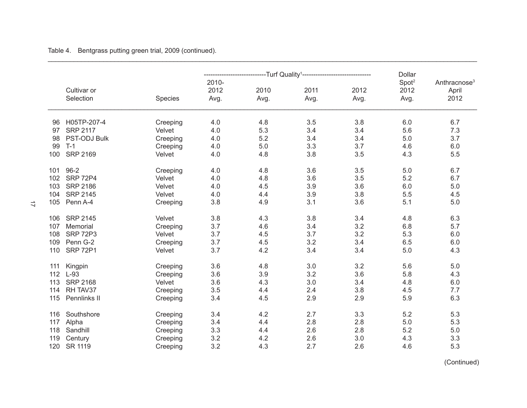|     |                          |                    |                       | -----------------Turf Quality <sup>1</sup> ------------------- |              | Dollar       |                                   |                                           |
|-----|--------------------------|--------------------|-----------------------|----------------------------------------------------------------|--------------|--------------|-----------------------------------|-------------------------------------------|
|     | Cultivar or<br>Selection | Species            | 2010-<br>2012<br>Avg. | 2010<br>Avg.                                                   | 2011<br>Avg. | 2012<br>Avg. | Spot <sup>2</sup><br>2012<br>Avg. | Anthracnose <sup>3</sup><br>April<br>2012 |
| 96  | H05TP-207-4              |                    | 4.0                   | 4.8                                                            | 3.5          | 3.8          | 6.0                               | 6.7                                       |
| 97  | <b>SRP 2117</b>          | Creeping<br>Velvet | 4.0                   | 5.3                                                            | 3.4          | 3.4          | 5.6                               | 7.3                                       |
| 98  | <b>PST-ODJ Bulk</b>      | Creeping           | 4.0                   | 5.2                                                            | 3.4          | 3.4          | 5.0                               | 3.7                                       |
| 99  | $T-1$                    | Creeping           | 4.0                   | 5.0                                                            | 3.3          | 3.7          | 4.6                               | 6.0                                       |
| 100 | <b>SRP 2169</b>          | Velvet             | 4.0                   | 4.8                                                            | 3.8          | 3.5          | 4.3                               | 5.5                                       |
|     |                          |                    |                       |                                                                |              |              |                                   |                                           |
| 101 | $96 - 2$                 | Creeping           | 4.0                   | 4.8                                                            | 3.6          | 3.5          | 5.0                               | 6.7                                       |
| 102 | <b>SRP 72P4</b>          | Velvet             | 4.0                   | 4.8                                                            | 3.6          | 3.5          | 5.2                               | 6.7                                       |
| 103 | <b>SRP 2186</b>          | Velvet             | 4.0                   | 4.5                                                            | 3.9          | 3.6          | 6.0                               | 5.0                                       |
| 104 | <b>SRP 2145</b>          | Velvet             | 4.0                   | 4.4                                                            | 3.9          | 3.8          | 5.5                               | 4.5                                       |
| 105 | Penn A-4                 | Creeping           | 3.8                   | 4.9                                                            | 3.1          | 3.6          | 5.1                               | 5.0                                       |
|     |                          |                    |                       |                                                                |              |              |                                   |                                           |
| 106 | <b>SRP 2145</b>          | Velvet             | 3.8                   | 4.3                                                            | 3.8          | 3.4          | 4.8                               | 6.3                                       |
| 107 | Memorial                 | Creeping           | 3.7                   | 4.6                                                            | 3.4          | 3.2          | 6.8                               | 5.7                                       |
| 108 | <b>SRP 72P3</b>          | Velvet             | 3.7                   | 4.5                                                            | 3.7          | 3.2          | 5.3                               | 6.0                                       |
| 109 | Penn G-2                 | Creeping           | 3.7                   | 4.5                                                            | 3.2          | 3.4          | 6.5                               | 6.0                                       |
| 110 | <b>SRP 72P1</b>          | Velvet             | 3.7                   | 4.2                                                            | 3.4          | 3.4          | 5.0                               | 4.3                                       |
| 111 | Kingpin                  | Creeping           | 3.6                   | 4.8                                                            | 3.0          | 3.2          | 5.6                               | 5.0                                       |
| 112 | $L-93$                   | Creeping           | 3.6                   | 3.9                                                            | 3.2          | 3.6          | 5.8                               | 4.3                                       |
| 113 | <b>SRP 2168</b>          | Velvet             | 3.6                   | 4.3                                                            | 3.0          | 3.4          | 4.8                               | 6.0                                       |
| 114 | RH TAV37                 | Creeping           | 3.5                   | 4.4                                                            | 2.4          | 3.8          | 4.5                               | 7.7                                       |
| 115 | Pennlinks II             | Creeping           | 3.4                   | 4.5                                                            | 2.9          | 2.9          | 5.9                               | 6.3                                       |
|     |                          |                    |                       |                                                                |              |              |                                   |                                           |
| 116 | Southshore               | Creeping           | 3.4                   | 4.2<br>4.4                                                     | 2.7          | 3.3          | 5.2                               | 5.3                                       |
| 117 | Alpha                    | Creeping           | 3.4                   |                                                                | 2.8          | 2.8          | 5.0                               | 5.3                                       |
| 118 | Sandhill                 | Creeping           | 3.3                   | 4.4                                                            | 2.6          | 2.8          | 5.2                               | 5.0                                       |
| 119 | Century                  | Creeping           | 3.2                   | 4.2                                                            | 2.6          | 3.0          | 4.3                               | 3.3                                       |
| 120 | SR 1119                  | Creeping           | 3.2                   | 4.3                                                            | 2.7          | 2.6          | 4.6                               | 5.3                                       |

\_\_\_\_\_\_\_\_\_\_\_\_\_\_\_\_\_\_\_\_\_\_\_\_\_\_\_\_\_\_\_\_\_\_\_\_\_\_\_\_\_\_\_\_\_\_\_\_\_\_\_\_\_\_\_\_\_\_\_\_\_\_\_\_\_\_\_\_\_\_\_\_\_\_\_\_\_\_\_\_\_\_\_\_\_\_\_\_\_\_\_\_\_\_\_\_\_\_\_\_\_\_\_\_\_\_\_\_\_\_\_\_\_\_\_\_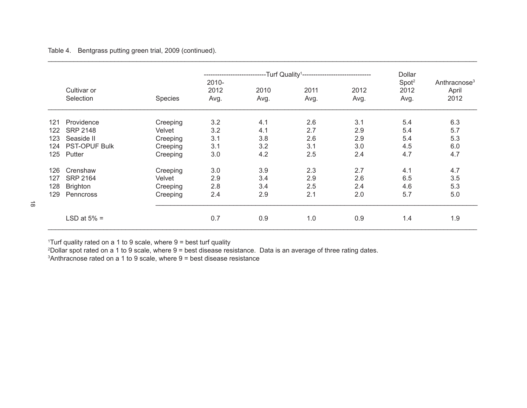|     |                          |          |                       | ---Turf Quality <sup>1</sup> ----------------------------- | Dollar       |              |                                   |                                           |
|-----|--------------------------|----------|-----------------------|------------------------------------------------------------|--------------|--------------|-----------------------------------|-------------------------------------------|
|     | Cultivar or<br>Selection | Species  | 2010-<br>2012<br>Avg. | 2010<br>Avg.                                               | 2011<br>Avg. | 2012<br>Avg. | Spot <sup>2</sup><br>2012<br>Avg. | Anthracnose <sup>3</sup><br>April<br>2012 |
| 121 | Providence               | Creeping | 3.2                   | 4.1                                                        | 2.6          | 3.1          | 5.4                               | 6.3                                       |
| 122 | <b>SRP 2148</b>          | Velvet   | 3.2                   | 4.1                                                        | 2.7          | 2.9          | 5.4                               | 5.7                                       |
| 123 | Seaside II               | Creeping | 3.1                   | 3.8                                                        | 2.6          | 2.9          | 5.4                               | 5.3                                       |
| 124 | <b>PST-OPUF Bulk</b>     | Creeping | 3.1                   | 3.2                                                        | 3.1          | 3.0          | 4.5                               | 6.0                                       |
| 125 | Putter                   | Creeping | 3.0                   | 4.2                                                        | 2.5          | 2.4          | 4.7                               | 4.7                                       |
| 126 | Crenshaw                 | Creeping | 3.0                   | 3.9                                                        | 2.3          | 2.7          | 4.1                               | 4.7                                       |
| 127 | <b>SRP 2164</b>          | Velvet   | 2.9                   | 3.4                                                        | 2.9          | 2.6          | 6.5                               | 3.5                                       |
| 128 | <b>Brighton</b>          | Creeping | 2.8                   | 3.4                                                        | 2.5          | 2.4          | 4.6                               | 5.3                                       |
| 129 | Penncross                | Creeping | 2.4                   | 2.9                                                        | 2.1          | 2.0          | 5.7                               | 5.0                                       |
|     | LSD at $5\%$ =           |          | 0.7                   | 0.9                                                        | 1.0          | 0.9          | 1.4                               | 1.9                                       |

\_\_\_\_\_\_\_\_\_\_\_\_\_\_\_\_\_\_\_\_\_\_\_\_\_\_\_\_\_\_\_\_\_\_\_\_\_\_\_\_\_\_\_\_\_\_\_\_\_\_\_\_\_\_\_\_\_\_\_\_\_\_\_\_\_\_\_\_\_\_\_\_\_\_\_\_\_\_\_\_\_\_\_\_\_\_\_\_\_\_\_\_\_\_\_\_\_\_\_\_\_\_\_\_\_\_\_\_\_\_\_\_\_\_\_\_

1 Turf quality rated on a 1 to 9 scale, where 9 = best turf quality

2 Dollar spot rated on a 1 to 9 scale, where 9 = best disease resistance. Data is an average of three rating dates.

3 Anthracnose rated on a 1 to 9 scale, where 9 = best disease resistance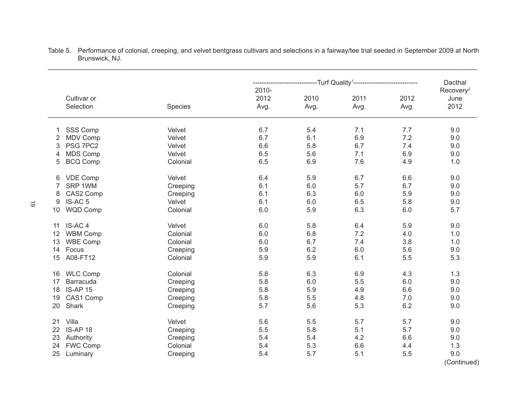|                                                                   |                                  | -----------------------Turf                Quality <sup>1</sup> ----------------------------- | Dacthal           |                   |                       |                                       |
|-------------------------------------------------------------------|----------------------------------|-----------------------------------------------------------------------------------------------|-------------------|-------------------|-----------------------|---------------------------------------|
| Cultivar or<br>Selection                                          | Species                          | 2010-<br>2012<br>Avg.                                                                         | 2010<br>Avg.      | 2011<br>Avg.      | 2012<br>Avg.          | Recovery <sup>2</sup><br>June<br>2012 |
| SSS Comp<br>1<br><b>MDV Comp</b><br>2                             | Velvet<br>Velvet                 | 6.7<br>6.7                                                                                    | 5.4<br>6.1        | 7.1<br>6.9        | 7.7<br>7.2            | 9.0<br>9.0                            |
| PSG 7PC2<br>3<br><b>MDS Comp</b><br>4                             | Velvet<br>Velvet                 | 6.6<br>6.5                                                                                    | 5.8<br>5.6        | 6.7<br>7.1        | 7.4<br>6.9            | 9.0<br>9.0                            |
| <b>BCQ Comp</b><br>5                                              | Colonial                         | 6.5                                                                                           | 6.9               | 7.6               | 4.9                   | 1.0                                   |
| <b>VDE Comp</b><br>6<br>SRP 1WM<br>7                              | Velvet<br>Creeping               | 6.4<br>6.1                                                                                    | 5.9<br>6.0        | 6.7<br>5.7        | 6.6<br>6.7            | 9.0<br>9.0                            |
| CAS2 Comp<br>8<br>IS-AC <sub>5</sub><br>9                         | Creeping<br>Velvet               | 6.1<br>6.1                                                                                    | 6.3<br>6.0        | 6.0<br>6.5        | 5.9<br>5.8            | 9.0<br>9.0                            |
| <b>WQD Comp</b><br>10                                             | Colonial                         | 6.0                                                                                           | 5.9               | 6.3               | 6.0                   | 5.7                                   |
| IS-AC <sub>4</sub><br>11<br><b>WBM Comp</b><br>12                 | Velvet<br>Colonial               | 6.0<br>6.0                                                                                    | 5.8<br>6.8        | 6.4<br>7.2        | 5.9<br>4.0            | 9.0<br>1.0                            |
| <b>WBE Comp</b><br>13<br>Focus<br>14                              | Colonial<br>Creeping             | 6.0<br>5.9                                                                                    | 6.7<br>6.2        | 7.4<br>6.0        | 3.8<br>5.6            | 1.0<br>9.0                            |
| A08-FT12<br>15                                                    | Colonial                         | 5.9                                                                                           | 5.9               | 6.1               | 5.5                   | 5.3                                   |
| <b>WLC Comp</b><br>16<br>Barracuda<br>17<br><b>IS-AP 15</b><br>18 | Colonial<br>Creeping<br>Creeping | 5.8<br>5.8<br>5.8                                                                             | 6.3<br>6.0<br>5.9 | 6.9<br>5.5<br>4.9 | 4.3<br>$6.0\,$<br>6.6 | 1.3<br>9.0<br>9.0                     |
| CAS1 Comp<br>19<br>Shark<br>20                                    | Creeping<br>Creeping             | 5.8<br>5.7                                                                                    | 5.5<br>5.6        | 4.8<br>5.3        | 7.0<br>6.2            | 9.0<br>9.0                            |
| Villa<br>21<br>IS-AP 18<br>22                                     | Velvet<br>Creeping               | 5.6<br>5.5                                                                                    | 5.5<br>5.8        | 5.7<br>5.1        | 5.7<br>5.7            | 9.0<br>9.0                            |
| 23<br>Authority<br><b>FWC Comp</b><br>24<br>25<br>Luminary        | Creeping<br>Colonial<br>Creeping | 5.4<br>5.4<br>5.4                                                                             | 5.4<br>5.3<br>5.7 | 4.2<br>6.6<br>5.1 | 6.6<br>4.4<br>5.5     | 9.0<br>1.3<br>9.0                     |
|                                                                   |                                  |                                                                                               |                   |                   |                       | (Continued)                           |

\_\_\_\_\_\_\_\_\_\_\_\_\_\_\_\_\_\_\_\_\_\_\_\_\_\_\_\_\_\_\_\_\_\_\_\_\_\_\_\_\_\_\_\_\_\_\_\_\_\_\_\_\_\_\_\_\_\_\_\_\_\_\_\_\_\_\_\_\_\_\_\_\_\_\_\_\_\_\_\_\_\_\_\_\_\_\_\_\_\_\_\_\_\_\_\_\_\_\_\_\_\_\_\_\_\_\_\_\_\_\_\_\_\_\_\_ Table 5. Performance of colonial, creeping, and velvet bentgrass cultivars and selections in a fairway/tee trial seeded in September 2009 at North Brunswick, NJ.

 $\vec{\circ}$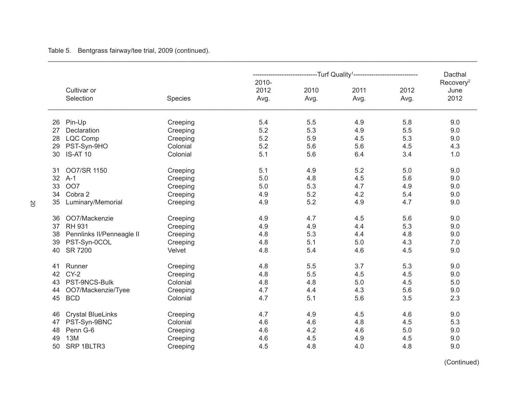Table 5. Bentgrass fairway/tee trial, 2009 (continued).

|                                 |          |                       |              | -----------------------Turf                Quality <sup>1</sup> ----------------------------- |              | Dacthal                               |
|---------------------------------|----------|-----------------------|--------------|-----------------------------------------------------------------------------------------------|--------------|---------------------------------------|
| Cultivar or<br>Selection        | Species  | 2010-<br>2012<br>Avg. | 2010<br>Avg. | 2011<br>Avg.                                                                                  | 2012<br>Avg. | Recovery <sup>2</sup><br>June<br>2012 |
|                                 |          |                       |              |                                                                                               |              |                                       |
| Pin-Up<br>26                    | Creeping | 5.4                   | 5.5          | 4.9                                                                                           | 5.8          | 9.0                                   |
| 27<br>Declaration               | Creeping | 5.2                   | 5.3          | 4.9                                                                                           | 5.5          | 9.0                                   |
| <b>LQC Comp</b><br>28           | Creeping | 5.2                   | 5.9          | 4.5                                                                                           | 5.3          | 9.0                                   |
| 29<br>PST-Syn-9HO               | Colonial | 5.2                   | 5.6          | 5.6                                                                                           | 4.5          | 4.3                                   |
| <b>IS-AT 10</b><br>30           | Colonial | 5.1                   | 5.6          | 6.4                                                                                           | 3.4          | 1.0                                   |
| OO7/SR 1150<br>31               | Creeping | 5.1                   | 4.9          | 5.2                                                                                           | 5.0          | 9.0                                   |
| $A-1$<br>32                     | Creeping | 5.0                   | 4.8          | 4.5                                                                                           | 5.6          | 9.0                                   |
| OO7<br>33                       |          | 5.0                   | 5.3          | 4.7                                                                                           | 4.9          | 9.0                                   |
| Cobra 2                         | Creeping |                       | 5.2          | 4.2                                                                                           | 5.4          |                                       |
| 34                              | Creeping | 4.9                   | 5.2          |                                                                                               | 4.7          | 9.0                                   |
| Luminary/Memorial<br>35         | Creeping | 4.9                   |              | 4.9                                                                                           |              | 9.0                                   |
| OO7/Mackenzie<br>36             | Creeping | 4.9                   | 4.7          | 4.5                                                                                           | 5.6          | 9.0                                   |
| <b>RH 931</b><br>37             | Creeping | 4.9                   | 4.9          | 4.4                                                                                           | 5.3          | 9.0                                   |
| Pennlinks II/Penneagle II<br>38 | Creeping | 4.8                   | 5.3          | 4.4                                                                                           | 4.8          | 9.0                                   |
| PST-Syn-0COL<br>39              | Creeping | 4.8                   | 5.1          | 5.0                                                                                           | 4.3          | 7.0                                   |
| SR 7200<br>40                   | Velvet   | 4.8                   | 5.4          | 4.6                                                                                           | 4.5          | 9.0                                   |
| Runner<br>41                    | Creeping | 4.8                   | 5.5          | 3.7                                                                                           | 5.3          | 9.0                                   |
| $CY-2$<br>42                    | Creeping | 4.8                   | 5.5          | 4.5                                                                                           | 4.5          | 9.0                                   |
| PST-9NCS-Bulk<br>43             | Colonial | 4.8                   | 4.8          | 5.0                                                                                           | 4.5          | 5.0                                   |
| OO7/Mackenzie/Tyee<br>44        | Creeping | 4.7                   | 4.4          | 4.3                                                                                           | 5.6          | 9.0                                   |
| <b>BCD</b><br>45                | Colonial | 4.7                   | 5.1          | 5.6                                                                                           | 3.5          | 2.3                                   |
|                                 |          |                       |              |                                                                                               |              |                                       |
| <b>Crystal BlueLinks</b><br>46  | Creeping | 4.7                   | 4.9          | 4.5                                                                                           | 4.6          | 9.0                                   |
| PST-Syn-9BNC<br>47              | Colonial | 4.6                   | 4.6          | 4.8                                                                                           | 4.5          | 5.3                                   |
| Penn G-6<br>48                  | Creeping | 4.6                   | 4.2          | 4.6                                                                                           | 5.0          | 9.0                                   |
| <b>13M</b><br>49                | Creeping | 4.6                   | 4.5          | 4.9                                                                                           | 4.5          | 9.0                                   |
| SRP 1BLTR3<br>50                | Creeping | 4.5                   | 4.8          | 4.0                                                                                           | 4.8          | 9.0                                   |

\_\_\_\_\_\_\_\_\_\_\_\_\_\_\_\_\_\_\_\_\_\_\_\_\_\_\_\_\_\_\_\_\_\_\_\_\_\_\_\_\_\_\_\_\_\_\_\_\_\_\_\_\_\_\_\_\_\_\_\_\_\_\_\_\_\_\_\_\_\_\_\_\_\_\_\_\_\_\_\_\_\_\_\_\_\_\_\_\_\_\_\_\_\_\_\_\_\_\_\_\_\_\_\_\_\_\_\_\_\_\_\_\_\_\_\_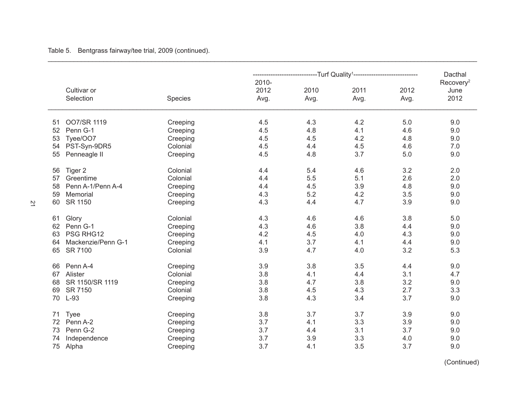Table 5. Bentgrass fairway/tee trial, 2009 (continued).

|                          |          |               | ----------------------Turf                Quality <sup>1</sup> ----------------------------- |      |      | Dacthal                       |
|--------------------------|----------|---------------|----------------------------------------------------------------------------------------------|------|------|-------------------------------|
| Cultivar or              |          | 2010-<br>2012 | 2010                                                                                         | 2011 | 2012 | Recovery <sup>2</sup><br>June |
| Selection                | Species  | Avg.          | Avg.                                                                                         | Avg. | Avg. | 2012                          |
| OO7/SR 1119<br>51        | Creeping | 4.5           | 4.3                                                                                          | 4.2  | 5.0  | 9.0                           |
| Penn G-1<br>52           | Creeping | 4.5           | 4.8                                                                                          | 4.1  | 4.6  | 9.0                           |
| Tyee/OO7<br>53           | Creeping | 4.5           | 4.5                                                                                          | 4.2  | 4.8  | 9.0                           |
| PST-Syn-9DR5<br>54       | Colonial | 4.5           | 4.4                                                                                          | 4.5  | 4.6  | 7.0                           |
| 55<br>Penneagle II       | Creeping | 4.5           | 4.8                                                                                          | 3.7  | 5.0  | 9.0                           |
| Tiger 2<br>56            | Colonial | 4.4           | 5.4                                                                                          | 4.6  | 3.2  | 2.0                           |
| Greentime<br>57          | Colonial | 4.4           | 5.5                                                                                          | 5.1  | 2.6  | 2.0                           |
| Penn A-1/Penn A-4<br>58  | Creeping | 4.4           | 4.5                                                                                          | 3.9  | 4.8  | 9.0                           |
| Memorial<br>59           | Creeping | 4.3           | 5.2                                                                                          | 4.2  | 3.5  | 9.0                           |
| SR 1150<br>60            | Creeping | 4.3           | 4.4                                                                                          | 4.7  | 3.9  | 9.0                           |
| Glory<br>61              | Colonial | 4.3           | 4.6                                                                                          | 4.6  | 3.8  | $5.0$                         |
| Penn G-1<br>62           | Creeping | 4.3           | 4.6                                                                                          | 3.8  | 4.4  | 9.0                           |
| PSG RHG12<br>63          | Creeping | 4.2           | 4.5                                                                                          | 4.0  | 4.3  | 9.0                           |
| Mackenzie/Penn G-1<br>64 | Creeping | 4.1           | 3.7                                                                                          | 4.1  | 4.4  | 9.0                           |
| SR 7100<br>65            | Colonial | 3.9           | 4.7                                                                                          | 4.0  | 3.2  | 5.3                           |
| Penn A-4<br>66           | Creeping | 3.9           | 3.8                                                                                          | 3.5  | 4.4  | 9.0                           |
| Alister<br>67            | Colonial | 3.8           | 4.1                                                                                          | 4.4  | 3.1  | 4.7                           |
| SR 1150/SR 1119<br>68    | Creeping | 3.8           | 4.7                                                                                          | 3.8  | 3.2  | 9.0                           |
| SR 7150<br>69            | Colonial | 3.8           | 4.5                                                                                          | 4.3  | 2.7  | 3.3                           |
| $L-93$<br>70             | Creeping | 3.8           | 4.3                                                                                          | 3.4  | 3.7  | 9.0                           |
| <b>Tyee</b><br>71        | Creeping | 3.8           | 3.7                                                                                          | 3.7  | 3.9  | 9.0                           |
| Penn A-2<br>72           | Creeping | 3.7           | 4.1                                                                                          | 3.3  | 3.9  | 9.0                           |
| Penn G-2<br>73           | Creeping | 3.7           | 4.4                                                                                          | 3.1  | 3.7  | 9.0                           |
| Independence<br>74       | Creeping | 3.7           | 3.9                                                                                          | 3.3  | 4.0  | 9.0                           |
| 75<br>Alpha              | Creeping | 3.7           | 4.1                                                                                          | 3.5  | 3.7  | 9.0                           |

\_\_\_\_\_\_\_\_\_\_\_\_\_\_\_\_\_\_\_\_\_\_\_\_\_\_\_\_\_\_\_\_\_\_\_\_\_\_\_\_\_\_\_\_\_\_\_\_\_\_\_\_\_\_\_\_\_\_\_\_\_\_\_\_\_\_\_\_\_\_\_\_\_\_\_\_\_\_\_\_\_\_\_\_\_\_\_\_\_\_\_\_\_\_\_\_\_\_\_\_\_\_\_\_\_\_\_\_\_\_\_\_\_\_\_\_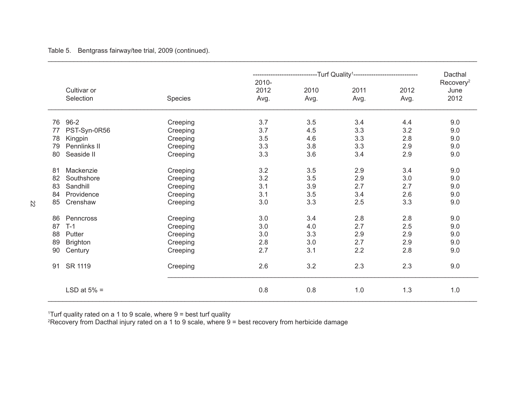| Table 5. |  |  |  | Bentgrass fairway/tee trial, 2009 (continued). |
|----------|--|--|--|------------------------------------------------|
|----------|--|--|--|------------------------------------------------|

|    |                          |          | ----------------------Turf                Quality <sup>1</sup> ----------------------------- | Dacthal      |              |              |                       |
|----|--------------------------|----------|----------------------------------------------------------------------------------------------|--------------|--------------|--------------|-----------------------|
|    |                          |          | 2010-                                                                                        |              |              |              | Recovery <sup>2</sup> |
|    | Cultivar or<br>Selection | Species  | 2012<br>Avg.                                                                                 | 2010<br>Avg. | 2011<br>Avg. | 2012<br>Avg. | June<br>2012          |
|    |                          |          |                                                                                              |              |              |              |                       |
| 76 | $96 - 2$                 | Creeping | 3.7                                                                                          | 3.5          | 3.4          | 4.4          | 9.0                   |
| 77 | PST-Syn-0R56             | Creeping | 3.7                                                                                          | 4.5          | 3.3          | 3.2          | 9.0                   |
| 78 | Kingpin                  | Creeping | 3.5                                                                                          | 4.6          | 3.3          | 2.8          | 9.0                   |
| 79 | Pennlinks II             | Creeping | 3.3                                                                                          | 3.8          | 3.3          | 2.9          | 9.0                   |
| 80 | Seaside II               | Creeping | 3.3                                                                                          | 3.6          | 3.4          | 2.9          | 9.0                   |
| 81 | Mackenzie                | Creeping | 3.2                                                                                          | 3.5          | 2.9          | 3.4          | 9.0                   |
| 82 | Southshore               | Creeping | 3.2                                                                                          | 3.5          | 2.9          | 3.0          | 9.0                   |
| 83 | Sandhill                 | Creeping | 3.1                                                                                          | 3.9          | 2.7          | 2.7          | 9.0                   |
| 84 | Providence               | Creeping | 3.1                                                                                          | 3.5          | 3.4          | 2.6          | 9.0                   |
| 85 | Crenshaw                 | Creeping | 3.0                                                                                          | 3.3          | 2.5          | 3.3          | 9.0                   |
| 86 | Penncross                | Creeping | 3.0                                                                                          | 3.4          | 2.8          | 2.8          | 9.0                   |
| 87 | $T-1$                    | Creeping | 3.0                                                                                          | 4.0          | 2.7          | 2.5          | 9.0                   |
| 88 | Putter                   | Creeping | 3.0                                                                                          | 3.3          | 2.9          | 2.9          | 9.0                   |
| 89 | <b>Brighton</b>          | Creeping | 2.8                                                                                          | 3.0          | 2.7          | 2.9          | 9.0                   |
| 90 | Century                  | Creeping | 2.7                                                                                          | 3.1          | 2.2          | 2.8          | 9.0                   |
| 91 | SR 1119                  | Creeping | 2.6                                                                                          | 3.2          | 2.3          | 2.3          | 9.0                   |
|    | LSD at $5% =$            |          | 0.8                                                                                          | 0.8          | 1.0          | 1.3          | 1.0                   |

\_\_\_\_\_\_\_\_\_\_\_\_\_\_\_\_\_\_\_\_\_\_\_\_\_\_\_\_\_\_\_\_\_\_\_\_\_\_\_\_\_\_\_\_\_\_\_\_\_\_\_\_\_\_\_\_\_\_\_\_\_\_\_\_\_\_\_\_\_\_\_\_\_\_\_\_\_\_\_\_\_\_\_\_\_\_\_\_\_\_\_\_\_\_\_\_\_\_\_\_\_\_\_\_\_\_\_\_\_\_\_\_\_\_\_\_

1 Turf quality rated on a 1 to 9 scale, where 9 = best turf quality 2 Recovery from Dacthal injury rated on a 1 to 9 scale, where 9 = best recovery from herbicide damage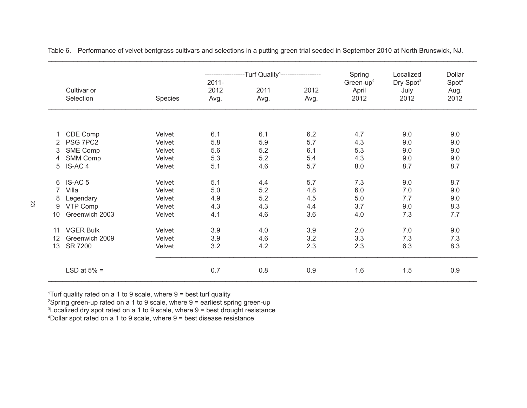|    |                    |                | -------------    | -Turf Quality <sup>1</sup> ------------------- |      | Spring                         | Localized                     | Dollar                    |
|----|--------------------|----------------|------------------|------------------------------------------------|------|--------------------------------|-------------------------------|---------------------------|
|    | Cultivar or        |                | $2011 -$<br>2012 | 2011                                           | 2012 | Green-up <sup>2</sup><br>April | Dry Spot <sup>3</sup><br>July | Spot <sup>4</sup><br>Aug. |
|    | Selection          | <b>Species</b> | Avg.             | Avg.                                           | Avg. | 2012                           | 2012                          | 2012                      |
|    |                    |                |                  |                                                |      |                                |                               |                           |
|    | CDE Comp           | Velvet         | 6.1              | 6.1                                            | 6.2  | 4.7                            | 9.0                           | 9.0                       |
| 2  | PSG 7PC2           | Velvet         | 5.8              | 5.9                                            | 5.7  | 4.3                            | 9.0                           | 9.0                       |
| 3  | SME Comp           | Velvet         | 5.6              | 5.2                                            | 6.1  | 5.3                            | 9.0                           | 9.0                       |
| 4  | <b>SMM Comp</b>    | Velvet         | 5.3              | 5.2                                            | 5.4  | 4.3                            | 9.0                           | 9.0                       |
| 5  | IS-AC <sub>4</sub> | Velvet         | 5.1              | 4.6                                            | 5.7  | 8.0                            | 8.7                           | 8.7                       |
| 6  | IS-AC <sub>5</sub> | Velvet         | 5.1              | 4.4                                            | 5.7  | 7.3                            | 9.0                           | 8.7                       |
| 7  | Villa              | Velvet         | 5.0              | 5.2                                            | 4.8  | 6.0                            | 7.0                           | 9.0                       |
| 8  | Legendary          | Velvet         | 4.9              | 5.2                                            | 4.5  | 5.0                            | 7.7                           | 9.0                       |
| 9  | VTP Comp           | Velvet         | 4.3              | 4.3                                            | 4.4  | 3.7                            | 9.0                           | 8.3                       |
| 10 | Greenwich 2003     | Velvet         | 4.1              | 4.6                                            | 3.6  | 4.0                            | 7.3                           | 7.7                       |
| 11 | <b>VGER Bulk</b>   | Velvet         | 3.9              | 4.0                                            | 3.9  | 2.0                            | 7.0                           | 9.0                       |
| 12 | Greenwich 2009     | Velvet         | 3.9              | 4.6                                            | 3.2  | 3.3                            | 7.3                           | 7.3                       |
| 13 | SR 7200            | Velvet         | 3.2              | 4.2                                            | 2.3  | 2.3                            | 6.3                           | 8.3                       |
|    | LSD at $5% =$      |                | 0.7              | 0.8                                            | 0.9  | 1.6                            | 1.5                           | 0.9                       |

Table 6. Performance of velvet bentgrass cultivars and selections in a putting green trial seeded in September 2010 at North Brunswick, NJ.

\_\_\_\_\_\_\_\_\_\_\_\_\_\_\_\_\_\_\_\_\_\_\_\_\_\_\_\_\_\_\_\_\_\_\_\_\_\_\_\_\_\_\_\_\_\_\_\_\_\_\_\_\_\_\_\_\_\_\_\_\_\_\_\_\_\_\_\_\_\_\_\_\_\_\_\_\_\_\_\_\_\_\_\_\_\_\_\_\_\_\_\_\_\_\_\_\_\_\_\_\_\_\_\_\_\_\_\_\_\_\_\_\_\_\_\_

1 Turf quality rated on a 1 to 9 scale, where 9 = best turf quality

2 Spring green-up rated on a 1 to 9 scale, where 9 = earliest spring green-up

3 Localized dry spot rated on a 1 to 9 scale, where 9 = best drought resistance

4 Dollar spot rated on a 1 to 9 scale, where 9 = best disease resistance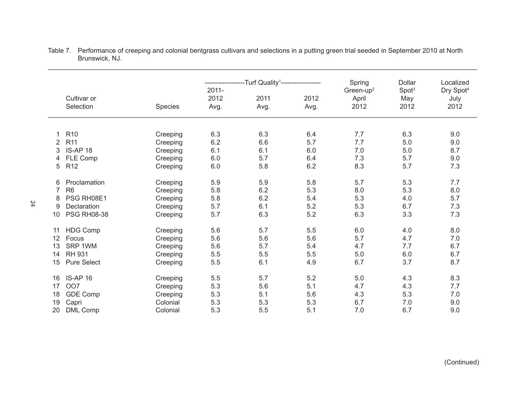|    |                          |          |                          | -Turf Quality <sup>1</sup> ------------------ |              | Spring                                 | Dollar                           | Localized                             |
|----|--------------------------|----------|--------------------------|-----------------------------------------------|--------------|----------------------------------------|----------------------------------|---------------------------------------|
|    | Cultivar or<br>Selection | Species  | $2011 -$<br>2012<br>Avg. | 2011<br>Avg.                                  | 2012<br>Avg. | Green-up <sup>2</sup><br>April<br>2012 | Spot <sup>3</sup><br>May<br>2012 | Dry Spot <sup>4</sup><br>July<br>2012 |
|    |                          |          |                          |                                               |              |                                        |                                  |                                       |
|    |                          |          |                          |                                               |              |                                        |                                  |                                       |
|    | R <sub>10</sub>          | Creeping | 6.3                      | 6.3                                           | 6.4          | 7.7                                    | 6.3                              | 9.0                                   |
| 2  | R <sub>11</sub>          | Creeping | 6.2                      | 6.6                                           | 5.7          | 7.7                                    | 5.0                              | 9.0                                   |
| 3  | IS-AP 18                 | Creeping | 6.1                      | 6.1                                           | 6.0          | 7.0                                    | 5.0                              | 8.7                                   |
| 4  | FLE Comp                 | Creeping | 6.0                      | 5.7                                           | 6.4          | 7.3                                    | 5.7                              | 9.0                                   |
| 5  | R <sub>12</sub>          | Creeping | 6.0                      | 5.8                                           | 6.2          | 8.3                                    | 5.7                              | 7.3                                   |
| 6  | Proclamation             | Creeping | 5.9                      | 5.9                                           | 5.8          | 5.7                                    | 5.3                              | 7.7                                   |
| 7  | R <sub>6</sub>           | Creeping | 5.8                      | 6.2                                           | 5.3          | 8.0                                    | 5.3                              | 8.0                                   |
| 8  | PSG RH08E1               | Creeping | 5.8                      | 6.2                                           | 5.4          | 5.3                                    | 4.0                              | 5.7                                   |
| 9  | Declaration              | Creeping | 5.7                      | 6.1                                           | 5.2          | 5.3                                    | 6.7                              | 7.3                                   |
| 10 | <b>PSG RH08-38</b>       | Creeping | 5.7                      | 6.3                                           | 5.2          | 6.3                                    | 3.3                              | 7.3                                   |
|    |                          |          |                          |                                               |              |                                        |                                  |                                       |
| 11 | <b>HDG Comp</b>          | Creeping | 5.6                      | 5.7                                           | 5.5          | 6.0                                    | 4.0                              | 8.0                                   |
| 12 | Focus                    | Creeping | 5.6                      | 5.6                                           | 5.6          | 5.7                                    | 4.7                              | 7.0                                   |
| 13 | SRP 1WM                  | Creeping | 5.6                      | 5.7                                           | 5.4          | 4.7                                    | 7.7                              | 6.7                                   |
| 14 | <b>RH 931</b>            | Creeping | 5.5                      | 5.5                                           | 5.5          | 5.0                                    | 6.0                              | 6.7                                   |
| 15 | <b>Pure Select</b>       | Creeping | 5.5                      | 6.1                                           | 4.9          | 6.7                                    | 3.7                              | 8.7                                   |
| 16 | IS-AP 16                 | Creeping | 5.5                      | 5.7                                           | 5.2          | 5.0                                    | 4.3                              | 8.3                                   |
| 17 | OO7                      | Creeping | 5.3                      | 5.6                                           | 5.1          | 4.7                                    | 4.3                              | 7.7                                   |
| 18 | <b>GDE Comp</b>          | Creeping | 5.3                      | 5.1                                           | 5.6          | 4.3                                    | 5.3                              | 7.0                                   |
| 19 | Capri                    | Colonial | 5.3                      | 5.3                                           | 5.3          | 6.7                                    | 7.0                              | 9.0                                   |
| 20 | <b>DML Comp</b>          | Colonial | 5.3                      | 5.5                                           | 5.1          | 7.0                                    | 6.7                              | 9.0                                   |
|    |                          |          |                          |                                               |              |                                        |                                  |                                       |

Table 7. Performance of creeping and colonial bentgrass cultivars and selections in a putting green trial seeded in September 2010 at North Brunswick, NJ.

\_\_\_\_\_\_\_\_\_\_\_\_\_\_\_\_\_\_\_\_\_\_\_\_\_\_\_\_\_\_\_\_\_\_\_\_\_\_\_\_\_\_\_\_\_\_\_\_\_\_\_\_\_\_\_\_\_\_\_\_\_\_\_\_\_\_\_\_\_\_\_\_\_\_\_\_\_\_\_\_\_\_\_\_\_\_\_\_\_\_\_\_\_\_\_\_\_\_\_\_\_\_\_\_\_\_\_\_\_\_\_\_\_\_\_\_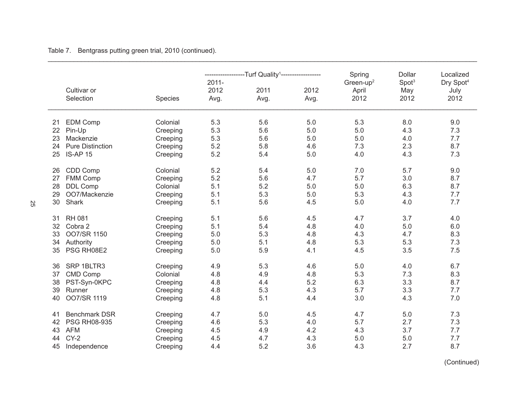|    |                         |          |          | -Turf Quality <sup>1</sup> -------- |      | Spring                | Dollar            | Localized             |
|----|-------------------------|----------|----------|-------------------------------------|------|-----------------------|-------------------|-----------------------|
|    |                         |          | $2011 -$ |                                     |      | Green-up <sup>2</sup> | Spot <sup>3</sup> | Dry Spot <sup>4</sup> |
|    | Cultivar or             |          | 2012     | 2011                                | 2012 | April                 | May               | July                  |
|    | Selection               | Species  | Avg.     | Avg.                                | Avg. | 2012                  | 2012              | 2012                  |
| 21 | <b>EDM Comp</b>         | Colonial | 5.3      | 5.6                                 | 5.0  | 5.3                   | 8.0               | 9.0                   |
| 22 | Pin-Up                  | Creeping | 5.3      | 5.6                                 | 5.0  | 5.0                   | 4.3               | 7.3                   |
| 23 | Mackenzie               | Creeping | 5.3      | 5.6                                 | 5.0  | 5.0                   | 4.0               | 7.7                   |
| 24 | <b>Pure Distinction</b> | Creeping | 5.2      | 5.8                                 | 4.6  | 7.3                   | 2.3               | 8.7                   |
| 25 | IS-AP 15                | Creeping | 5.2      | 5.4                                 | 5.0  | 4.0                   | 4.3               | 7.3                   |
| 26 | CDD Comp                | Colonial | 5.2      | 5.4                                 | 5.0  | 7.0                   | 5.7               | 9.0                   |
| 27 | FMM Comp                | Creeping | 5.2      | 5.6                                 | 4.7  | 5.7                   | 3.0               | 8.7                   |
| 28 | <b>DDL Comp</b>         | Colonial | 5.1      | 5.2                                 | 5.0  | 5.0                   | 6.3               | 8.7                   |
| 29 | OO7/Mackenzie           | Creeping | 5.1      | 5.3                                 | 5.0  | 5.3                   | 4.3               | 7.7                   |
| 30 | Shark                   | Creeping | 5.1      | 5.6                                 | 4.5  | 5.0                   | 4.0               | 7.7                   |
| 31 | <b>RH 081</b>           | Creeping | 5.1      | 5.6                                 | 4.5  | 4.7                   | 3.7               | 4.0                   |
| 32 | Cobra 2                 | Creeping | 5.1      | 5.4                                 | 4.8  | 4.0                   | 5.0               | 6.0                   |
| 33 | OO7/SR 1150             | Creeping | 5.0      | 5.3                                 | 4.8  | 4.3                   | 4.7               | 8.3                   |
| 34 | Authority               | Creeping | 5.0      | 5.1                                 | 4.8  | 5.3                   | 5.3               | 7.3                   |
| 35 | PSG RH08E2              | Creeping | 5.0      | 5.9                                 | 4.1  | 4.5                   | 3.5               | 7.5                   |
| 36 | SRP 1BLTR3              | Creeping | 4.9      | 5.3                                 | 4.6  | 5.0                   | 4.0               | 6.7                   |
| 37 | CMD Comp                | Colonial | 4.8      | 4.9                                 | 4.8  | 5.3                   | 7.3               | 8.3                   |
| 38 | PST-Syn-0KPC            | Creeping | 4.8      | 4.4                                 | 5.2  | 6.3                   | 3.3               | 8.7                   |
| 39 | Runner                  | Creeping | 4.8      | 5.3                                 | 4.3  | 5.7                   | 3.3               | 7.7                   |
| 40 | OO7/SR 1119             | Creeping | 4.8      | 5.1                                 | 4.4  | 3.0                   | 4.3               | 7.0                   |
| 41 | <b>Benchmark DSR</b>    | Creeping | 4.7      | 5.0                                 | 4.5  | 4.7                   | 5.0               | 7.3                   |
| 42 | <b>PSG RH08-935</b>     | Creeping | 4.6      | 5.3                                 | 4.0  | 5.7                   | 2.7               | 7.3                   |
| 43 | <b>AFM</b>              | Creeping | 4.5      | 4.9                                 | 4.2  | 4.3                   | 3.7               | 7.7                   |
| 44 | $CY-2$                  | Creeping | 4.5      | 4.7                                 | 4.3  | 5.0                   | 5.0               | 7.7                   |
| 45 | Independence            | Creeping | 4.4      | 5.2                                 | 3.6  | 4.3                   | 2.7               | 8.7                   |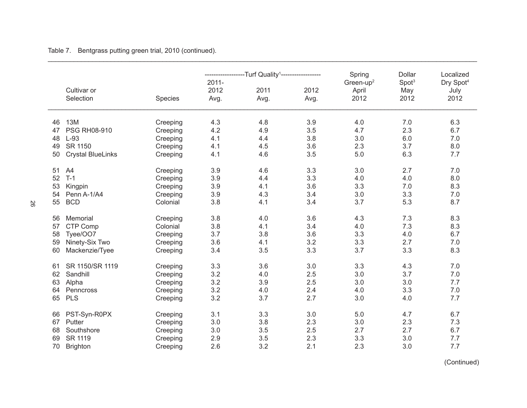|    |                          |          | ------------ | -Turf Quality <sup>1</sup> ------------------ |      | Spring                | Dollar            | Localized             |
|----|--------------------------|----------|--------------|-----------------------------------------------|------|-----------------------|-------------------|-----------------------|
|    |                          |          | $2011 -$     |                                               |      | Green-up <sup>2</sup> | Spot <sup>3</sup> | Dry Spot <sup>4</sup> |
|    | Cultivar or              |          | 2012         | 2011                                          | 2012 | April                 | May               | July                  |
|    | Selection                | Species  | Avg.         | Avg.                                          | Avg. | 2012                  | 2012              | 2012                  |
| 46 | <b>13M</b>               | Creeping | 4.3          | 4.8                                           | 3.9  | 4.0                   | 7.0               | 6.3                   |
| 47 | PSG RH08-910             | Creeping | 4.2          | 4.9                                           | 3.5  | 4.7                   | 2.3               | 6.7                   |
| 48 | $L-93$                   | Creeping | 4.1          | 4.4                                           | 3.8  | 3.0                   | 6.0               | 7.0                   |
| 49 | SR 1150                  | Creeping | 4.1          | 4.5                                           | 3.6  | 2.3                   | 3.7               | 8.0                   |
| 50 | <b>Crystal BlueLinks</b> | Creeping | 4.1          | 4.6                                           | 3.5  | 5.0                   | 6.3               | 7.7                   |
| 51 | A4                       | Creeping | 3.9          | 4.6                                           | 3.3  | 3.0                   | 2.7               | 7.0                   |
| 52 | $T-1$                    | Creeping | 3.9          | 4.4                                           | 3.3  | 4.0                   | 4.0               | 8.0                   |
| 53 | Kingpin                  | Creeping | 3.9          | 4.1                                           | 3.6  | 3.3                   | 7.0               | 8.3                   |
| 54 | Penn A-1/A4              | Creeping | 3.9          | 4.3                                           | 3.4  | 3.0                   | 3.3               | 7.0                   |
| 55 | <b>BCD</b>               | Colonial | 3.8          | 4.1                                           | 3.4  | 3.7                   | 5.3               | 8.7                   |
| 56 | Memorial                 | Creeping | 3.8          | 4.0                                           | 3.6  | 4.3                   | 7.3               | 8.3                   |
| 57 | CTP Comp                 | Colonial | 3.8          | 4.1                                           | 3.4  | 4.0                   | 7.3               | 8.3                   |
| 58 | Tyee/OO7                 | Creeping | 3.7          | 3.8                                           | 3.6  | 3.3                   | 4.0               | 6.7                   |
| 59 | Ninety-Six Two           | Creeping | 3.6          | 4.1                                           | 3.2  | 3.3                   | 2.7               | 7.0                   |
| 60 | Mackenzie/Tyee           | Creeping | 3.4          | 3.5                                           | 3.3  | 3.7                   | 3.3               | 8.3                   |
| 61 | SR 1150/SR 1119          | Creeping | 3.3          | 3.6                                           | 3.0  | 3.3                   | 4.3               | 7.0                   |
| 62 | Sandhill                 | Creeping | 3.2          | 4.0                                           | 2.5  | 3.0                   | 3.7               | 7.0                   |
| 63 | Alpha                    | Creeping | 3.2          | 3.9                                           | 2.5  | 3.0                   | 3.0               | 7.7                   |
| 64 | Penncross                | Creeping | 3.2          | 4.0                                           | 2.4  | 4.0                   | 3.3               | 7.0                   |
| 65 | <b>PLS</b>               | Creeping | 3.2          | 3.7                                           | 2.7  | 3.0                   | 4.0               | 7.7                   |
| 66 | PST-Syn-R0PX             | Creeping | 3.1          | 3.3                                           | 3.0  | 5.0                   | 4.7               | 6.7                   |
| 67 | Putter                   | Creeping | 3.0          | 3.8                                           | 2.3  | 3.0                   | 2.3               | 7.3                   |
| 68 | Southshore               | Creeping | 3.0          | 3.5                                           | 2.5  | 2.7                   | 2.7               | 6.7                   |
| 69 | SR 1119                  | Creeping | 2.9          | 3.5                                           | 2.3  | 3.3                   | 3.0               | 7.7                   |
| 70 | <b>Brighton</b>          | Creeping | 2.6          | 3.2                                           | 2.1  | 2.3                   | 3.0               | 7.7                   |

\_\_\_\_\_\_\_\_\_\_\_\_\_\_\_\_\_\_\_\_\_\_\_\_\_\_\_\_\_\_\_\_\_\_\_\_\_\_\_\_\_\_\_\_\_\_\_\_\_\_\_\_\_\_\_\_\_\_\_\_\_\_\_\_\_\_\_\_\_\_\_\_\_\_\_\_\_\_\_\_\_\_\_\_\_\_\_\_\_\_\_\_\_\_\_\_\_\_\_\_\_\_\_\_\_\_\_\_\_\_\_\_\_\_\_\_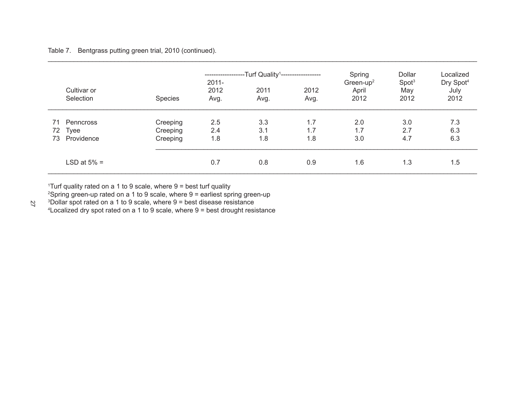|          |                          |                      | ------------<br>$2011 -$ | --Turf Quality <sup>1</sup> ------------------- |              |                                        | Dollar<br>Spot <sup>3</sup> | Localized<br>Dry Spot <sup>4</sup> |
|----------|--------------------------|----------------------|--------------------------|-------------------------------------------------|--------------|----------------------------------------|-----------------------------|------------------------------------|
|          | Cultivar or<br>Selection | <b>Species</b>       | 2012<br>Avg.             | 2011<br>Avg.                                    | 2012<br>Avg. | Green-up <sup>2</sup><br>April<br>2012 | May<br>2012                 | July<br>2012                       |
| 71       | Penncross                | Creeping             | 2.5                      | 3.3                                             | 1.7          | 2.0                                    | 3.0                         | 7.3                                |
| 72<br>73 | Tyee<br>Providence       | Creeping<br>Creeping | 2.4<br>1.8               | 3.1<br>1.8                                      | 1.7<br>1.8   | 1.7<br>3.0                             | 2.7<br>4.7                  | 6.3<br>6.3                         |
|          | LSD at $5% =$            |                      | 0.7                      | 0.8                                             | 0.9          | 1.6                                    | 1.3                         | 1.5                                |

\_\_\_\_\_\_\_\_\_\_\_\_\_\_\_\_\_\_\_\_\_\_\_\_\_\_\_\_\_\_\_\_\_\_\_\_\_\_\_\_\_\_\_\_\_\_\_\_\_\_\_\_\_\_\_\_\_\_\_\_\_\_\_\_\_\_\_\_\_\_\_\_\_\_\_\_\_\_\_\_\_\_\_\_\_\_\_\_\_\_\_\_\_\_\_\_\_\_\_\_\_\_\_\_\_\_\_\_\_\_\_\_\_\_\_\_

1 Turf quality rated on a 1 to 9 scale, where 9 = best turf quality

2 Spring green-up rated on a 1 to 9 scale, where 9 = earliest spring green-up

3 Dollar spot rated on a 1 to 9 scale, where 9 = best disease resistance

4 Localized dry spot rated on a 1 to 9 scale, where 9 = best drought resistance

27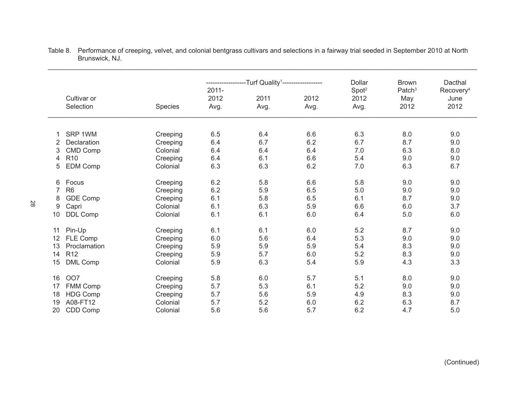|    |                          |          | -Turf Quality <sup>1</sup> ------------------ |      |      | Dollar                    | <b>Brown</b>                      | Dacthal                               |
|----|--------------------------|----------|-----------------------------------------------|------|------|---------------------------|-----------------------------------|---------------------------------------|
|    | Cultivar or<br>Selection |          | $2011 -$<br>2012                              | 2011 | 2012 | Spot <sup>2</sup><br>2012 | Patch <sup>3</sup><br>May<br>2012 | Recovery <sup>4</sup><br>June<br>2012 |
|    |                          | Species  | Avg.                                          | Avg. | Avg. | Avg.                      |                                   |                                       |
|    |                          |          |                                               |      |      |                           |                                   |                                       |
| 1  | SRP 1WM                  | Creeping | 6.5                                           | 6.4  | 6.6  | 6.3                       | 8.0                               | 9.0                                   |
| 2  | Declaration              | Creeping | 6.4                                           | 6.7  | 6.2  | 6.7                       | 8.7                               | 9.0                                   |
| 3  | <b>CMD Comp</b>          | Colonial | 6.4                                           | 6.4  | 6.4  | 7.0                       | 6.3                               | 8.0                                   |
| 4  | R <sub>10</sub>          | Creeping | 6.4                                           | 6.1  | 6.6  | 5.4                       | 9.0                               | 9.0                                   |
| 5  | <b>EDM Comp</b>          | Colonial | 6.3                                           | 6.3  | 6.2  | 7.0                       | 6.3                               | 6.7                                   |
| 6  | Focus                    | Creeping | 6.2                                           | 5.8  | 6.6  | 5.8                       | 9.0                               | 9.0                                   |
| 7  | R <sub>6</sub>           | Creeping | 6.2                                           | 5.9  | 6.5  | 5.0                       | 9.0                               | 9.0                                   |
| 8  | <b>GDE Comp</b>          | Creeping | 6.1                                           | 5.8  | 6.5  | 6.1                       | 8.7                               | 9.0                                   |
| 9  | Capri                    | Colonial | 6.1                                           | 6.3  | 5.9  | 6.6                       | 6.0                               | 3.7                                   |
| 10 | DDL Comp                 | Colonial | 6.1                                           | 6.1  | 6.0  | 6.4                       | 5.0                               | $6.0\,$                               |
| 11 | Pin-Up                   | Creeping | 6.1                                           | 6.1  | 6.0  | 5.2                       | 8.7                               | 9.0                                   |
| 12 | FLE Comp                 | Creeping | 6.0                                           | 5.6  | 6.4  | 5.3                       | 9.0                               | 9.0                                   |
| 13 | Proclamation             | Creeping | 5.9                                           | 5.9  | 5.9  | 5.4                       | 8.3                               | 9.0                                   |
| 14 | R <sub>12</sub>          | Creeping | 5.9                                           | 5.7  | 6.0  | 5.2                       | 8.3                               | 9.0                                   |
| 15 | <b>DML Comp</b>          | Colonial | 5.9                                           | 6.3  | 5.4  | 5.9                       | 4.3                               | 3.3                                   |
| 16 | OO7                      | Creeping | 5.8                                           | 6.0  | 5.7  | 5.1                       | 8.0                               | 9.0                                   |
| 17 | FMM Comp                 | Creeping | 5.7                                           | 5.3  | 6.1  | 5.2                       | 9.0                               | 9.0                                   |
| 18 | <b>HDG Comp</b>          | Creeping | 5.7                                           | 5.6  | 5.9  | 4.9                       | 8.3                               | 9.0                                   |
| 19 | A08-FT12                 | Colonial | 5.7                                           | 5.2  | 6.0  | 6.2                       | 6.3                               | 8.7                                   |
| 20 | CDD Comp                 | Colonial | 5.6                                           | 5.6  | 5.7  | 6.2                       | 4.7                               | 5.0                                   |

Table 8. Performance of creeping, velvet, and colonial bentgrass cultivars and selections in a fairway trial seeded in September 2010 at North Brunswick, NJ.

\_\_\_\_\_\_\_\_\_\_\_\_\_\_\_\_\_\_\_\_\_\_\_\_\_\_\_\_\_\_\_\_\_\_\_\_\_\_\_\_\_\_\_\_\_\_\_\_\_\_\_\_\_\_\_\_\_\_\_\_\_\_\_\_\_\_\_\_\_\_\_\_\_\_\_\_\_\_\_\_\_\_\_\_\_\_\_\_\_\_\_\_\_\_\_\_\_\_\_\_\_\_\_\_\_\_\_\_\_\_\_\_\_\_\_\_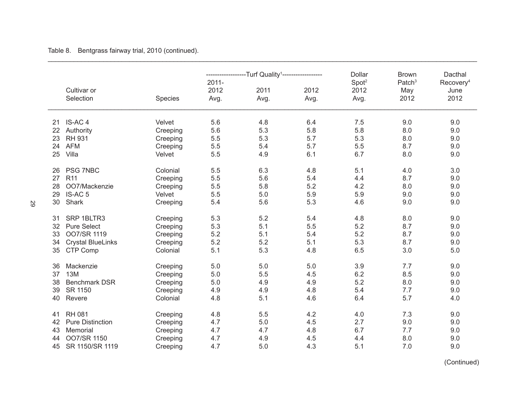\_\_\_\_\_\_\_\_\_\_\_\_\_\_\_\_\_\_\_\_\_\_\_\_\_\_\_\_\_\_\_\_\_\_\_\_\_\_\_\_\_\_\_\_\_\_\_\_\_\_\_\_\_\_\_\_\_\_\_\_\_\_\_\_\_\_\_\_\_\_\_\_\_\_\_\_\_\_\_\_\_\_\_\_\_\_\_\_\_\_\_\_\_\_\_\_\_\_\_\_\_\_\_\_\_\_\_\_\_\_\_\_\_\_\_\_ \_\_\_\_\_\_\_\_\_\_\_\_\_\_\_\_\_\_\_\_\_\_\_\_\_\_\_\_\_\_\_\_\_\_\_\_\_\_\_\_\_\_\_\_\_\_\_\_\_\_\_\_\_\_\_\_\_\_\_\_\_\_\_\_\_\_\_\_\_\_\_\_\_\_\_\_\_\_\_\_\_\_\_\_\_\_\_\_\_\_\_\_\_\_\_\_\_\_\_\_\_\_\_\_\_\_\_\_\_\_\_\_\_\_\_\_ ------------------Turf Quality1------------------- Dollar Brown Dacthal 2011- 2011- **Spot**<sup>2</sup> **Patch<sup>3</sup>** Recovery<sup>4</sup> Cultivar or 2012 2011 2012 2012 May June Selection Species Avg. Avg. Avg. Avg. 2012 2012 21 IS-AC 4 Velvet 5.6 4.8 6.4 7.5 9.0 9.0 22 Authority Creeping 5.6 5.3 5.8 5.8 8.0 9.0 23 RH 931 Creeping 5.5 5.3 5.7 5.3 8.0 9.0 24 AFM Creeping 5.5 5.4 5.7 5.5 8.7 9.0 25 Villa Velvet 5.5 4.9 6.1 6.7 8.0 9.0 26 PSG 7NBC Colonial 5.5 6.3 4.8 5.1 4.0 3.0 27 R11 Creeping 5.5 5.6 5.4 4.4 8.7 9.0 28 OO7/Mackenzie Creeping 5.5 5.8 5.2 4.2 8.0 9.0 29 IS-AC 5 Velvet 5.5 5.0 5.9 5.9 9.0 9.0 30 Shark Creeping 5.4 5.6 5.3 4.6 9.0 9.0 31 SRP 1BLTR3 Creeping 5.3 5.2 5.4 4.8 8.0 9.0 32 Pure Select Creeping 5.3 5.1 5.5 5.2 8.7 9.0 33 OO7/SR 1119 Creeping 5.2 5.1 5.4 5.2 8.7 9.0 34 Crystal BlueLinks Creeping 5.2 5.2 5.1 5.3 8.7 9.0 35 CTP Comp Colonial 5.1 5.3 4.8 6.5 3.0 5.0 36 Mackenzie Creeping 5.0 5.0 5.0 3.9 7.7 9.0 37 13M Creeping 5.0 5.5 4.5 6.2 8.5 9.0 38 Benchmark DSR Creeping 5.0 4.9 4.9 5.2 8.0 9.0 39 SR 1150 Creeping 4.9 4.9 4.8 5.4 7.7 9.0 40 Revere Colonial 4.8 5.1 4.6 6.4 5.7 4.0 41 RH 081 Creeping 4.8 5.5 4.2 4.0 7.3 9.0 42 Pure Distinction Creeping 4.7 5.0 4.5 2.7 9.0 9.0 43 Memorial Creeping 4.7 4.7 4.8 6.7 7.7 9.0 44 OO7/SR 1150 Creeping 4.7 4.9 4.5 4.4 8.0 9.0 45 SR 1150/SR 1119 Creeping 4.7 5.0 4.3 5.1 7.0 9.0

Table 8. Bentgrass fairway trial, 2010 (continued).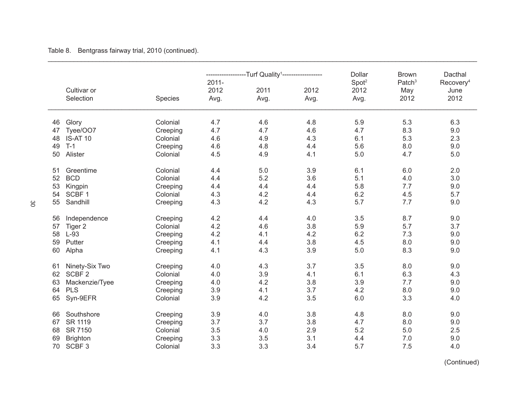Table 8. Bentgrass fairway trial, 2010 (continued).

|    |                   |                |          | -Turf Quality <sup>1</sup> ---------- |      | Dollar            | <b>Brown</b>       | Dacthal               |
|----|-------------------|----------------|----------|---------------------------------------|------|-------------------|--------------------|-----------------------|
|    |                   |                | $2011 -$ |                                       |      | Spot <sup>2</sup> | Patch <sup>3</sup> | Recovery <sup>4</sup> |
|    | Cultivar or       |                | 2012     | 2011                                  | 2012 | 2012              | May                | June                  |
|    | Selection         | <b>Species</b> | Avg.     | Avg.                                  | Avg. | Avg.              | 2012               | 2012                  |
| 46 | Glory             | Colonial       | 4.7      | 4.6                                   | 4.8  | 5.9               | 5.3                | 6.3                   |
| 47 | Tyee/OO7          | Creeping       | 4.7      | 4.7                                   | 4.6  | 4.7               | 8.3                | 9.0                   |
| 48 | <b>IS-AT 10</b>   | Colonial       | 4.6      | 4.9                                   | 4.3  | 6.1               | 5.3                | 2.3                   |
| 49 | $T-1$             | Creeping       | 4.6      | 4.8                                   | 4.4  | 5.6               | 8.0                | 9.0                   |
| 50 | Alister           | Colonial       | 4.5      | 4.9                                   | 4.1  | 5.0               | 4.7                | 5.0                   |
| 51 | Greentime         | Colonial       | 4.4      | 5.0                                   | 3.9  | 6.1               | 6.0                | 2.0                   |
| 52 | <b>BCD</b>        | Colonial       | 4.4      | 5.2                                   | 3.6  | 5.1               | 4.0                | 3.0                   |
| 53 | Kingpin           | Creeping       | 4.4      | 4.4                                   | 4.4  | 5.8               | 7.7                | 9.0                   |
| 54 | SCBF <sub>1</sub> | Colonial       | 4.3      | 4.2                                   | 4.4  | 6.2               | 4.5                | 5.7                   |
| 55 | Sandhill          | Creeping       | 4.3      | 4.2                                   | 4.3  | 5.7               | 7.7                | 9.0                   |
| 56 | Independence      | Creeping       | 4.2      | 4.4                                   | 4.0  | 3.5               | 8.7                | 9.0                   |
| 57 | Tiger 2           | Colonial       | 4.2      | 4.6                                   | 3.8  | 5.9               | 5.7                | 3.7                   |
| 58 | $L-93$            | Creeping       | 4.2      | 4.1                                   | 4.2  | 6.2               | 7.3                | 9.0                   |
| 59 | Putter            | Creeping       | 4.1      | 4.4                                   | 3.8  | 4.5               | 8.0                | 9.0                   |
| 60 | Alpha             | Creeping       | 4.1      | 4.3                                   | 3.9  | 5.0               | 8.3                | 9.0                   |
| 61 | Ninety-Six Two    | Creeping       | 4.0      | 4.3                                   | 3.7  | 3.5               | 8.0                | 9.0                   |
| 62 | SCBF <sub>2</sub> | Colonial       | 4.0      | 3.9                                   | 4.1  | 6.1               | 6.3                | 4.3                   |
| 63 | Mackenzie/Tyee    | Creeping       | 4.0      | 4.2                                   | 3.8  | 3.9               | 7.7                | 9.0                   |
| 64 | <b>PLS</b>        | Creeping       | 3.9      | 4.1                                   | 3.7  | 4.2               | 8.0                | 9.0                   |
| 65 | Syn-9EFR          | Colonial       | 3.9      | 4.2                                   | 3.5  | 6.0               | 3.3                | 4.0                   |
| 66 | Southshore        | Creeping       | 3.9      | 4.0                                   | 3.8  | 4.8               | 8.0                | 9.0                   |
| 67 | SR 1119           | Creeping       | 3.7      | 3.7                                   | 3.8  | 4.7               | 8.0                | 9.0                   |
| 68 | SR 7150           | Colonial       | 3.5      | 4.0                                   | 2.9  | 5.2               | 5.0                | 2.5                   |
| 69 | <b>Brighton</b>   | Creeping       | 3.3      | 3.5                                   | 3.1  | 4.4               | 7.0                | 9.0                   |
| 70 | SCBF <sub>3</sub> | Colonial       | 3.3      | 3.3                                   | 3.4  | 5.7               | 7.5                | 4.0                   |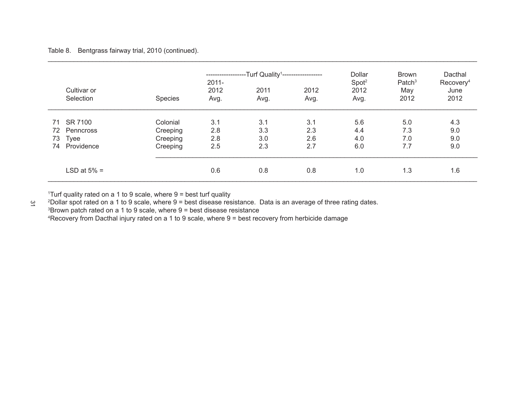Table 8. Bentgrass fairway trial, 2010 (continued).

|    |                          |          | -----------<br>$2011 -$ | ---Turf Quality <sup>1</sup> ------------------ |              | Dollar<br>Spot <sup>2</sup> | <b>Brown</b><br>Patch <sup>3</sup> | Dacthal<br>Recovery <sup>4</sup> |
|----|--------------------------|----------|-------------------------|-------------------------------------------------|--------------|-----------------------------|------------------------------------|----------------------------------|
|    | Cultivar or<br>Selection | Species  | 2012<br>Avg.            | 2011<br>Avg.                                    | 2012<br>Avg. | 2012<br>Avg.                | May<br>2012                        | June<br>2012                     |
| 71 | SR 7100                  | Colonial | 3.1                     | 3.1                                             | 3.1          | 5.6                         | 5.0                                | 4.3                              |
| 72 | Penncross                | Creeping | 2.8                     | 3.3                                             | 2.3          | 4.4                         | 7.3                                | 9.0                              |
| 73 | Tyee                     | Creeping | 2.8                     | 3.0                                             | 2.6          | 4.0                         | 7.0                                | 9.0                              |
| 74 | Providence               | Creeping | 2.5                     | 2.3                                             | 2.7          | 6.0                         | 7.7                                | 9.0                              |
|    | LSD at $5\% =$           |          | 0.6                     | 0.8                                             | 0.8          | 1.0                         | 1.3                                | 1.6                              |

\_\_\_\_\_\_\_\_\_\_\_\_\_\_\_\_\_\_\_\_\_\_\_\_\_\_\_\_\_\_\_\_\_\_\_\_\_\_\_\_\_\_\_\_\_\_\_\_\_\_\_\_\_\_\_\_\_\_\_\_\_\_\_\_\_\_\_\_\_\_\_\_\_\_\_\_\_\_\_\_\_\_\_\_\_\_\_\_\_\_\_\_\_\_\_\_\_\_\_\_\_\_\_\_\_\_\_\_\_\_\_\_\_\_\_\_

1 Turf quality rated on a 1 to 9 scale, where 9 = best turf quality

 $\overline{3}$  Dollar spot rated on a 1 to 9 scale, where 9 = best disease resistance. Data is an average of three rating dates. Brown patch rated on a 1 to 9 scale, where 9 = best disease resistance Recovery from Dacthal injury rated on a 1 to 9 scale, where 9 = best recovery from herbicide damage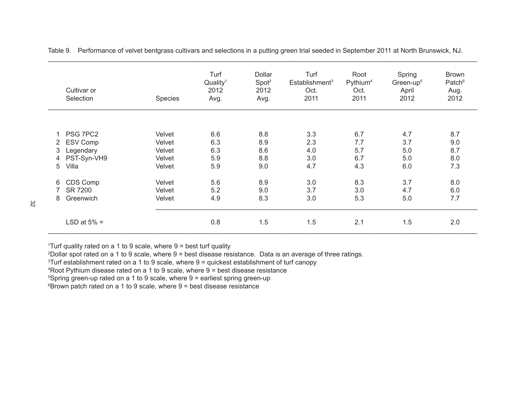| Cultivar or<br>Selection | <b>Species</b> | Turf<br>Quality <sup>1</sup><br>2012<br>Avg. | Dollar<br>Spot <sup>2</sup><br>2012<br>Avg. | Turf<br>Establishment <sup>3</sup><br>Oct.<br>2011 | Root<br>Pythium <sup>4</sup><br>Oct.<br>2011 | Spring<br>Green-up <sup>5</sup><br>April<br>2012 | <b>Brown</b><br>Patch <sup>6</sup><br>Aug.<br>2012 |
|--------------------------|----------------|----------------------------------------------|---------------------------------------------|----------------------------------------------------|----------------------------------------------|--------------------------------------------------|----------------------------------------------------|
| PSG 7PC2                 | Velvet         | 6.6                                          | 8.8                                         | 3.3                                                | 6.7                                          | 4.7                                              | 8.7                                                |
| ESV Comp<br>2            | Velvet         | 6.3                                          | 8.9                                         | 2.3                                                | 7.7                                          | 3.7                                              | 9.0                                                |
| Legendary<br>3           | Velvet         | 6.3                                          | 8.6                                         | 4.0                                                | 5.7                                          | 5.0                                              | 8.7                                                |
| PST-Syn-VH9<br>4         | Velvet         | 5.9                                          | 8.8                                         | 3.0                                                | 6.7                                          | 5.0                                              | 8.0                                                |
| Villa<br>5               | Velvet         | 5.9                                          | 9.0                                         | 4.7                                                | 4.3                                          | 6.0                                              | 7.3                                                |
| CDS Comp<br>6            | Velvet         | 5.6                                          | 8.9                                         | 3.0                                                | 8.3                                          | 3.7                                              | 8.0                                                |
| <b>SR 7200</b>           | Velvet         | 5.2                                          | 9.0                                         | 3.7                                                | 3.0                                          | 4.7                                              | 6.0                                                |
| Greenwich<br>8           | Velvet         | 4.9                                          | 8.3                                         | 3.0                                                | 5.3                                          | 5.0                                              | 7.7                                                |
| LSD at $5\%$ =           |                | 0.8                                          | 1.5                                         | 1.5                                                | 2.1                                          | 1.5                                              | 2.0                                                |

Table 9. Performance of velvet bentgrass cultivars and selections in a putting green trial seeded in September 2011 at North Brunswick, NJ.

1 Turf quality rated on a 1 to 9 scale, where 9 = best turf quality

2 Dollar spot rated on a 1 to 9 scale, where 9 = best disease resistance. Data is an average of three ratings.

3 Turf establishment rated on a 1 to 9 scale, where 9 = quickest establishment of turf canopy

4 Root Pythium disease rated on a 1 to 9 scale, where 9 = best disease resistance

5 Spring green-up rated on a 1 to 9 scale, where 9 = earliest spring green-up

6 Brown patch rated on a 1 to 9 scale, where 9 = best disease resistance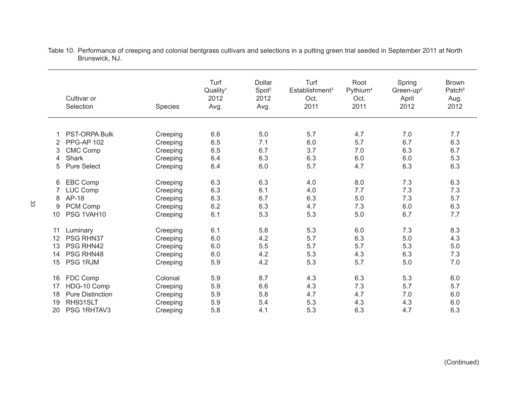|    | Cultivar or<br>Selection | Species  | Turf<br>Quality <sup>1</sup><br>2012<br>Avg. | Dollar<br>Spot <sup>2</sup><br>2012<br>Avg. | Turf<br>Establishment <sup>3</sup><br>Oct.<br>2011 | Root<br>Pythium <sup>4</sup><br>Oct.<br>2011 | Spring<br>Green-up <sup>5</sup><br>April<br>2012 | <b>Brown</b><br>Patch <sup>6</sup><br>Aug.<br>2012 |
|----|--------------------------|----------|----------------------------------------------|---------------------------------------------|----------------------------------------------------|----------------------------------------------|--------------------------------------------------|----------------------------------------------------|
|    |                          |          |                                              |                                             |                                                    |                                              |                                                  |                                                    |
| 1  | <b>PST-ORPA Bulk</b>     | Creeping | 6.6                                          | 5.0                                         | 5.7                                                | 4.7                                          | 7.0                                              | 7.7                                                |
| 2  | <b>PPG-AP 102</b>        | Creeping | 6.5                                          | 7.1                                         | 6.0                                                | 5.7                                          | 6.7                                              | 6.3                                                |
| 3  | <b>CMC Comp</b>          | Creeping | 6.5                                          | 6.7                                         | 3.7                                                | 7.0                                          | 6.3                                              | 6.7                                                |
| 4  | <b>Shark</b>             | Creeping | 6.4                                          | 6.3                                         | 6.3                                                | 6.0                                          | 6.0                                              | 5.3                                                |
| 5  | <b>Pure Select</b>       | Creeping | 6.4                                          | 6.0                                         | 5.7                                                | 4.7                                          | 6.3                                              | 6.3                                                |
| 6  | EBC Comp                 | Creeping | 6.3                                          | 6.3                                         | 4.0                                                | 8.0                                          | 7.3                                              | 6.3                                                |
| 7  | <b>LUC Comp</b>          | Creeping | 6.3                                          | 6.1                                         | 4.0                                                | 7.7                                          | 7.3                                              | 7.3                                                |
| 8  | AP-18                    | Creeping | 6.3                                          | 6.7                                         | 6.3                                                | 5.0                                          | 7.3                                              | 5.7                                                |
| 9  | PCM Comp                 | Creeping | 6.2                                          | 6.3                                         | 4.7                                                | 7.3                                          | 6.0                                              | 6.3                                                |
| 10 | PSG 1VAH10               | Creeping | 6.1                                          | 5.3                                         | 5.3                                                | 5.0                                          | 6.7                                              | 7.7                                                |
|    |                          |          |                                              |                                             |                                                    |                                              |                                                  |                                                    |
| 11 | Luminary                 | Creeping | 6.1                                          | 5.8                                         | 5.3                                                | 6.0                                          | 7.3                                              | 8.3                                                |
| 12 | PSG RHN37                | Creeping | 6.0                                          | 4.2                                         | 5.7                                                | 6.3                                          | 5.0                                              | 4.3                                                |
| 13 | PSG RHN42                | Creeping | 6.0                                          | 5.5                                         | 5.7                                                | 5.7                                          | 5.3                                              | 5.0                                                |
| 14 | PSG RHN48                | Creeping | 6.0                                          | 4.2                                         | 5.3                                                | 4.3                                          | 6.3                                              | 7.3                                                |
| 15 | PSG 1RJM                 | Creeping | 5.9                                          | 4.2                                         | 5.3                                                | 5.7                                          | 5.0                                              | 7.0                                                |
|    |                          |          |                                              |                                             |                                                    |                                              |                                                  |                                                    |
| 16 | FDC Comp                 | Colonial | 5.9                                          | 8.7                                         | 4.3                                                | 6.3                                          | 5.3                                              | 6.0                                                |
| 17 | HDG-10 Comp              | Creeping | 5.9                                          | 6.6                                         | 4.3                                                | 7.3                                          | 5.7                                              | 5.7                                                |
| 18 | <b>Pure Distinction</b>  | Creeping | 5.9                                          | 5.8                                         | 4.7                                                | 4.7                                          | 7.0                                              | 6.0                                                |
| 19 | RH931SLT                 | Creeping | 5.9                                          | 5.4                                         | 5.3                                                | 4.3                                          | 4.3                                              | 6.0                                                |
| 20 | PSG 1RHTAV3              | Creeping | 5.8                                          | 4.1                                         | 5.3                                                | 6.3                                          | 4.7                                              | 6.3                                                |

Table 10. Performance of creeping and colonial bentgrass cultivars and selections in a putting green trial seeded in September 2011 at North Brunswick, NJ.

\_\_\_\_\_\_\_\_\_\_\_\_\_\_\_\_\_\_\_\_\_\_\_\_\_\_\_\_\_\_\_\_\_\_\_\_\_\_\_\_\_\_\_\_\_\_\_\_\_\_\_\_\_\_\_\_\_\_\_\_\_\_\_\_\_\_\_\_\_\_\_\_\_\_\_\_\_\_\_\_\_\_\_\_\_\_\_\_\_\_\_\_\_\_\_\_\_\_\_\_\_\_\_\_\_\_\_\_\_\_\_\_\_\_\_\_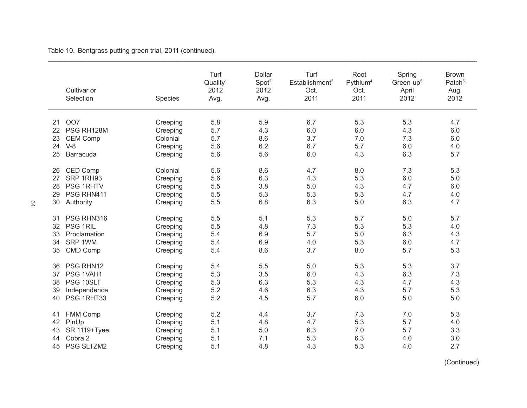|    | Cultivar or<br>Selection | Species  | Turf<br>Quality <sup>1</sup><br>2012<br>Avg. | Dollar<br>Spot <sup>2</sup><br>2012<br>Avg. | Turf<br>Establishment <sup>3</sup><br>Oct.<br>2011 | Root<br>Pythium <sup>4</sup><br>Oct.<br>2011 | Spring<br>Green-up <sup>5</sup><br>April<br>2012 | <b>Brown</b><br>Patch <sup>6</sup><br>Aug.<br>2012 |
|----|--------------------------|----------|----------------------------------------------|---------------------------------------------|----------------------------------------------------|----------------------------------------------|--------------------------------------------------|----------------------------------------------------|
| 21 | OO7                      | Creeping | 5.8                                          | 5.9                                         | 6.7                                                | 5.3                                          | 5.3                                              | 4.7                                                |
| 22 | PSG RH128M               | Creeping | 5.7                                          | 4.3                                         | 6.0                                                | 6.0                                          | 4.3                                              | 6.0                                                |
| 23 | <b>CEM Comp</b>          | Colonial | 5.7                                          | 8.6                                         | 3.7                                                | 7.0                                          | 7.3                                              | 6.0                                                |
| 24 | $V-8$                    | Creeping | 5.6                                          | 6.2                                         | 6.7                                                | 5.7                                          | 6.0                                              | 4.0                                                |
| 25 | Barracuda                | Creeping | 5.6                                          | 5.6                                         | 6.0                                                | 4.3                                          | 6.3                                              | 5.7                                                |
| 26 | CED Comp                 | Colonial | 5.6                                          | 8.6                                         | 4.7                                                | 8.0                                          | 7.3                                              | 5.3                                                |
| 27 | SRP 1RH93                | Creeping | 5.6                                          | 6.3                                         | 4.3                                                | 5.3                                          | 6.0                                              | 5.0                                                |
| 28 | PSG 1RHTV                | Creeping | 5.5                                          | 3.8                                         | 5.0                                                | 4.3                                          | 4.7                                              | 6.0                                                |
| 29 | PSG RHN411               | Creeping | 5.5                                          | 5.3                                         | 5.3                                                | 5.3                                          | 4.7                                              | 4.0                                                |
| 30 | Authority                | Creeping | 5.5                                          | 6.8                                         | 6.3                                                | 5.0                                          | 6.3                                              | 4.7                                                |
| 31 | PSG RHN316               | Creeping | 5.5                                          | 5.1                                         | 5.3                                                | 5.7                                          | 5.0                                              | 5.7                                                |
| 32 | PSG 1RIL                 | Creeping | 5.5                                          | 4.8                                         | 7.3                                                | 5.3                                          | 5.3                                              | 4.0                                                |
| 33 | Proclamation             | Creeping | 5.4                                          | 6.9                                         | 5.7                                                | 5.0                                          | 6.3                                              | 4.3                                                |
| 34 | SRP 1WM                  | Creeping | 5.4                                          | 6.9                                         | 4.0                                                | 5.3                                          | 6.0                                              | 4.7                                                |
| 35 | <b>CMD Comp</b>          | Creeping | 5.4                                          | 8.6                                         | 3.7                                                | 8.0                                          | 5.7                                              | 5.3                                                |
| 36 | PSG RHN12                | Creeping | 5.4                                          | 5.5                                         | 5.0                                                | 5.3                                          | 5.3                                              | 3.7                                                |
| 37 | PSG 1VAH1                | Creeping | 5.3                                          | 3.5                                         | 6.0                                                | 4.3                                          | 6.3                                              | 7.3                                                |
| 38 | PSG 10SLT                | Creeping | 5.3                                          | 6.3                                         | 5.3                                                | 4.3                                          | 4.7                                              | 4.3                                                |
| 39 | Independence             | Creeping | 5.2                                          | 4.6                                         | 6.3                                                | 4.3                                          | 5.7                                              | 5.3                                                |
| 40 | PSG 1RHT33               | Creeping | 5.2                                          | 4.5                                         | 5.7                                                | 6.0                                          | 5.0                                              | 5.0                                                |
| 41 | FMM Comp                 | Creeping | 5.2                                          | 4.4                                         | 3.7                                                | 7.3                                          | 7.0                                              | 5.3                                                |
| 42 | PinUp                    | Creeping | 5.1                                          | 4.8                                         | 4.7                                                | 5.3                                          | 5.7                                              | 4.0                                                |
| 43 | <b>SR 1119+Tyee</b>      | Creeping | 5.1                                          | 5.0                                         | 6.3                                                | 7.0                                          | 5.7                                              | 3.3                                                |
| 44 | Cobra 2                  | Creeping | 5.1                                          | 7.1                                         | 5.3                                                | 6.3                                          | 4.0                                              | 3.0                                                |
| 45 | PSG SLTZM2               | Creeping | 5.1                                          | 4.8                                         | 4.3                                                | 5.3                                          | 4.0                                              | 2.7                                                |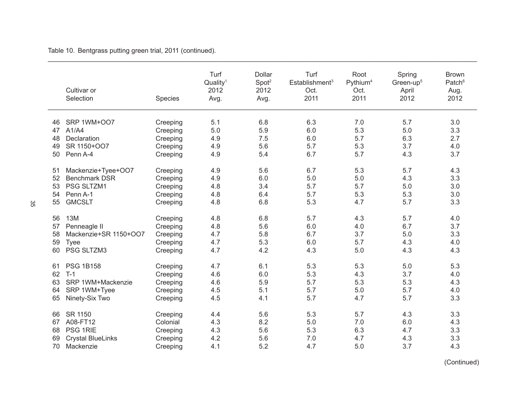|    | Cultivar or<br>Selection | Species  | Turf<br>Quality <sup>1</sup><br>2012<br>Avg. | Dollar<br>Spot <sup>2</sup><br>2012<br>Avg. | Turf<br>Establishment <sup>3</sup><br>Oct.<br>2011 | Root<br>Pythium <sup>4</sup><br>Oct.<br>2011 | Spring<br>Green-up <sup>5</sup><br>April<br>2012 | <b>Brown</b><br>Patch <sup>6</sup><br>Aug.<br>2012 |
|----|--------------------------|----------|----------------------------------------------|---------------------------------------------|----------------------------------------------------|----------------------------------------------|--------------------------------------------------|----------------------------------------------------|
| 46 | SRP 1WM+007              | Creeping | 5.1                                          | 6.8                                         | 6.3                                                | 7.0                                          | 5.7                                              | 3.0                                                |
| 47 | A1/A4                    | Creeping | 5.0                                          | 5.9                                         | 6.0                                                | 5.3                                          | 5.0                                              | 3.3                                                |
| 48 | Declaration              | Creeping | 4.9                                          | 7.5                                         | 6.0                                                | 5.7                                          | 6.3                                              | 2.7                                                |
| 49 | SR 1150+007              | Creeping | 4.9                                          | 5.6                                         | 5.7                                                | 5.3                                          | 3.7                                              | 4.0                                                |
| 50 | Penn A-4                 | Creeping | 4.9                                          | 5.4                                         | 6.7                                                | 5.7                                          | 4.3                                              | 3.7                                                |
|    |                          |          |                                              |                                             |                                                    |                                              |                                                  |                                                    |
| 51 | Mackenzie+Tyee+OO7       | Creeping | 4.9                                          | 5.6                                         | 6.7                                                | 5.3                                          | 5.7                                              | 4.3                                                |
| 52 | <b>Benchmark DSR</b>     | Creeping | 4.9                                          | 6.0                                         | 5.0                                                | 5.0                                          | 4.3                                              | 3.3                                                |
| 53 | PSG SLTZM1               | Creeping | 4.8                                          | 3.4                                         | 5.7                                                | 5.7                                          | 5.0                                              | 3.0                                                |
| 54 | Penn A-1                 | Creeping | 4.8                                          | 6.4                                         | 5.7                                                | 5.3                                          | 5.3                                              | 3.0                                                |
| 55 | <b>GMCSLT</b>            | Creeping | 4.8                                          | 6.8                                         | 5.3                                                | 4.7                                          | 5.7                                              | 3.3                                                |
|    |                          |          |                                              |                                             |                                                    |                                              |                                                  |                                                    |
| 56 | 13M                      | Creeping | 4.8                                          | 6.8                                         | 5.7                                                | 4.3                                          | 5.7                                              | 4.0                                                |
| 57 | Penneagle II             | Creeping | 4.8                                          | 5.6                                         | 6.0                                                | 4.0                                          | 6.7                                              | 3.7                                                |
| 58 | Mackenzie+SR 1150+OO7    | Creeping | 4.7                                          | 5.8                                         | 6.7                                                | 3.7                                          | 5.0                                              | 3.3                                                |
| 59 | Tyee                     | Creeping | 4.7                                          | 5.3                                         | 6.0                                                | 5.7                                          | 4.3                                              | 4.0                                                |
| 60 | PSG SLTZM3               | Creeping | 4.7                                          | 4.2                                         | 4.3                                                | 5.0                                          | 4.3                                              | 4.3                                                |
| 61 | <b>PSG 1B158</b>         | Creeping | 4.7                                          | 6.1                                         | 5.3                                                | 5.3                                          | 5.0                                              | 5.3                                                |
| 62 | $T-1$                    | Creeping | 4.6                                          | 6.0                                         | 5.3                                                | 4.3                                          | 3.7                                              | 4.0                                                |
| 63 | SRP 1WM+Mackenzie        | Creeping | 4.6                                          | 5.9                                         | 5.7                                                | 5.3                                          | 5.3                                              | 4.3                                                |
| 64 | SRP 1WM+Tyee             | Creeping | 4.5                                          | 5.1                                         | 5.7                                                | 5.0                                          | 5.7                                              | 4.0                                                |
| 65 | Ninety-Six Two           | Creeping | 4.5                                          | 4.1                                         | 5.7                                                | 4.7                                          | 5.7                                              | 3.3                                                |
|    |                          |          |                                              |                                             |                                                    |                                              |                                                  |                                                    |
| 66 | SR 1150                  | Creeping | 4.4                                          | 5.6                                         | 5.3                                                | 5.7                                          | 4.3                                              | 3.3                                                |
| 67 | A08-FT12                 | Colonial | 4.3                                          | 8.2                                         | 5.0                                                | 7.0                                          | 6.0                                              | 4.3                                                |
| 68 | PSG 1RIE                 | Creeping | 4.3                                          | 5.6                                         | 5.3                                                | 6.3                                          | 4.7                                              | 3.3                                                |
| 69 | <b>Crystal BlueLinks</b> | Creeping | 4.2                                          | 5.6                                         | 7.0                                                | 4.7                                          | 4.3                                              | 3.3                                                |
| 70 | Mackenzie                | Creeping | 4.1                                          | 5.2                                         | 4.7                                                | 5.0                                          | 3.7                                              | 4.3                                                |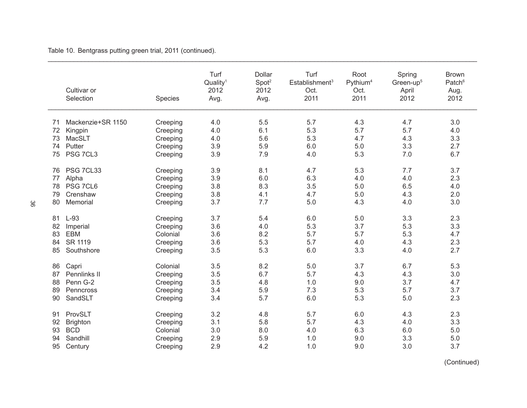|    | Cultivar or<br>Selection | Species  | Turf<br>Quality <sup>1</sup><br>2012<br>Avg. | Dollar<br>Spot <sup>2</sup><br>2012<br>Avg. | Turf<br>Establishment <sup>3</sup><br>Oct.<br>2011 | Root<br>Pythium <sup>4</sup><br>Oct.<br>2011 | Spring<br>Green-up <sup>5</sup><br>April<br>2012 | <b>Brown</b><br>Patch <sup>6</sup><br>Aug.<br>2012 |
|----|--------------------------|----------|----------------------------------------------|---------------------------------------------|----------------------------------------------------|----------------------------------------------|--------------------------------------------------|----------------------------------------------------|
| 71 | Mackenzie+SR 1150        | Creeping | 4.0                                          | 5.5                                         | 5.7                                                | 4.3                                          | 4.7                                              | 3.0                                                |
| 72 | Kingpin                  | Creeping | 4.0                                          | 6.1                                         | 5.3                                                | 5.7                                          | 5.7                                              | 4.0                                                |
| 73 | MacSLT                   | Creeping | 4.0                                          | 5.6                                         | 5.3                                                | 4.7                                          | 4.3                                              | 3.3                                                |
| 74 | Putter                   | Creeping | 3.9                                          | 5.9                                         | 6.0                                                | 5.0                                          | 3.3                                              | 2.7                                                |
| 75 | PSG 7CL3                 | Creeping | 3.9                                          | 7.9                                         | 4.0                                                | 5.3                                          | 7.0                                              | 6.7                                                |
| 76 | PSG 7CL33                | Creeping | 3.9                                          | 8.1                                         | 4.7                                                | 5.3                                          | 7.7                                              | 3.7                                                |
| 77 | Alpha                    | Creeping | 3.9                                          | 6.0                                         | 6.3                                                | 4.0                                          | 4.0                                              | 2.3                                                |
| 78 | PSG 7CL6                 | Creeping | 3.8                                          | 8.3                                         | 3.5                                                | 5.0                                          | 6.5                                              | 4.0                                                |
| 79 | Crenshaw                 | Creeping | 3.8                                          | 4.1                                         | 4.7                                                | 5.0                                          | 4.3                                              | 2.0                                                |
| 80 | Memorial                 | Creeping | 3.7                                          | 7.7                                         | 5.0                                                | 4.3                                          | 4.0                                              | 3.0                                                |
| 81 | $L-93$                   | Creeping | 3.7                                          | 5.4                                         | 6.0                                                | 5.0                                          | 3.3                                              | 2.3                                                |
| 82 | Imperial                 | Creeping | 3.6                                          | 4.0                                         | 5.3                                                | 3.7                                          | 5.3                                              | 3.3                                                |
| 83 | <b>EBM</b>               | Colonial | 3.6                                          | 8.2                                         | 5.7                                                | 5.7                                          | 5.3                                              | 4.7                                                |
| 84 | SR 1119                  | Creeping | 3.6                                          | 5.3                                         | 5.7                                                | 4.0                                          | 4.3                                              | 2.3                                                |
| 85 | Southshore               | Creeping | 3.5                                          | 5.3                                         | 6.0                                                | 3.3                                          | 4.0                                              | 2.7                                                |
| 86 | Capri                    | Colonial | 3.5                                          | 8.2                                         | 5.0                                                | 3.7                                          | 6.7                                              | 5.3                                                |
| 87 | Pennlinks II             | Creeping | 3.5                                          | 6.7                                         | 5.7                                                | 4.3                                          | 4.3                                              | 3.0                                                |
| 88 | Penn G-2                 | Creeping | 3.5                                          | 4.8                                         | 1.0                                                | 9.0                                          | 3.7                                              | 4.7                                                |
| 89 | Penncross                | Creeping | 3.4                                          | 5.9                                         | 7.3                                                | 5.3                                          | 5.7                                              | 3.7                                                |
| 90 | SandSLT                  | Creeping | 3.4                                          | 5.7                                         | 6.0                                                | 5.3                                          | 5.0                                              | 2.3                                                |
| 91 | ProvSLT                  | Creeping | 3.2                                          | 4.8                                         | 5.7                                                | 6.0                                          | 4.3                                              | 2.3                                                |
| 92 | <b>Brighton</b>          | Creeping | 3.1                                          | 5.8                                         | 5.7                                                | 4.3                                          | 4.0                                              | 3.3                                                |
| 93 | <b>BCD</b>               | Colonial | 3.0                                          | 8.0                                         | 4.0                                                | 6.3                                          | 6.0                                              | 5.0                                                |
| 94 | Sandhill                 | Creeping | 2.9                                          | 5.9                                         | 1.0                                                | 9.0                                          | 3.3                                              | 5.0                                                |
| 95 | Century                  | Creeping | 2.9                                          | 4.2                                         | 1.0                                                | 9.0                                          | 3.0                                              | 3.7                                                |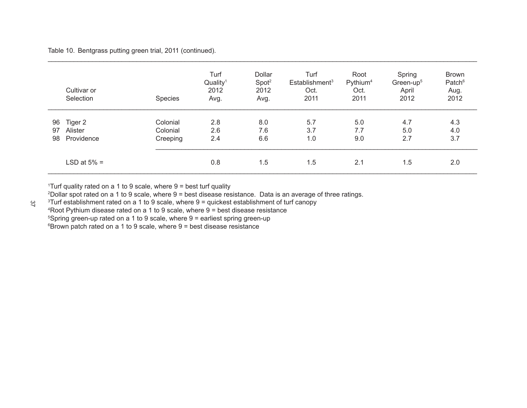|                | Cultivar or<br>Selection         | Species                          | Turf<br>Quality <sup>1</sup><br>2012<br>Avg. | Dollar<br>Spot <sup>2</sup><br>2012<br>Avg. | Turf<br>Establishment <sup>3</sup><br>Oct.<br>2011 | Root<br>Pythium <sup>4</sup><br>Oct.<br>2011 | Spring<br>Green-up <sup>5</sup><br>April<br>2012 | <b>Brown</b><br>Patch <sup>6</sup><br>Aug.<br>2012 |
|----------------|----------------------------------|----------------------------------|----------------------------------------------|---------------------------------------------|----------------------------------------------------|----------------------------------------------|--------------------------------------------------|----------------------------------------------------|
| 96<br>97<br>98 | Tiger 2<br>Alister<br>Providence | Colonial<br>Colonial<br>Creeping | 2.8<br>2.6<br>2.4                            | 8.0<br>7.6<br>6.6                           | 5.7<br>3.7<br>1.0                                  | 5.0<br>7.7<br>9.0                            | 4.7<br>5.0<br>2.7                                | 4.3<br>4.0<br>3.7                                  |
|                | LSD at $5\%$ =                   |                                  | 0.8                                          | 1.5                                         | 1.5                                                | 2.1                                          | 1.5                                              | 2.0                                                |

\_\_\_\_\_\_\_\_\_\_\_\_\_\_\_\_\_\_\_\_\_\_\_\_\_\_\_\_\_\_\_\_\_\_\_\_\_\_\_\_\_\_\_\_\_\_\_\_\_\_\_\_\_\_\_\_\_\_\_\_\_\_\_\_\_\_\_\_\_\_\_\_\_\_\_\_\_\_\_\_\_\_\_\_\_\_\_\_\_\_\_\_\_\_\_\_\_\_\_\_\_\_\_\_\_\_\_\_\_\_\_\_\_\_\_\_

1 Turf quality rated on a 1 to 9 scale, where 9 = best turf quality

2 Dollar spot rated on a 1 to 9 scale, where 9 = best disease resistance. Data is an average of three ratings.

3 Turf establishment rated on a 1 to 9 scale, where 9 = quickest establishment of turf canopy

4 Root Pythium disease rated on a 1 to 9 scale, where 9 = best disease resistance

5 Spring green-up rated on a 1 to 9 scale, where 9 = earliest spring green-up

6 Brown patch rated on a 1 to 9 scale, where 9 = best disease resistance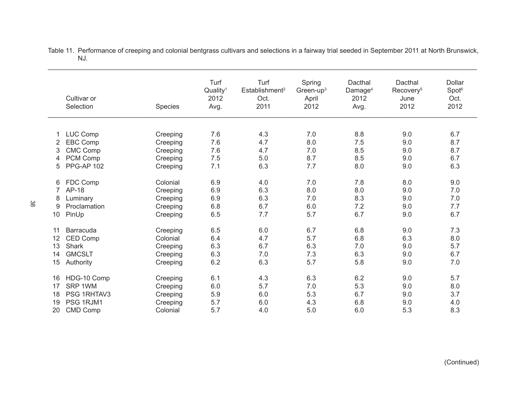|        | Cultivar or<br>Selection    | <b>Species</b> | Turf<br>Quality <sup>1</sup><br>2012<br>Avg. | Turf<br>Establishment <sup>2</sup><br>Oct.<br>2011 | Spring<br>Green-up <sup>3</sup><br>April<br>2012 | Dacthal<br>Damage <sup>4</sup><br>2012<br>Avg. | Dacthal<br>Recovery <sup>5</sup><br>June<br>2012 | <b>Dollar</b><br>Spot <sup>6</sup><br>Oct.<br>2012 |
|--------|-----------------------------|----------------|----------------------------------------------|----------------------------------------------------|--------------------------------------------------|------------------------------------------------|--------------------------------------------------|----------------------------------------------------|
|        |                             |                |                                              |                                                    |                                                  |                                                |                                                  |                                                    |
| 1      | LUC Comp                    | Creeping       | 7.6                                          | 4.3                                                | 7.0                                              | 8.8                                            | 9.0                                              | 6.7                                                |
| 2      | <b>EBC Comp</b>             | Creeping       | 7.6                                          | 4.7                                                | 8.0                                              | 7.5                                            | 9.0                                              | 8.7                                                |
| 3      | <b>CMC Comp</b><br>PCM Comp | Creeping       | 7.6                                          | 4.7                                                | 7.0<br>8.7                                       | 8.5                                            | 9.0                                              | 8.7<br>6.7                                         |
| 4<br>5 | <b>PPG-AP 102</b>           | Creeping       | 7.5<br>7.1                                   | 5.0<br>6.3                                         | 7.7                                              | 8.5<br>8.0                                     | 9.0<br>9.0                                       | 6.3                                                |
|        |                             | Creeping       |                                              |                                                    |                                                  |                                                |                                                  |                                                    |
| 6      | FDC Comp                    | Colonial       | 6.9                                          | 4.0                                                | 7.0                                              | 7.8                                            | 8.0                                              | 9.0                                                |
| 7      | AP-18                       | Creeping       | 6.9                                          | 6.3                                                | 8.0                                              | 8.0                                            | 9.0                                              | 7.0                                                |
| 8      | Luminary                    | Creeping       | 6.9                                          | 6.3                                                | 7.0                                              | 8.3                                            | 9.0                                              | 7.0                                                |
| 9      | Proclamation                | Creeping       | 6.8                                          | 6.7                                                | 6.0                                              | 7.2                                            | 9.0                                              | 7.7                                                |
| 10     | PinUp                       | Creeping       | 6.5                                          | 7.7                                                | 5.7                                              | 6.7                                            | 9.0                                              | 6.7                                                |
|        |                             |                |                                              |                                                    |                                                  |                                                |                                                  |                                                    |
| 11     | Barracuda                   | Creeping       | 6.5                                          | 6.0                                                | 6.7                                              | 6.8                                            | 9.0                                              | 7.3                                                |
| 12     | <b>CED Comp</b>             | Colonial       | 6.4                                          | 4.7                                                | 5.7                                              | 6.8                                            | 6.3                                              | 8.0                                                |
| 13     | <b>Shark</b>                | Creeping       | 6.3                                          | 6.7                                                | 6.3                                              | 7.0                                            | 9.0                                              | 5.7                                                |
| 14     | <b>GMCSLT</b>               | Creeping       | 6.3                                          | 7.0                                                | 7.3                                              | 6.3                                            | 9.0                                              | 6.7                                                |
| 15     | Authority                   | Creeping       | 6.2                                          | 6.3                                                | 5.7                                              | 5.8                                            | 9.0                                              | 7.0                                                |
|        |                             |                |                                              |                                                    |                                                  |                                                |                                                  |                                                    |
| 16     | HDG-10 Comp                 | Creeping       | 6.1                                          | 4.3                                                | 6.3                                              | 6.2                                            | 9.0                                              | 5.7                                                |
| 17     | SRP 1WM                     | Creeping       | 6.0                                          | 5.7                                                | 7.0                                              | 5.3                                            | 9.0                                              | 8.0                                                |
| 18     | PSG 1RHTAV3                 | Creeping       | 5.9                                          | 6.0                                                | 5.3                                              | 6.7                                            | 9.0                                              | 3.7                                                |
| 19     | PSG 1RJM1                   | Creeping       | 5.7                                          | 6.0                                                | 4.3                                              | 6.8                                            | 9.0                                              | 4.0                                                |
| 20     | CMD Comp                    | Colonial       | 5.7                                          | 4.0                                                | 5.0                                              | 6.0                                            | 5.3                                              | 8.3                                                |

Table 11. Performance of creeping and colonial bentgrass cultivars and selections in a fairway trial seeded in September 2011 at North Brunswick, NJ.

\_\_\_\_\_\_\_\_\_\_\_\_\_\_\_\_\_\_\_\_\_\_\_\_\_\_\_\_\_\_\_\_\_\_\_\_\_\_\_\_\_\_\_\_\_\_\_\_\_\_\_\_\_\_\_\_\_\_\_\_\_\_\_\_\_\_\_\_\_\_\_\_\_\_\_\_\_\_\_\_\_\_\_\_\_\_\_\_\_\_\_\_\_\_\_\_\_\_\_\_\_\_\_\_\_\_\_\_\_\_\_\_\_\_\_\_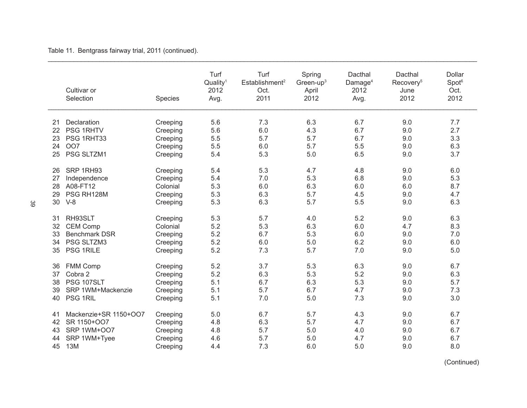Table 11. Bentgrass fairway trial, 2011 (continued).

|          | Cultivar or<br>Selection | Species              | Turf<br>Quality <sup>1</sup><br>2012<br>Avg. | Turf<br>Establishment <sup>2</sup><br>Oct.<br>2011 | Spring<br>Green-up $3$<br>April<br>2012 | Dacthal<br>Damage <sup>4</sup><br>2012<br>Avg. | Dacthal<br>Recovery <sup>5</sup><br>June<br>2012 | Dollar<br>Spot <sup>6</sup><br>Oct.<br>2012 |
|----------|--------------------------|----------------------|----------------------------------------------|----------------------------------------------------|-----------------------------------------|------------------------------------------------|--------------------------------------------------|---------------------------------------------|
| 21<br>22 | Declaration<br>PSG 1RHTV | Creeping<br>Creeping | 5.6<br>5.6                                   | 7.3<br>6.0                                         | 6.3<br>4.3                              | 6.7<br>6.7                                     | 9.0<br>9.0                                       | 7.7<br>2.7                                  |
| 23       | PSG 1RHT33               | Creeping             | 5.5                                          | 5.7                                                | 5.7                                     | 6.7                                            | 9.0                                              | 3.3                                         |
| 24       | OO7                      | Creeping             | 5.5                                          | 6.0                                                | 5.7                                     | 5.5                                            | 9.0                                              | 6.3                                         |
| 25       | PSG SLTZM1               | Creeping             | 5.4                                          | 5.3                                                | 5.0                                     | 6.5                                            | 9.0                                              | 3.7                                         |
| 26       | SRP 1RH93                | Creeping             | 5.4                                          | 5.3                                                | 4.7                                     | 4.8                                            | 9.0                                              | 6.0                                         |
| 27       | Independence             | Creeping             | 5.4                                          | 7.0                                                | 5.3                                     | 6.8                                            | 9.0                                              | 5.3                                         |
| 28       | A08-FT12                 | Colonial             | 5.3                                          | 6.0                                                | 6.3                                     | 6.0                                            | 6.0                                              | 8.7                                         |
| 29       | PSG RH128M               | Creeping             | 5.3                                          | 6.3                                                | 5.7                                     | 4.5                                            | 9.0                                              | 4.7                                         |
| 30       | $V-8$                    | Creeping             | 5.3                                          | 6.3                                                | 5.7                                     | 5.5                                            | 9.0                                              | 6.3                                         |
| 31       | RH93SLT                  | Creeping             | 5.3                                          | 5.7                                                | 4.0                                     | 5.2                                            | 9.0                                              | 6.3                                         |
| 32       | <b>CEM Comp</b>          | Colonial             | 5.2                                          | 5.3                                                | 6.3                                     | 6.0                                            | 4.7                                              | 8.3                                         |
| 33       | <b>Benchmark DSR</b>     | Creeping             | 5.2                                          | 6.7                                                | 5.3                                     | 6.0                                            | 9.0                                              | 7.0                                         |
| 34       | PSG SLTZM3               | Creeping             | 5.2                                          | 6.0                                                | 5.0                                     | 6.2                                            | 9.0                                              | 6.0                                         |
| 35       | PSG 1RILE                | Creeping             | 5.2                                          | 7.3                                                | 5.7                                     | 7.0                                            | 9.0                                              | 5.0                                         |
| 36       | <b>FMM Comp</b>          | Creeping             | 5.2                                          | 3.7                                                | 5.3                                     | 6.3                                            | 9.0                                              | 6.7                                         |
| 37       | Cobra 2                  | Creeping             | 5.2                                          | 6.3                                                | 5.3                                     | 5.2                                            | 9.0                                              | 6.3                                         |
| 38       | PSG 107SLT               | Creeping             | 5.1                                          | 6.7                                                | 6.3                                     | 5.3                                            | 9.0                                              | 5.7                                         |
| 39       | SRP 1WM+Mackenzie        | Creeping             | 5.1                                          | 5.7                                                | 6.7                                     | 4.7                                            | 9.0                                              | 7.3                                         |
| 40       | PSG 1RIL                 | Creeping             | 5.1                                          | 7.0                                                | 5.0                                     | 7.3                                            | 9.0                                              | 3.0                                         |
| 41       | Mackenzie+SR 1150+OO7    | Creeping             | 5.0                                          | 6.7                                                | 5.7                                     | 4.3                                            | 9.0                                              | 6.7                                         |
| 42       | SR 1150+007              | Creeping             | 4.8                                          | 6.3                                                | 5.7                                     | 4.7                                            | 9.0                                              | 6.7                                         |
| 43       | <b>SRP 1WM+007</b>       | Creeping             | 4.8                                          | 5.7                                                | 5.0                                     | 4.0                                            | 9.0                                              | 6.7                                         |
| 44       | SRP 1WM+Tyee             | Creeping             | 4.6                                          | 5.7                                                | 5.0                                     | 4.7                                            | 9.0                                              | 6.7                                         |
| 45       | <b>13M</b>               | Creeping             | 4.4                                          | 7.3                                                | 6.0                                     | 5.0                                            | 9.0                                              | 8.0                                         |

\_\_\_\_\_\_\_\_\_\_\_\_\_\_\_\_\_\_\_\_\_\_\_\_\_\_\_\_\_\_\_\_\_\_\_\_\_\_\_\_\_\_\_\_\_\_\_\_\_\_\_\_\_\_\_\_\_\_\_\_\_\_\_\_\_\_\_\_\_\_\_\_\_\_\_\_\_\_\_\_\_\_\_\_\_\_\_\_\_\_\_\_\_\_\_\_\_\_\_\_\_\_\_\_\_\_\_\_\_\_\_\_\_\_\_\_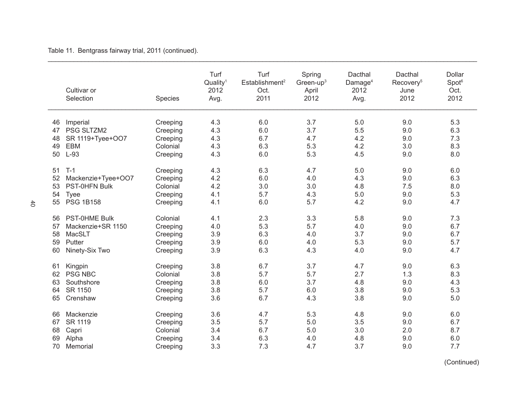Table 11. Bentgrass fairway trial, 2011 (continued).

|          | Cultivar or<br>Selection            | Species              | Turf<br>Quality <sup>1</sup><br>2012<br>Avg. | Turf<br>Establishment <sup>2</sup><br>Oct.<br>2011 | Spring<br>Green-up <sup>3</sup><br>April<br>2012 | Dacthal<br>Damage <sup>4</sup><br>2012<br>Avg. | Dacthal<br>Recovery <sup>5</sup><br>June<br>2012 | Dollar<br>Spot <sup>6</sup><br>Oct.<br>2012 |
|----------|-------------------------------------|----------------------|----------------------------------------------|----------------------------------------------------|--------------------------------------------------|------------------------------------------------|--------------------------------------------------|---------------------------------------------|
| 46       | Imperial                            | Creeping             | 4.3                                          | 6.0                                                | 3.7                                              | 5.0                                            | 9.0                                              | 5.3                                         |
| 47       | PSG SLTZM2                          | Creeping             | 4.3                                          | 6.0                                                | 3.7                                              | 5.5                                            | 9.0                                              | 6.3                                         |
| 48       | SR 1119+Tyee+OO7                    | Creeping             | 4.3                                          | 6.7                                                | 4.7                                              | 4.2                                            | 9.0                                              | 7.3                                         |
| 49       | <b>EBM</b>                          | Colonial             | 4.3                                          | 6.3                                                | 5.3                                              | 4.2                                            | 3.0                                              | 8.3                                         |
| 50       | $L-93$                              | Creeping             | 4.3                                          | 6.0                                                | 5.3                                              | 4.5                                            | 9.0                                              | 8.0                                         |
|          |                                     |                      |                                              |                                                    |                                                  |                                                |                                                  |                                             |
| 51       | $T-1$                               | Creeping             | 4.3                                          | 6.3<br>6.0                                         | 4.7                                              | 5.0                                            | 9.0                                              | 6.0                                         |
| 52       | Mackenzie+Tyee+OO7<br>PST-0HFN Bulk | Creeping             | 4.2<br>4.2                                   | 3.0                                                | 4.0                                              | 4.3<br>4.8                                     | 9.0                                              | 6.3<br>8.0                                  |
| 53<br>54 |                                     | Colonial             | 4.1                                          | 5.7                                                | 3.0<br>4.3                                       | 5.0                                            | 7.5<br>9.0                                       | 5.3                                         |
| 55       | <b>Tyee</b><br><b>PSG 1B158</b>     | Creeping<br>Creeping | 4.1                                          | 6.0                                                | 5.7                                              | 4.2                                            | 9.0                                              | 4.7                                         |
|          |                                     |                      |                                              |                                                    |                                                  |                                                |                                                  |                                             |
| 56       | PST-0HME Bulk                       | Colonial             | 4.1                                          | 2.3                                                | 3.3                                              | 5.8                                            | 9.0                                              | 7.3                                         |
| 57       | Mackenzie+SR 1150                   | Creeping             | 4.0                                          | 5.3                                                | 5.7                                              | 4.0                                            | 9.0                                              | 6.7                                         |
| 58       | MacSLT                              | Creeping             | 3.9                                          | 6.3                                                | 4.0                                              | 3.7                                            | 9.0                                              | 6.7                                         |
| 59       | Putter                              | Creeping             | 3.9                                          | 6.0                                                | 4.0                                              | 5.3                                            | 9.0                                              | 5.7                                         |
| 60       | Ninety-Six Two                      | Creeping             | 3.9                                          | 6.3                                                | 4.3                                              | 4.0                                            | 9.0                                              | 4.7                                         |
| 61       | Kingpin                             | Creeping             | 3.8                                          | 6.7                                                | 3.7                                              | 4.7                                            | 9.0                                              | 6.3                                         |
| 62       | <b>PSG NBC</b>                      | Colonial             | 3.8                                          | 5.7                                                | 5.7                                              | 2.7                                            | 1.3                                              | 8.3                                         |
| 63       | Southshore                          | Creeping             | 3.8                                          | 6.0                                                | 3.7                                              | 4.8                                            | 9.0                                              | 4.3                                         |
| 64       | SR 1150                             | Creeping             | 3.8                                          | 5.7                                                | 6.0                                              | 3.8                                            | 9.0                                              | 5.3                                         |
| 65       | Crenshaw                            | Creeping             | 3.6                                          | 6.7                                                | 4.3                                              | 3.8                                            | 9.0                                              | 5.0                                         |
| 66       | Mackenzie                           | Creeping             | 3.6                                          | 4.7                                                | 5.3                                              | 4.8                                            | 9.0                                              | 6.0                                         |
| 67       | <b>SR 1119</b>                      | Creeping             | 3.5                                          | 5.7                                                | 5.0                                              | 3.5                                            | 9.0                                              | 6.7                                         |
| 68       | Capri                               | Colonial             | 3.4                                          | 6.7                                                | 5.0                                              | 3.0                                            | 2.0                                              | 8.7                                         |
| 69       | Alpha                               | Creeping             | 3.4                                          | 6.3                                                | 4.0                                              | 4.8                                            | 9.0                                              | 6.0                                         |
| 70       | Memorial                            | Creeping             | 3.3                                          | 7.3                                                | 4.7                                              | 3.7                                            | 9.0                                              | 7.7                                         |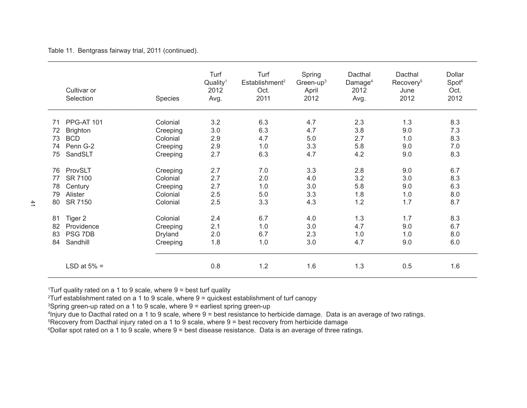Table 11. Bentgrass fairway trial, 2011 (continued).

|    | Cultivar or<br>Selection | Species  | Turf<br>Quality <sup>1</sup><br>2012<br>Avg. | Turf<br>Establishment <sup>2</sup><br>Oct.<br>2011 | Spring<br>Green-up $3$<br>April<br>2012 | Dacthal<br>Damage <sup>4</sup><br>2012<br>Avg. | Dacthal<br>Recovery <sup>5</sup><br>June<br>2012 | <b>Dollar</b><br>Spot <sup>6</sup><br>Oct.<br>2012 |
|----|--------------------------|----------|----------------------------------------------|----------------------------------------------------|-----------------------------------------|------------------------------------------------|--------------------------------------------------|----------------------------------------------------|
| 71 | <b>PPG-AT 101</b>        | Colonial | 3.2                                          | 6.3                                                | 4.7                                     | 2.3                                            | 1.3                                              | 8.3                                                |
| 72 | <b>Brighton</b>          | Creeping | 3.0                                          | 6.3                                                | 4.7                                     | 3.8                                            | 9.0                                              | 7.3                                                |
| 73 | <b>BCD</b>               | Colonial | 2.9                                          | 4.7                                                | 5.0                                     | 2.7                                            | 1.0                                              | 8.3                                                |
| 74 | Penn G-2                 | Creeping | 2.9                                          | 1.0                                                | 3.3                                     | 5.8                                            | 9.0                                              | 7.0                                                |
| 75 | SandSLT                  | Creeping | 2.7                                          | 6.3                                                | 4.7                                     | 4.2                                            | 9.0                                              | 8.3                                                |
| 76 | ProvSLT                  | Creeping | 2.7                                          | 7.0                                                | 3.3                                     | 2.8                                            | 9.0                                              | 6.7                                                |
| 77 | SR 7100                  | Colonial | 2.7                                          | 2.0                                                | 4.0                                     | 3.2                                            | 3.0                                              | 8.3                                                |
| 78 | Century                  | Creeping | 2.7                                          | 1.0                                                | 3.0                                     | 5.8                                            | 9.0                                              | 6.3                                                |
| 79 | Alister                  | Colonial | 2.5                                          | 5.0                                                | 3.3                                     | 1.8                                            | 1.0                                              | 8.0                                                |
| 80 | SR 7150                  | Colonial | 2.5                                          | 3.3                                                | 4.3                                     | 1.2                                            | 1.7                                              | 8.7                                                |
| 81 | Tiger 2                  | Colonial | 2.4                                          | 6.7                                                | 4.0                                     | 1.3                                            | 1.7                                              | 8.3                                                |
| 82 | Providence               | Creeping | 2.1                                          | 1.0                                                | 3.0                                     | 4.7                                            | 9.0                                              | 6.7                                                |
| 83 | <b>PSG 7DB</b>           | Dryland  | 2.0                                          | 6.7                                                | 2.3                                     | 1.0                                            | 1.0                                              | 8.0                                                |
| 84 | Sandhill                 | Creeping | 1.8                                          | 1.0                                                | 3.0                                     | 4.7                                            | 9.0                                              | 6.0                                                |
|    | LSD at $5\%$ =           |          | 0.8                                          | 1.2                                                | 1.6                                     | 1.3                                            | 0.5                                              | 1.6                                                |

1 Turf quality rated on a 1 to 9 scale, where 9 = best turf quality

2 Turf establishment rated on a 1 to 9 scale, where 9 = quickest establishment of turf canopy

<sup>3</sup>Spring green-up rated on a 1 to 9 scale, where 9 = earliest spring green-up

4 Injury due to Dacthal rated on a 1 to 9 scale, where 9 = best resistance to herbicide damage. Data is an average of two ratings.

5 Recovery from Dacthal injury rated on a 1 to 9 scale, where 9 = best recovery from herbicide damage

6 Dollar spot rated on a 1 to 9 scale, where 9 = best disease resistance. Data is an average of three ratings.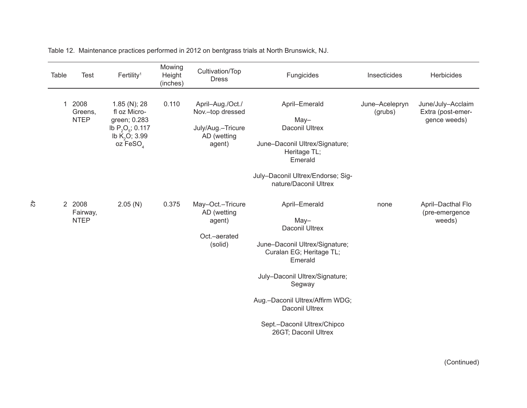| Table | <b>Test</b>                       | Fertility <sup>1</sup>                                                                                                  | Mowing<br>Height<br>(inches) | Cultivation/Top<br><b>Dress</b>                                                    | Fungicides                                                                                                                                                                                                                                                                               | Insecticides              | Herbicides                                             |
|-------|-----------------------------------|-------------------------------------------------------------------------------------------------------------------------|------------------------------|------------------------------------------------------------------------------------|------------------------------------------------------------------------------------------------------------------------------------------------------------------------------------------------------------------------------------------------------------------------------------------|---------------------------|--------------------------------------------------------|
| 1     | 2008<br>Greens,<br><b>NTEP</b>    | 1.85 (N); 28<br>fl oz Micro-<br>green; 0.283<br>lb $P_2O_5$ ; 0.117<br>lb $\bar{K}_{2}O$ ; 3.99<br>oz FeSO <sub>4</sub> | 0.110                        | April-Aug./Oct./<br>Nov.-top dressed<br>July/Aug.-Tricure<br>AD (wetting<br>agent) | April-Emerald<br>$May-$<br>Daconil Ultrex<br>June-Daconil Ultrex/Signature;<br>Heritage TL;<br>Emerald<br>July-Daconil Ultrex/Endorse; Sig-<br>nature/Daconil Ultrex                                                                                                                     | June-Acelepryn<br>(grubs) | June/July-Acclaim<br>Extra (post-emer-<br>gence weeds) |
|       | 2 2008<br>Fairway,<br><b>NTEP</b> | 2.05(N)                                                                                                                 | 0.375                        | May-Oct.-Tricure<br>AD (wetting<br>agent)<br>Oct.-aerated<br>(solid)               | April-Emerald<br>$May-$<br><b>Daconil Ultrex</b><br>June-Daconil Ultrex/Signature;<br>Curalan EG; Heritage TL;<br>Emerald<br>July-Daconil Ultrex/Signature;<br>Segway<br>Aug.-Daconil Ultrex/Affirm WDG;<br><b>Daconil Ultrex</b><br>Sept.-Daconil Ultrex/Chipco<br>26GT; Daconil Ultrex | none                      | April-Dacthal Flo<br>(pre-emergence<br>weeds)          |

Table 12. Maintenance practices performed in 2012 on bentgrass trials at North Brunswick, NJ.

 $\frac{4}{2}$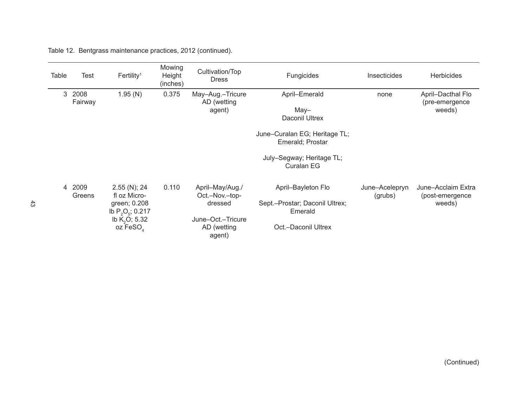| Table          | <b>Test</b>     | Fertility <sup>1</sup>                                                                                                    | Mowing<br>Height<br>(inches) | Cultivation/Top<br><b>Dress</b>            | Fungicides                                        | Insecticides              | <b>Herbicides</b>                               |
|----------------|-----------------|---------------------------------------------------------------------------------------------------------------------------|------------------------------|--------------------------------------------|---------------------------------------------------|---------------------------|-------------------------------------------------|
| 3              | 2008<br>Fairway | 1.95(N)                                                                                                                   | 0.375                        | May-Aug.-Tricure<br>AD (wetting<br>agent)  | April-Emerald<br>May-<br>Daconil Ultrex           | none                      | April-Dacthal Flo<br>(pre-emergence<br>weeds)   |
|                |                 |                                                                                                                           |                              |                                            | June-Curalan EG; Heritage TL;<br>Emerald; Prostar |                           |                                                 |
|                |                 |                                                                                                                           |                              |                                            | July-Segway; Heritage TL;<br>Curalan EG           |                           |                                                 |
| $\overline{4}$ | 2009<br>Greens  | $2.55$ (N); 24<br>fl oz Micro-<br>green; 0.208<br>lb $P_2O_5$ ; 0.217<br>lb $\bar{K}_{2}O$ ; 5.32<br>oz FeSO <sub>4</sub> | 0.110                        | April-May/Aug./<br>Oct.-Nov.-top-          | April-Bayleton Flo                                | June-Acelepryn<br>(grubs) | June-Acclaim Extra<br>(post-emergence<br>weeds) |
|                |                 |                                                                                                                           |                              | dressed                                    | Sept.-Prostar; Daconil Ultrex;<br>Emerald         |                           |                                                 |
|                |                 |                                                                                                                           |                              | June-Oct.-Tricure<br>AD (wetting<br>agent) | Oct.-Daconil Ultrex                               |                           |                                                 |

Table 12. Bentgrass maintenance practices, 2012 (continued).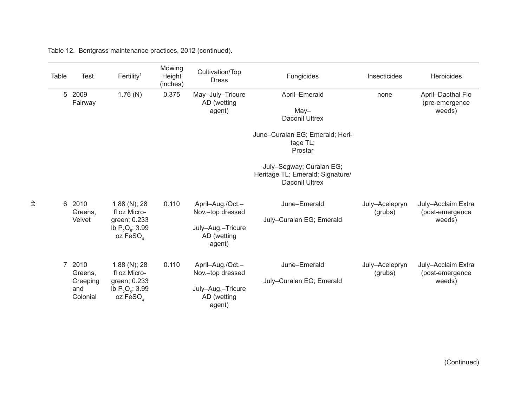Table 12. Bentgrass maintenance practices, 2012 (continued).

| <b>Table</b>   | <b>Test</b>                                    | Fertility <sup>1</sup>                                                                       | Mowing<br>Height<br>(inches) | Cultivation/Top<br><b>Dress</b>                                                    | Fungicides                                                                                                                                                                                          | Insecticides              | Herbicides                                      |
|----------------|------------------------------------------------|----------------------------------------------------------------------------------------------|------------------------------|------------------------------------------------------------------------------------|-----------------------------------------------------------------------------------------------------------------------------------------------------------------------------------------------------|---------------------------|-------------------------------------------------|
| 5              | 2009<br>Fairway                                | 1.76(N)                                                                                      | 0.375                        | May-July-Tricure<br>AD (wetting<br>agent)                                          | April-Emerald<br>$May-$<br><b>Daconil Ultrex</b><br>June-Curalan EG; Emerald; Heri-<br>tage TL;<br>Prostar<br>July-Segway; Curalan EG;<br>Heritage TL; Emerald; Signature/<br><b>Daconil Ultrex</b> | none                      | April-Dacthal Flo<br>(pre-emergence<br>weeds)   |
| 6              | 2010<br>Greens,<br>Velvet                      | $1.88$ (N); 28<br>fl oz Micro-<br>green; 0.233<br>Ib $P_2O_5$ ; 3.99<br>oz FeSO <sub>4</sub> | 0.110                        | April-Aug./Oct.-<br>Nov.-top dressed<br>July-Aug.-Tricure<br>AD (wetting<br>agent) | June-Emerald<br>July-Curalan EG; Emerald                                                                                                                                                            | July-Acelepryn<br>(grubs) | July-Acclaim Extra<br>(post-emergence<br>weeds) |
| $\overline{7}$ | 2010<br>Greens,<br>Creeping<br>and<br>Colonial | 1.88 (N); 28<br>fl oz Micro-<br>green; 0.233<br>lb $P_2O_5$ ; 3.99<br>oz FeSO <sub>4</sub>   | 0.110                        | April-Aug./Oct.-<br>Nov.-top dressed<br>July-Aug.-Tricure<br>AD (wetting<br>agent) | June-Emerald<br>July-Curalan EG; Emerald                                                                                                                                                            | July-Acelepryn<br>(grubs) | July-Acclaim Extra<br>(post-emergence<br>weeds) |